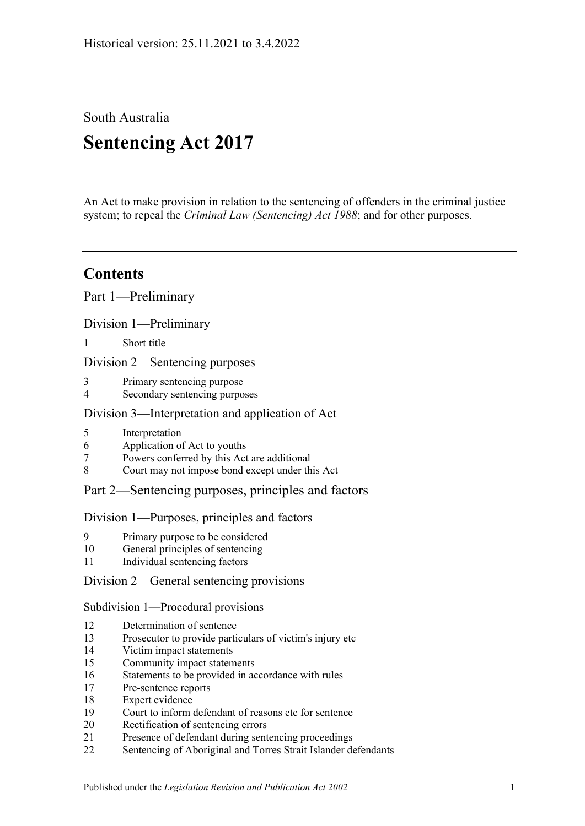South Australia **Sentencing Act 2017**

An Act to make provision in relation to the sentencing of offenders in the criminal justice system; to repeal the *[Criminal Law \(Sentencing\) Act](http://www.legislation.sa.gov.au/index.aspx?action=legref&type=act&legtitle=Criminal%20Law%20(Sentencing)%20Act%201988) 1988*; and for other purposes.

# **Contents**

Part [1—Preliminary](#page-4-0)

Division [1—Preliminary](#page-4-1)

1 [Short title](#page-4-2)

Division [2—Sentencing purposes](#page-4-3)

- 3 [Primary sentencing purpose](#page-4-4)
- 4 [Secondary sentencing purposes](#page-4-5)

### Division [3—Interpretation and application of Act](#page-5-0)

- 5 [Interpretation](#page-5-1)
- 6 [Application of Act to youths](#page-9-0)
- 7 [Powers conferred by this Act are additional](#page-9-1)
- 8 [Court may not impose bond except under this Act](#page-10-0)

## Part [2—Sentencing purposes, principles and factors](#page-10-1)

#### Division [1—Purposes, principles and factors](#page-10-2)

- 9 [Primary purpose to be considered](#page-10-3)
- 10 [General principles of sentencing](#page-10-4)
- 11 [Individual sentencing factors](#page-10-5)

#### Division [2—General sentencing provisions](#page-12-0)

Subdivision [1—Procedural provisions](#page-12-1)

- 12 [Determination of sentence](#page-12-2)
- 13 [Prosecutor to provide particulars of victim's injury etc](#page-12-3)
- 14 [Victim impact statements](#page-13-0)
- 15 [Community impact statements](#page-14-0)
- 16 [Statements to be provided in accordance with rules](#page-14-1)
- 17 [Pre-sentence reports](#page-14-2)
- 18 [Expert evidence](#page-15-0)
- 19 Court [to inform defendant of reasons etc for sentence](#page-16-0)
- 20 [Rectification of sentencing errors](#page-16-1)
- 21 [Presence of defendant during sentencing proceedings](#page-16-2)
- 22 [Sentencing of Aboriginal and Torres Strait Islander defendants](#page-17-0)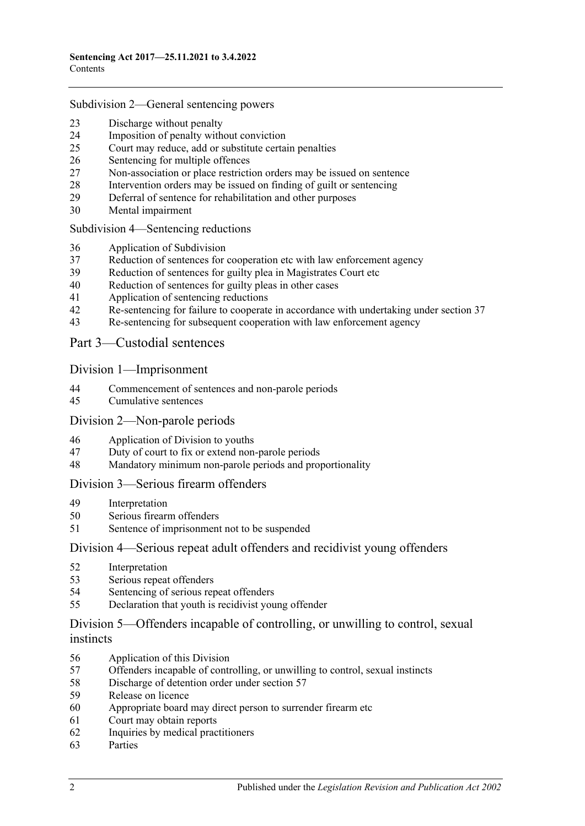#### Subdivision [2—General sentencing powers](#page-18-0)

- [Discharge without penalty](#page-18-1)
- [Imposition of penalty without conviction](#page-19-0)<br>25 Court may reduce, add or substitute certa
- [Court may reduce, add or substitute certain penalties](#page-19-1)
- [Sentencing for multiple offences](#page-20-0)
- [Non-association or place restriction orders may be issued on sentence](#page-20-1)
- [Intervention orders may be issued on finding of guilt or sentencing](#page-21-0)
- [Deferral of sentence for rehabilitation and other purposes](#page-22-0)
- [Mental impairment](#page-23-0)

#### Subdivision [4—Sentencing reductions](#page-24-0)

- [Application of Subdivision](#page-24-1)
- [Reduction of sentences for cooperation etc with law enforcement agency](#page-25-0)
- [Reduction of sentences for guilty plea in Magistrates Court etc](#page-26-0)
- [Reduction of sentences for guilty pleas in other cases](#page-28-0)
- [Application of sentencing reductions](#page-32-0)
- [Re-sentencing for failure to cooperate in accordance with undertaking under section](#page-32-1) 37
- [Re-sentencing for subsequent cooperation with law enforcement agency](#page-33-0)

#### Part [3—Custodial sentences](#page-34-0)

#### Division [1—Imprisonment](#page-34-1)

- [Commencement of sentences and non-parole periods](#page-34-2)
- [Cumulative sentences](#page-35-0)

#### Division [2—Non-parole periods](#page-36-0)

- [Application of Division to youths](#page-36-1)
- [Duty of court to fix or extend non-parole periods](#page-36-2)
- [Mandatory minimum non-parole periods and proportionality](#page-39-0)

#### Division [3—Serious firearm offenders](#page-40-0)

- [Interpretation](#page-40-1)
- [Serious firearm offenders](#page-42-0)
- [Sentence of imprisonment not to be suspended](#page-42-1)

#### Division [4—Serious repeat adult offenders and recidivist young offenders](#page-42-2)

- [Interpretation](#page-42-3)
- [Serious repeat offenders](#page-44-0)
- [Sentencing of serious repeat offenders](#page-44-1)
- [Declaration that youth is recidivist young offender](#page-44-2)

### Division [5—Offenders incapable of controlling, or unwilling to control, sexual](#page-45-0)  [instincts](#page-45-0)

- [Application of this Division](#page-45-1)
- Offenders incapable of controlling, [or unwilling to control, sexual instincts](#page-45-2)
- [Discharge of detention order under section](#page-48-0) 57
- [Release on licence](#page-49-0)
- [Appropriate board may direct person to surrender firearm etc](#page-52-0)
- [Court may obtain reports](#page-52-1)
- [Inquiries by medical practitioners](#page-52-2)
- [Parties](#page-53-0)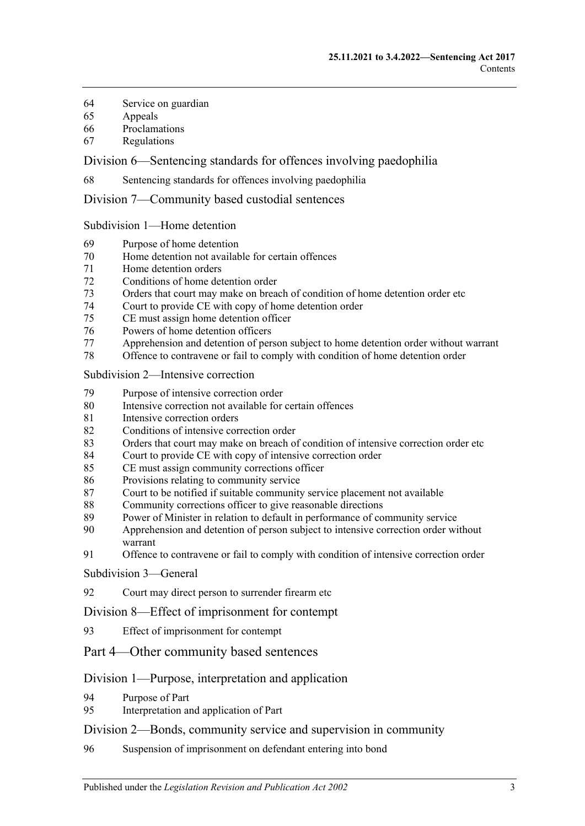- [Service on guardian](#page-53-1)
- [Appeals](#page-53-2)
- [Proclamations](#page-54-0)
- [Regulations](#page-54-1)

Division [6—Sentencing standards for offences involving paedophilia](#page-54-2)

[Sentencing standards for offences involving paedophilia](#page-54-3)

Division [7—Community based custodial sentences](#page-54-4)

Subdivision [1—Home detention](#page-54-5)

- [Purpose of home detention](#page-54-6)
- [Home detention not available for certain offences](#page-55-0)
- [Home detention orders](#page-55-1)
- [Conditions of home detention order](#page-60-0)
- [Orders that court may make on breach of condition of home detention order etc](#page-61-0)
- [Court to provide CE with copy of home detention order](#page-63-0)<br>75 CE must assign home detention officer
- [CE must assign home detention officer](#page-63-1)
- Powers of [home detention officers](#page-64-0)
- [Apprehension and detention of person subject to home detention order without warrant](#page-64-1)
- [Offence to contravene or fail to comply with condition of home detention order](#page-64-2)

Subdivision [2—Intensive correction](#page-65-0)

- [Purpose of intensive correction order](#page-65-1)
- [Intensive correction not available for certain offences](#page-65-2)
- [Intensive correction orders](#page-65-3)
- [Conditions of intensive correction order](#page-69-0)
- [Orders that court may make on breach of condition of intensive correction order etc](#page-71-0)
- [Court to provide CE with copy of intensive correction order](#page-74-0)
- [CE must assign community corrections officer](#page-74-1)
- [Provisions relating to community service](#page-74-2)
- [Court to be notified if suitable community service placement not available](#page-75-0)
- [Community corrections officer to give reasonable directions](#page-75-1)
- [Power of Minister in relation to default in performance of community service](#page-76-0)
- Apprehension and detention of [person subject to intensive correction order without](#page-76-1)  [warrant](#page-76-1)
- [Offence to contravene or fail to comply with condition of intensive correction order](#page-76-2)

[Subdivision](#page-77-0) 3—General

[Court may direct person to surrender firearm etc](#page-77-1)

Division [8—Effect of imprisonment for contempt](#page-77-2)

- [Effect of imprisonment for contempt](#page-77-3)
- Part [4—Other community based sentences](#page-77-4)

#### Division [1—Purpose, interpretation and application](#page-77-5)

- [Purpose of Part](#page-77-6)
- [Interpretation and application of Part](#page-77-7)

#### Division [2—Bonds, community service and supervision in community](#page-78-0)

[Suspension of imprisonment on defendant entering into bond](#page-78-1)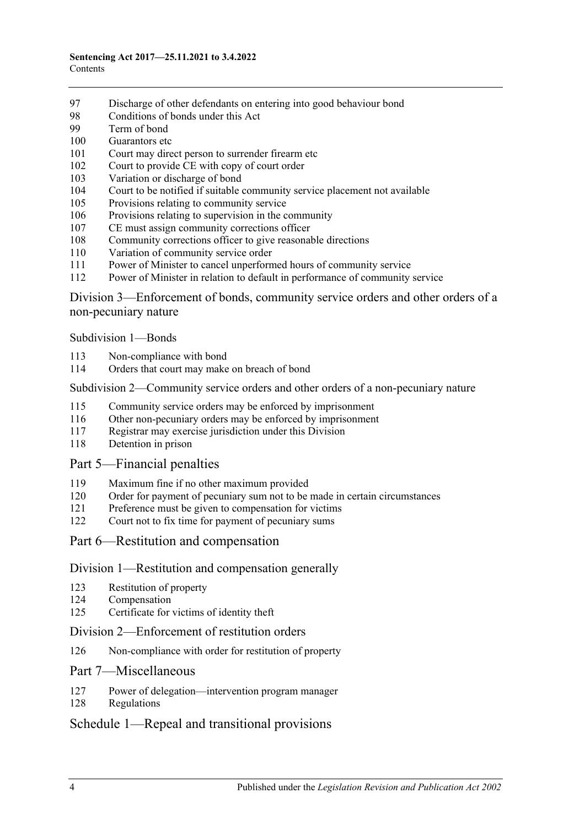- [Discharge of other defendants on entering into good behaviour bond](#page-83-0)
- [Conditions of bonds under this Act](#page-83-1)
- [Term of bond](#page-85-0)
- [Guarantors etc](#page-85-1)
- [Court may direct person to surrender firearm etc](#page-86-0)
- [Court to provide CE with copy of court order](#page-86-1)
- [Variation or discharge of bond](#page-86-2)
- [Court to be notified if suitable community service placement not available](#page-87-0)
- [Provisions relating to community service](#page-87-1)
- [Provisions relating to supervision in the community](#page-88-0)
- [CE must assign community corrections officer](#page-88-1)
- [Community corrections officer to give reasonable directions](#page-89-0)
- [Variation of community service order](#page-89-1)
- [Power of Minister to cancel unperformed hours of community service](#page-90-0)
- [Power of Minister in relation to default in performance of community service](#page-90-1)

Division [3—Enforcement of bonds, community service orders and other orders of a](#page-91-0)  [non-pecuniary nature](#page-91-0)

[Subdivision](#page-91-1) 1—Bonds

- [Non-compliance with bond](#page-91-2)
- [Orders that court may make on breach of bond](#page-92-0)

#### Subdivision [2—Community service orders and other orders of a non-pecuniary nature](#page-93-0)

- [Community service orders may be enforced by imprisonment](#page-93-1)
- [Other non-pecuniary orders may be enforced by imprisonment](#page-95-0)
- [Registrar may exercise jurisdiction under this Division](#page-95-1)
- [Detention in prison](#page-96-0)

#### Part [5—Financial penalties](#page-96-1)

- [Maximum fine if no other maximum provided](#page-96-2)
- [Order for payment of pecuniary sum not to be made in certain circumstances](#page-96-3)
- [Preference must be given to compensation for victims](#page-96-4)
- [Court not to fix time for payment of pecuniary sums](#page-97-0)
- Part [6—Restitution and compensation](#page-97-1)

#### Division [1—Restitution and compensation generally](#page-97-2)

- [Restitution of property](#page-97-3)
- [Compensation](#page-97-4)
- [Certificate for victims of identity theft](#page-98-0)

#### Division [2—Enforcement of restitution orders](#page-99-0)

[Non-compliance with order for restitution of property](#page-99-1)

#### Part [7—Miscellaneous](#page-100-0)

- [Power of delegation—intervention program manager](#page-100-1)
- [Regulations](#page-100-2)

## Schedule [1—Repeal and transitional provisions](#page-101-0)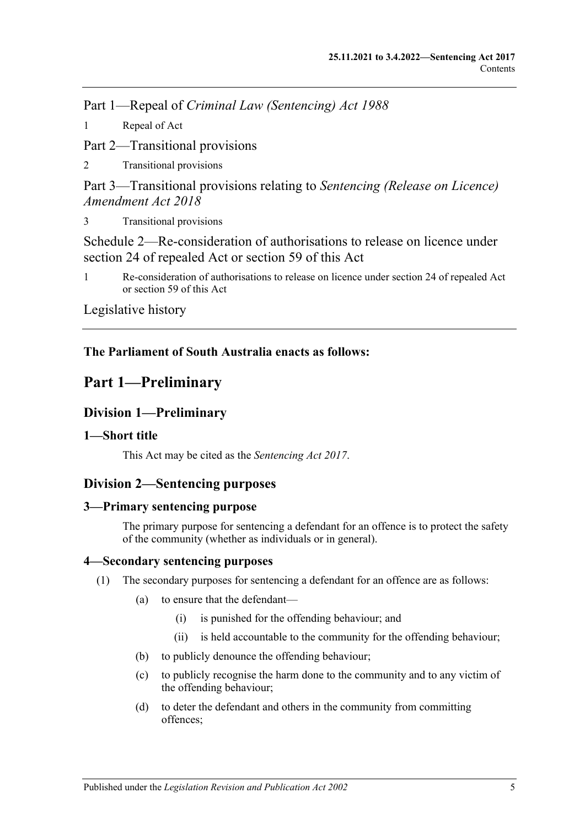Part 1—Repeal of *Criminal Law (Sentencing) Act 1988*

1 [Repeal of Act](#page-101-1)

Part 2—Transitional provisions

2 [Transitional provisions](#page-101-2)

Part 3—Transitional provisions relating to *Sentencing (Release on Licence) Amendment Act 2018*

3 [Transitional provisions](#page-101-3)

[Schedule 2—Re-consideration of authorisations to release on licence under](#page-102-0)  [section 24 of repealed Act or section](#page-102-0) 59 of this Act

1 [Re-consideration of authorisations to release on licence under section 24 of repealed Act](#page-102-1)  or [section](#page-49-0) 59 [of this Act](#page-102-1)

[Legislative history](#page-105-0)

## <span id="page-4-0"></span>**The Parliament of South Australia enacts as follows:**

# **Part 1—Preliminary**

## <span id="page-4-1"></span>**Division 1—Preliminary**

## <span id="page-4-2"></span>**1—Short title**

This Act may be cited as the *Sentencing Act 2017*.

## <span id="page-4-3"></span>**Division 2—Sentencing purposes**

## <span id="page-4-4"></span>**3—Primary sentencing purpose**

The primary purpose for sentencing a defendant for an offence is to protect the safety of the community (whether as individuals or in general).

## <span id="page-4-6"></span><span id="page-4-5"></span>**4—Secondary sentencing purposes**

- (1) The secondary purposes for sentencing a defendant for an offence are as follows:
	- (a) to ensure that the defendant—
		- (i) is punished for the offending behaviour; and
		- (ii) is held accountable to the community for the offending behaviour;
	- (b) to publicly denounce the offending behaviour;
	- (c) to publicly recognise the harm done to the community and to any victim of the offending behaviour;
	- (d) to deter the defendant and others in the community from committing offences;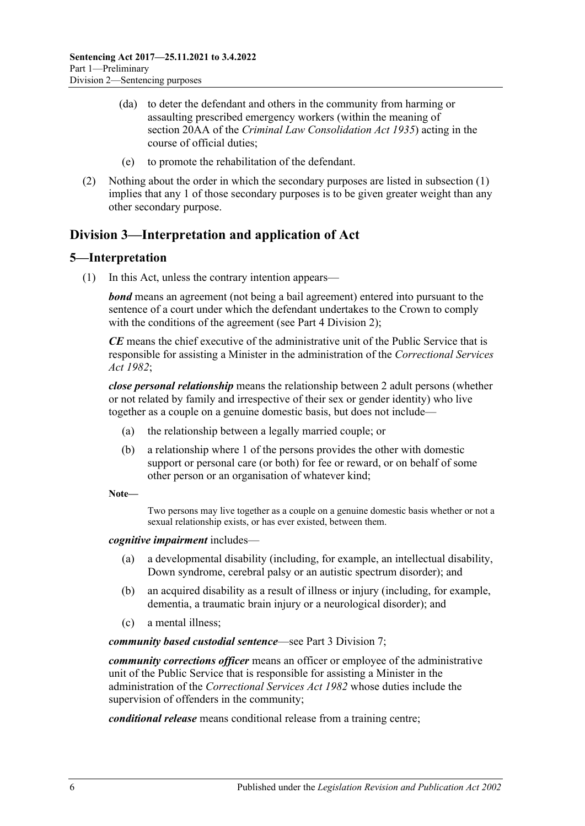- (da) to deter the defendant and others in the community from harming or assaulting prescribed emergency workers (within the meaning of section 20AA of the *[Criminal Law Consolidation Act](http://www.legislation.sa.gov.au/index.aspx?action=legref&type=act&legtitle=Criminal%20Law%20Consolidation%20Act%201935) 1935*) acting in the course of official duties;
- (e) to promote the rehabilitation of the defendant.
- (2) Nothing about the order in which the secondary purposes are listed in [subsection](#page-4-6) (1) implies that any 1 of those secondary purposes is to be given greater weight than any other secondary purpose.

## <span id="page-5-0"></span>**Division 3—Interpretation and application of Act**

## <span id="page-5-1"></span>**5—Interpretation**

(1) In this Act, unless the contrary intention appears—

*bond* means an agreement (not being a bail agreement) entered into pursuant to the sentence of a court under which the defendant undertakes to the Crown to comply with the conditions of the agreement (see Part [4 Division](#page-78-0) 2):

*CE* means the chief executive of the administrative unit of the Public Service that is responsible for assisting a Minister in the administration of the *[Correctional Services](http://www.legislation.sa.gov.au/index.aspx?action=legref&type=act&legtitle=Correctional%20Services%20Act%201982)  Act [1982](http://www.legislation.sa.gov.au/index.aspx?action=legref&type=act&legtitle=Correctional%20Services%20Act%201982)*;

*close personal relationship* means the relationship between 2 adult persons (whether or not related by family and irrespective of their sex or gender identity) who live together as a couple on a genuine domestic basis, but does not include—

- (a) the relationship between a legally married couple; or
- (b) a relationship where 1 of the persons provides the other with domestic support or personal care (or both) for fee or reward, or on behalf of some other person or an organisation of whatever kind;

**Note—**

Two persons may live together as a couple on a genuine domestic basis whether or not a sexual relationship exists, or has ever existed, between them.

*cognitive impairment* includes—

- (a) a developmental disability (including, for example, an intellectual disability, Down syndrome, cerebral palsy or an autistic spectrum disorder); and
- (b) an acquired disability as a result of illness or injury (including, for example, dementia, a traumatic brain injury or a neurological disorder); and
- (c) a mental illness;

*community based custodial sentence*—see Part [3 Division](#page-54-4) 7;

*community corrections officer* means an officer or employee of the administrative unit of the Public Service that is responsible for assisting a Minister in the administration of the *[Correctional Services Act](http://www.legislation.sa.gov.au/index.aspx?action=legref&type=act&legtitle=Correctional%20Services%20Act%201982) 1982* whose duties include the supervision of offenders in the community;

*conditional release* means conditional release from a training centre;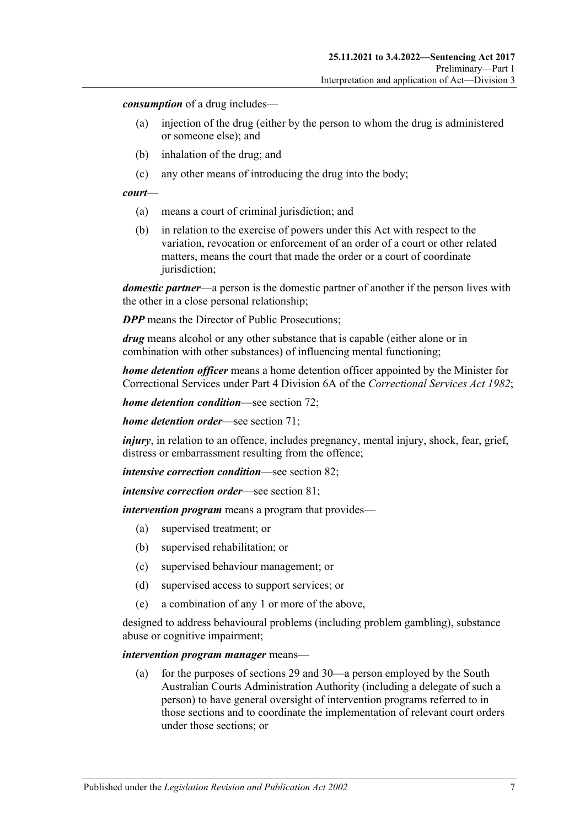*consumption* of a drug includes—

- (a) injection of the drug (either by the person to whom the drug is administered or someone else); and
- (b) inhalation of the drug; and
- (c) any other means of introducing the drug into the body;

#### *court*—

- (a) means a court of criminal jurisdiction; and
- (b) in relation to the exercise of powers under this Act with respect to the variation, revocation or enforcement of an order of a court or other related matters, means the court that made the order or a court of coordinate jurisdiction;

*domestic partner*—a person is the domestic partner of another if the person lives with the other in a close personal relationship;

*DPP* means the Director of Public Prosecutions:

*drug* means alcohol or any other substance that is capable (either alone or in combination with other substances) of influencing mental functioning;

*home detention officer* means a home detention officer appointed by the Minister for Correctional Services under Part 4 Division 6A of the *[Correctional Services Act](http://www.legislation.sa.gov.au/index.aspx?action=legref&type=act&legtitle=Correctional%20Services%20Act%201982) 1982*;

*home detention condition*—see [section](#page-60-0) 72;

*home detention order*—see [section](#page-55-1) 71;

*injury*, in relation to an offence, includes pregnancy, mental injury, shock, fear, grief, distress or embarrassment resulting from the offence;

*intensive correction condition*—see [section](#page-69-0) 82;

*intensive correction order*—see [section](#page-65-3) 81;

*intervention program* means a program that provides—

- (a) supervised treatment; or
- (b) supervised rehabilitation; or
- (c) supervised behaviour management; or
- (d) supervised access to support services; or
- (e) a combination of any 1 or more of the above,

designed to address behavioural problems (including problem gambling), substance abuse or cognitive impairment;

#### *intervention program manager* means—

(a) for the purposes of [sections](#page-22-0) 29 and [30—](#page-23-0)a person employed by the South Australian Courts Administration Authority (including a delegate of such a person) to have general oversight of intervention programs referred to in those sections and to coordinate the implementation of relevant court orders under those sections; or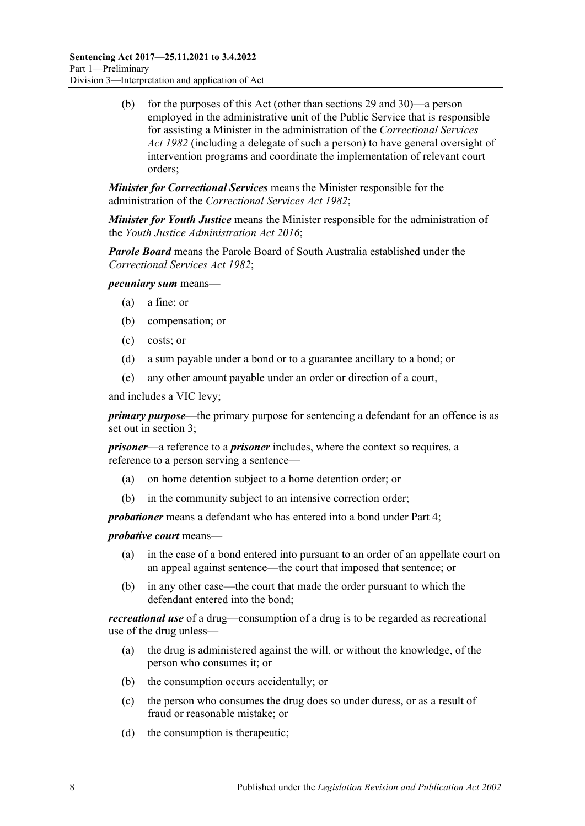(b) for the purposes of this Act (other than [sections](#page-22-0) 29 and [30\)](#page-23-0)—a person employed in the administrative unit of the Public Service that is responsible for assisting a Minister in the administration of the *[Correctional Services](http://www.legislation.sa.gov.au/index.aspx?action=legref&type=act&legtitle=Correctional%20Services%20Act%201982)  Act [1982](http://www.legislation.sa.gov.au/index.aspx?action=legref&type=act&legtitle=Correctional%20Services%20Act%201982)* (including a delegate of such a person) to have general oversight of intervention programs and coordinate the implementation of relevant court orders;

*Minister for Correctional Services* means the Minister responsible for the administration of the *[Correctional Services Act](http://www.legislation.sa.gov.au/index.aspx?action=legref&type=act&legtitle=Correctional%20Services%20Act%201982) 1982*;

*Minister for Youth Justice* means the Minister responsible for the administration of the *[Youth Justice Administration Act](http://www.legislation.sa.gov.au/index.aspx?action=legref&type=act&legtitle=Youth%20Justice%20Administration%20Act%202016) 2016*;

*Parole Board* means the Parole Board of South Australia established under the *[Correctional Services Act](http://www.legislation.sa.gov.au/index.aspx?action=legref&type=act&legtitle=Correctional%20Services%20Act%201982) 1982*;

*pecuniary sum* means—

- (a) a fine; or
- (b) compensation; or
- (c) costs; or
- (d) a sum payable under a bond or to a guarantee ancillary to a bond; or
- (e) any other amount payable under an order or direction of a court,

and includes a VIC levy;

*primary purpose*—the primary purpose for sentencing a defendant for an offence is as set out in [section](#page-4-4) 3;

*prisoner*—a reference to a *prisoner* includes, where the context so requires, a reference to a person serving a sentence—

- (a) on home detention subject to a home detention order; or
- (b) in the community subject to an intensive correction order;

*probationer* means a defendant who has entered into a bond under [Part](#page-77-4) 4;

*probative court* means—

- (a) in the case of a bond entered into pursuant to an order of an appellate court on an appeal against sentence—the court that imposed that sentence; or
- (b) in any other case—the court that made the order pursuant to which the defendant entered into the bond;

*recreational use* of a drug—consumption of a drug is to be regarded as recreational use of the drug unless—

- (a) the drug is administered against the will, or without the knowledge, of the person who consumes it; or
- (b) the consumption occurs accidentally; or
- (c) the person who consumes the drug does so under duress, or as a result of fraud or reasonable mistake; or
- (d) the consumption is therapeutic;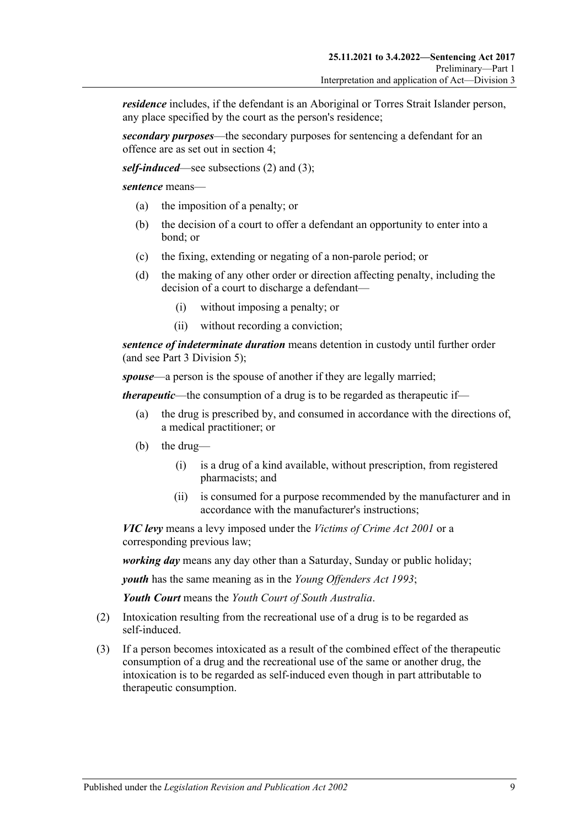*residence* includes, if the defendant is an Aboriginal or Torres Strait Islander person, any place specified by the court as the person's residence;

*secondary purposes*—the secondary purposes for sentencing a defendant for an offence are as set out in [section](#page-4-5) 4;

*self-induced*—see [subsections \(2\)](#page-8-0) and [\(3\);](#page-8-1)

*sentence* means—

- (a) the imposition of a penalty; or
- (b) the decision of a court to offer a defendant an opportunity to enter into a bond; or
- (c) the fixing, extending or negating of a non-parole period; or
- (d) the making of any other order or direction affecting penalty, including the decision of a court to discharge a defendant—
	- (i) without imposing a penalty; or
	- (ii) without recording a conviction;

*sentence of indeterminate duration* means detention in custody until further order (and see Part [3 Division](#page-45-0) 5);

*spouse*—a person is the spouse of another if they are legally married;

*therapeutic*—the consumption of a drug is to be regarded as therapeutic if—

- (a) the drug is prescribed by, and consumed in accordance with the directions of, a medical practitioner; or
- (b) the drug—
	- (i) is a drug of a kind available, without prescription, from registered pharmacists; and
	- (ii) is consumed for a purpose recommended by the manufacturer and in accordance with the manufacturer's instructions;

*VIC levy* means a levy imposed under the *[Victims of Crime Act](http://www.legislation.sa.gov.au/index.aspx?action=legref&type=act&legtitle=Victims%20of%20Crime%20Act%202001) 2001* or a corresponding previous law;

*working day* means any day other than a Saturday, Sunday or public holiday;

*youth* has the same meaning as in the *[Young Offenders Act](http://www.legislation.sa.gov.au/index.aspx?action=legref&type=act&legtitle=Young%20Offenders%20Act%201993) 1993*;

*Youth Court* means the *Youth Court of South Australia*.

- <span id="page-8-0"></span>(2) Intoxication resulting from the recreational use of a drug is to be regarded as self-induced.
- <span id="page-8-1"></span>(3) If a person becomes intoxicated as a result of the combined effect of the therapeutic consumption of a drug and the recreational use of the same or another drug, the intoxication is to be regarded as self-induced even though in part attributable to therapeutic consumption.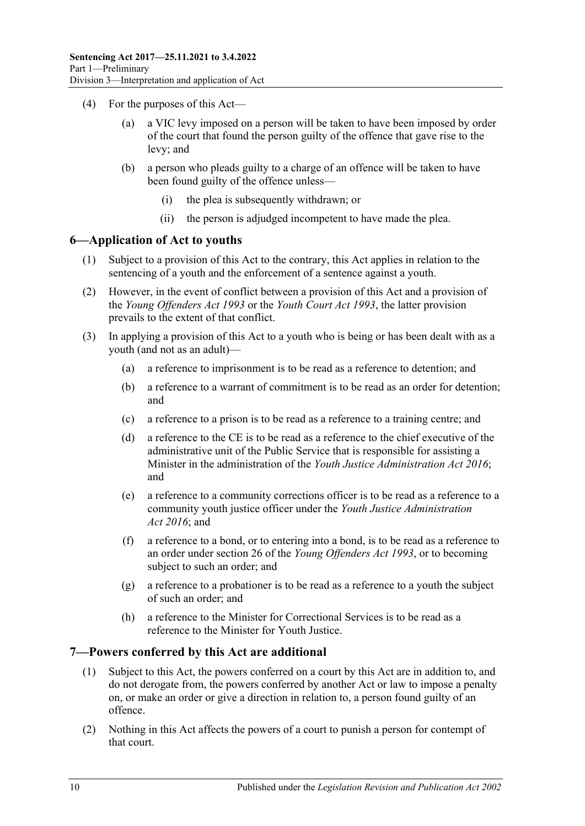- (4) For the purposes of this Act
	- a VIC levy imposed on a person will be taken to have been imposed by order of the court that found the person guilty of the offence that gave rise to the levy; and
	- (b) a person who pleads guilty to a charge of an offence will be taken to have been found guilty of the offence unless—
		- (i) the plea is subsequently withdrawn; or
		- (ii) the person is adjudged incompetent to have made the plea.

### <span id="page-9-0"></span>**6—Application of Act to youths**

- (1) Subject to a provision of this Act to the contrary, this Act applies in relation to the sentencing of a youth and the enforcement of a sentence against a youth.
- (2) However, in the event of conflict between a provision of this Act and a provision of the *[Young Offenders Act](http://www.legislation.sa.gov.au/index.aspx?action=legref&type=act&legtitle=Young%20Offenders%20Act%201993) 1993* or the *[Youth Court Act](http://www.legislation.sa.gov.au/index.aspx?action=legref&type=act&legtitle=Youth%20Court%20Act%201993) 1993*, the latter provision prevails to the extent of that conflict.
- (3) In applying a provision of this Act to a youth who is being or has been dealt with as a youth (and not as an adult)—
	- (a) a reference to imprisonment is to be read as a reference to detention; and
	- (b) a reference to a warrant of commitment is to be read as an order for detention; and
	- (c) a reference to a prison is to be read as a reference to a training centre; and
	- (d) a reference to the CE is to be read as a reference to the chief executive of the administrative unit of the Public Service that is responsible for assisting a Minister in the administration of the *[Youth Justice Administration Act](http://www.legislation.sa.gov.au/index.aspx?action=legref&type=act&legtitle=Youth%20Justice%20Administration%20Act%202016) 2016*; and
	- (e) a reference to a community corrections officer is to be read as a reference to a community youth justice officer under the *[Youth Justice Administration](http://www.legislation.sa.gov.au/index.aspx?action=legref&type=act&legtitle=Youth%20Justice%20Administration%20Act%202016)  Act [2016](http://www.legislation.sa.gov.au/index.aspx?action=legref&type=act&legtitle=Youth%20Justice%20Administration%20Act%202016)*; and
	- (f) a reference to a bond, or to entering into a bond, is to be read as a reference to an order under section 26 of the *[Young Offenders Act](http://www.legislation.sa.gov.au/index.aspx?action=legref&type=act&legtitle=Young%20Offenders%20Act%201993) 1993*, or to becoming subject to such an order; and
	- (g) a reference to a probationer is to be read as a reference to a youth the subject of such an order; and
	- (h) a reference to the Minister for Correctional Services is to be read as a reference to the Minister for Youth Justice.

#### <span id="page-9-1"></span>**7—Powers conferred by this Act are additional**

- (1) Subject to this Act, the powers conferred on a court by this Act are in addition to, and do not derogate from, the powers conferred by another Act or law to impose a penalty on, or make an order or give a direction in relation to, a person found guilty of an offence.
- (2) Nothing in this Act affects the powers of a court to punish a person for contempt of that court.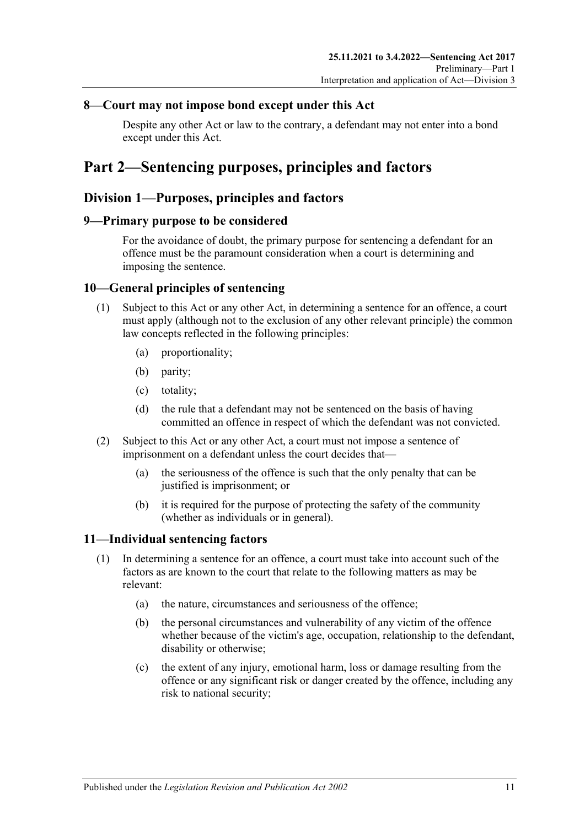## <span id="page-10-0"></span>**8—Court may not impose bond except under this Act**

Despite any other Act or law to the contrary, a defendant may not enter into a bond except under this Act.

# <span id="page-10-1"></span>**Part 2—Sentencing purposes, principles and factors**

## <span id="page-10-2"></span>**Division 1—Purposes, principles and factors**

## <span id="page-10-3"></span>**9—Primary purpose to be considered**

For the avoidance of doubt, the primary purpose for sentencing a defendant for an offence must be the paramount consideration when a court is determining and imposing the sentence.

## <span id="page-10-4"></span>**10—General principles of sentencing**

- (1) Subject to this Act or any other Act, in determining a sentence for an offence, a court must apply (although not to the exclusion of any other relevant principle) the common law concepts reflected in the following principles:
	- (a) proportionality;
	- (b) parity;
	- (c) totality;
	- (d) the rule that a defendant may not be sentenced on the basis of having committed an offence in respect of which the defendant was not convicted.
- (2) Subject to this Act or any other Act, a court must not impose a sentence of imprisonment on a defendant unless the court decides that—
	- (a) the seriousness of the offence is such that the only penalty that can be justified is imprisonment; or
	- (b) it is required for the purpose of protecting the safety of the community (whether as individuals or in general).

## <span id="page-10-6"></span><span id="page-10-5"></span>**11—Individual sentencing factors**

- <span id="page-10-7"></span>(1) In determining a sentence for an offence, a court must take into account such of the factors as are known to the court that relate to the following matters as may be relevant:
	- (a) the nature, circumstances and seriousness of the offence;
	- (b) the personal circumstances and vulnerability of any victim of the offence whether because of the victim's age, occupation, relationship to the defendant, disability or otherwise;
	- (c) the extent of any injury, emotional harm, loss or damage resulting from the offence or any significant risk or danger created by the offence, including any risk to national security;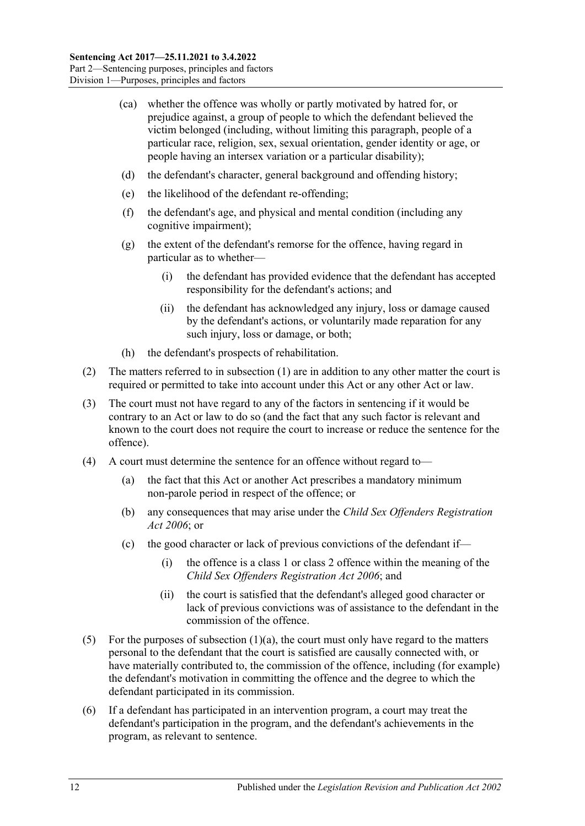- (ca) whether the offence was wholly or partly motivated by hatred for, or prejudice against, a group of people to which the defendant believed the victim belonged (including, without limiting this paragraph, people of a particular race, religion, sex, sexual orientation, gender identity or age, or people having an intersex variation or a particular disability);
- (d) the defendant's character, general background and offending history;
- (e) the likelihood of the defendant re-offending;
- (f) the defendant's age, and physical and mental condition (including any cognitive impairment);
- (g) the extent of the defendant's remorse for the offence, having regard in particular as to whether—
	- (i) the defendant has provided evidence that the defendant has accepted responsibility for the defendant's actions; and
	- (ii) the defendant has acknowledged any injury, loss or damage caused by the defendant's actions, or voluntarily made reparation for any such injury, loss or damage, or both;
- (h) the defendant's prospects of rehabilitation.
- (2) The matters referred to in [subsection](#page-10-6) (1) are in addition to any other matter the court is required or permitted to take into account under this Act or any other Act or law.
- (3) The court must not have regard to any of the factors in sentencing if it would be contrary to an Act or law to do so (and the fact that any such factor is relevant and known to the court does not require the court to increase or reduce the sentence for the offence).
- (4) A court must determine the sentence for an offence without regard to—
	- (a) the fact that this Act or another Act prescribes a mandatory minimum non-parole period in respect of the offence; or
	- (b) any consequences that may arise under the *[Child Sex Offenders Registration](http://www.legislation.sa.gov.au/index.aspx?action=legref&type=act&legtitle=Child%20Sex%20Offenders%20Registration%20Act%202006)  Act [2006](http://www.legislation.sa.gov.au/index.aspx?action=legref&type=act&legtitle=Child%20Sex%20Offenders%20Registration%20Act%202006)*; or
	- (c) the good character or lack of previous convictions of the defendant if—
		- (i) the offence is a class 1 or class 2 offence within the meaning of the *[Child Sex Offenders Registration Act](http://www.legislation.sa.gov.au/index.aspx?action=legref&type=act&legtitle=Child%20Sex%20Offenders%20Registration%20Act%202006) 2006*; and
		- (ii) the court is satisfied that the defendant's alleged good character or lack of previous convictions was of assistance to the defendant in the commission of the offence.
- (5) For the purposes of [subsection](#page-10-7)  $(1)(a)$ , the court must only have regard to the matters personal to the defendant that the court is satisfied are causally connected with, or have materially contributed to, the commission of the offence, including (for example) the defendant's motivation in committing the offence and the degree to which the defendant participated in its commission.
- (6) If a defendant has participated in an intervention program, a court may treat the defendant's participation in the program, and the defendant's achievements in the program, as relevant to sentence.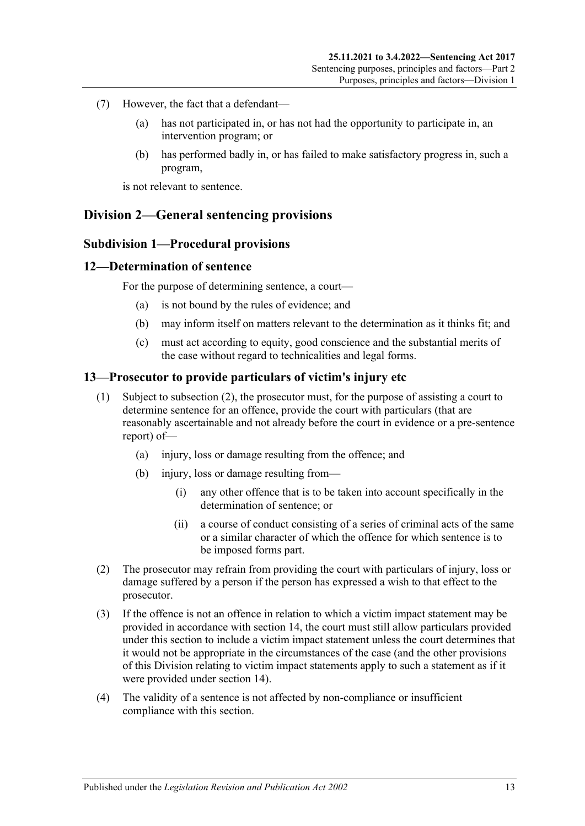- (7) However, the fact that a defendant—
	- (a) has not participated in, or has not had the opportunity to participate in, an intervention program; or
	- (b) has performed badly in, or has failed to make satisfactory progress in, such a program,

is not relevant to sentence.

## <span id="page-12-1"></span><span id="page-12-0"></span>**Division 2—General sentencing provisions**

#### **Subdivision 1—Procedural provisions**

#### <span id="page-12-2"></span>**12—Determination of sentence**

For the purpose of determining sentence, a court—

- (a) is not bound by the rules of evidence; and
- (b) may inform itself on matters relevant to the determination as it thinks fit; and
- (c) must act according to equity, good conscience and the substantial merits of the case without regard to technicalities and legal forms.

#### <span id="page-12-3"></span>**13—Prosecutor to provide particulars of victim's injury etc**

- (1) Subject to [subsection](#page-12-4) (2), the prosecutor must, for the purpose of assisting a court to determine sentence for an offence, provide the court with particulars (that are reasonably ascertainable and not already before the court in evidence or a pre-sentence report) of—
	- (a) injury, loss or damage resulting from the offence; and
	- (b) injury, loss or damage resulting from—
		- (i) any other offence that is to be taken into account specifically in the determination of sentence; or
		- (ii) a course of conduct consisting of a series of criminal acts of the same or a similar character of which the offence for which sentence is to be imposed forms part.
- <span id="page-12-4"></span>(2) The prosecutor may refrain from providing the court with particulars of injury, loss or damage suffered by a person if the person has expressed a wish to that effect to the prosecutor.
- (3) If the offence is not an offence in relation to which a victim impact statement may be provided in accordance with [section](#page-13-0) 14, the court must still allow particulars provided under this section to include a victim impact statement unless the court determines that it would not be appropriate in the circumstances of the case (and the other provisions of this Division relating to victim impact statements apply to such a statement as if it were provided under [section](#page-13-0) 14).
- (4) The validity of a sentence is not affected by non-compliance or insufficient compliance with this section.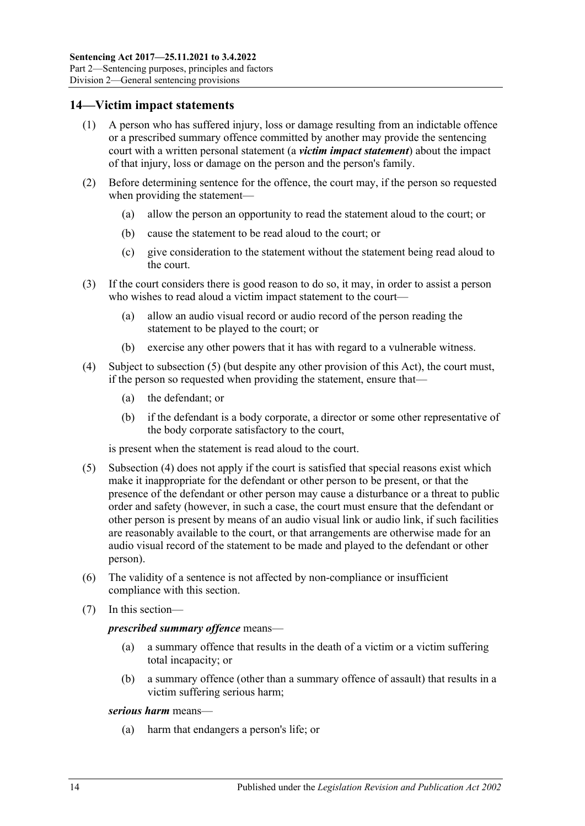### <span id="page-13-0"></span>**14—Victim impact statements**

- (1) A person who has suffered injury, loss or damage resulting from an indictable offence or a prescribed summary offence committed by another may provide the sentencing court with a written personal statement (a *victim impact statement*) about the impact of that injury, loss or damage on the person and the person's family.
- (2) Before determining sentence for the offence, the court may, if the person so requested when providing the statement—
	- (a) allow the person an opportunity to read the statement aloud to the court; or
	- (b) cause the statement to be read aloud to the court; or
	- (c) give consideration to the statement without the statement being read aloud to the court.
- (3) If the court considers there is good reason to do so, it may, in order to assist a person who wishes to read aloud a victim impact statement to the court—
	- (a) allow an audio visual record or audio record of the person reading the statement to be played to the court; or
	- (b) exercise any other powers that it has with regard to a vulnerable witness.
- <span id="page-13-2"></span>(4) Subject to [subsection](#page-13-1) (5) (but despite any other provision of this Act), the court must, if the person so requested when providing the statement, ensure that—
	- (a) the defendant; or
	- (b) if the defendant is a body corporate, a director or some other representative of the body corporate satisfactory to the court,

is present when the statement is read aloud to the court.

- <span id="page-13-1"></span>(5) [Subsection](#page-13-2) (4) does not apply if the court is satisfied that special reasons exist which make it inappropriate for the defendant or other person to be present, or that the presence of the defendant or other person may cause a disturbance or a threat to public order and safety (however, in such a case, the court must ensure that the defendant or other person is present by means of an audio visual link or audio link, if such facilities are reasonably available to the court, or that arrangements are otherwise made for an audio visual record of the statement to be made and played to the defendant or other person).
- (6) The validity of a sentence is not affected by non-compliance or insufficient compliance with this section.
- (7) In this section—

#### *prescribed summary offence* means—

- (a) a summary offence that results in the death of a victim or a victim suffering total incapacity; or
- (b) a summary offence (other than a summary offence of assault) that results in a victim suffering serious harm;

#### *serious harm* means—

(a) harm that endangers a person's life; or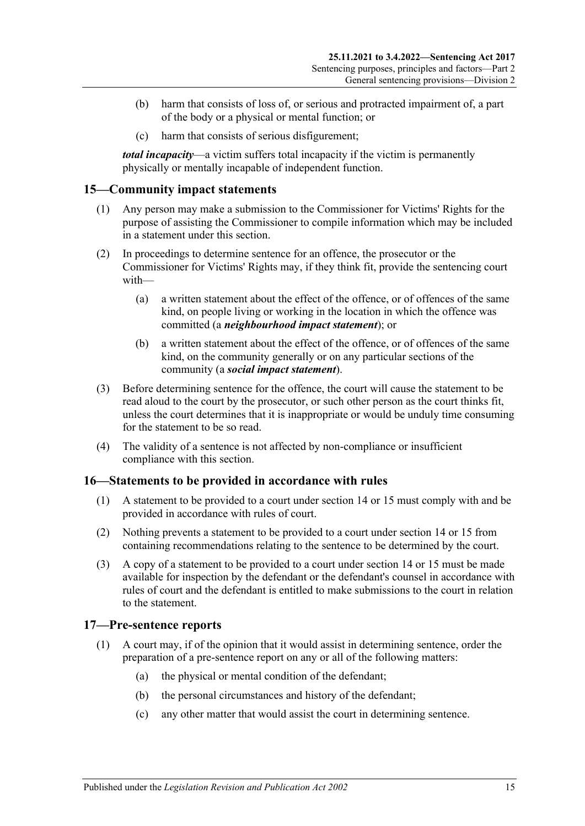- (b) harm that consists of loss of, or serious and protracted impairment of, a part of the body or a physical or mental function; or
- (c) harm that consists of serious disfigurement;

*total incapacity*—a victim suffers total incapacity if the victim is permanently physically or mentally incapable of independent function.

## <span id="page-14-0"></span>**15—Community impact statements**

- (1) Any person may make a submission to the Commissioner for Victims' Rights for the purpose of assisting the Commissioner to compile information which may be included in a statement under this section.
- (2) In proceedings to determine sentence for an offence, the prosecutor or the Commissioner for Victims' Rights may, if they think fit, provide the sentencing court with—
	- (a) a written statement about the effect of the offence, or of offences of the same kind, on people living or working in the location in which the offence was committed (a *neighbourhood impact statement*); or
	- (b) a written statement about the effect of the offence, or of offences of the same kind, on the community generally or on any particular sections of the community (a *social impact statement*).
- (3) Before determining sentence for the offence, the court will cause the statement to be read aloud to the court by the prosecutor, or such other person as the court thinks fit, unless the court determines that it is inappropriate or would be unduly time consuming for the statement to be so read.
- (4) The validity of a sentence is not affected by non-compliance or insufficient compliance with this section.

## <span id="page-14-1"></span>**16—Statements to be provided in accordance with rules**

- (1) A statement to be provided to a court under [section](#page-13-0) 14 or [15](#page-14-0) must comply with and be provided in accordance with rules of court.
- (2) Nothing prevents a statement to be provided to a court under [section](#page-13-0) 14 or [15](#page-14-0) from containing recommendations relating to the sentence to be determined by the court.
- (3) A copy of a statement to be provided to a court under [section](#page-13-0) 14 or [15](#page-14-0) must be made available for inspection by the defendant or the defendant's counsel in accordance with rules of court and the defendant is entitled to make submissions to the court in relation to the statement.

#### <span id="page-14-2"></span>**17—Pre-sentence reports**

- (1) A court may, if of the opinion that it would assist in determining sentence, order the preparation of a pre-sentence report on any or all of the following matters:
	- (a) the physical or mental condition of the defendant;
	- (b) the personal circumstances and history of the defendant;
	- (c) any other matter that would assist the court in determining sentence.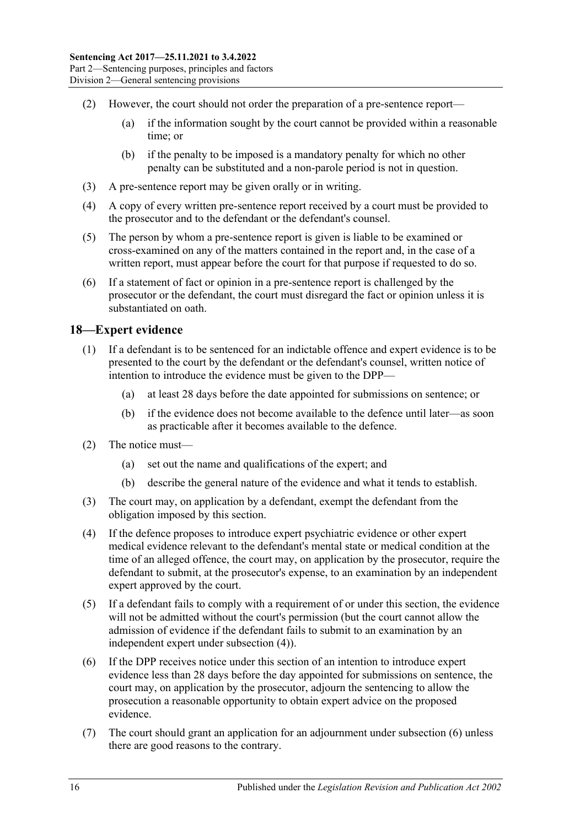- (2) However, the court should not order the preparation of a pre-sentence report—
	- (a) if the information sought by the court cannot be provided within a reasonable time; or
	- (b) if the penalty to be imposed is a mandatory penalty for which no other penalty can be substituted and a non-parole period is not in question.
- (3) A pre-sentence report may be given orally or in writing.
- (4) A copy of every written pre-sentence report received by a court must be provided to the prosecutor and to the defendant or the defendant's counsel.
- (5) The person by whom a pre-sentence report is given is liable to be examined or cross-examined on any of the matters contained in the report and, in the case of a written report, must appear before the court for that purpose if requested to do so.
- (6) If a statement of fact or opinion in a pre-sentence report is challenged by the prosecutor or the defendant, the court must disregard the fact or opinion unless it is substantiated on oath.

### <span id="page-15-0"></span>**18—Expert evidence**

- (1) If a defendant is to be sentenced for an indictable offence and expert evidence is to be presented to the court by the defendant or the defendant's counsel, written notice of intention to introduce the evidence must be given to the DPP—
	- (a) at least 28 days before the date appointed for submissions on sentence; or
	- (b) if the evidence does not become available to the defence until later—as soon as practicable after it becomes available to the defence.
- (2) The notice must—
	- (a) set out the name and qualifications of the expert; and
	- (b) describe the general nature of the evidence and what it tends to establish.
- (3) The court may, on application by a defendant, exempt the defendant from the obligation imposed by this section.
- <span id="page-15-1"></span>(4) If the defence proposes to introduce expert psychiatric evidence or other expert medical evidence relevant to the defendant's mental state or medical condition at the time of an alleged offence, the court may, on application by the prosecutor, require the defendant to submit, at the prosecutor's expense, to an examination by an independent expert approved by the court.
- (5) If a defendant fails to comply with a requirement of or under this section, the evidence will not be admitted without the court's permission (but the court cannot allow the admission of evidence if the defendant fails to submit to an examination by an independent expert under [subsection](#page-15-1) (4)).
- <span id="page-15-2"></span>(6) If the DPP receives notice under this section of an intention to introduce expert evidence less than 28 days before the day appointed for submissions on sentence, the court may, on application by the prosecutor, adjourn the sentencing to allow the prosecution a reasonable opportunity to obtain expert advice on the proposed evidence.
- (7) The court should grant an application for an adjournment under [subsection](#page-15-2) (6) unless there are good reasons to the contrary.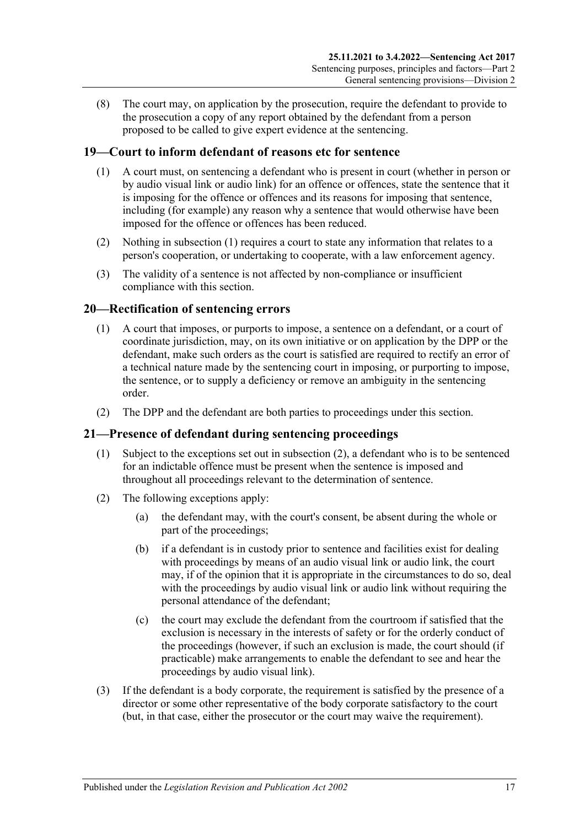(8) The court may, on application by the prosecution, require the defendant to provide to the prosecution a copy of any report obtained by the defendant from a person proposed to be called to give expert evidence at the sentencing.

## <span id="page-16-3"></span><span id="page-16-0"></span>**19—Court to inform defendant of reasons etc for sentence**

- (1) A court must, on sentencing a defendant who is present in court (whether in person or by audio visual link or audio link) for an offence or offences, state the sentence that it is imposing for the offence or offences and its reasons for imposing that sentence, including (for example) any reason why a sentence that would otherwise have been imposed for the offence or offences has been reduced.
- (2) Nothing in [subsection](#page-16-3) (1) requires a court to state any information that relates to a person's cooperation, or undertaking to cooperate, with a law enforcement agency.
- (3) The validity of a sentence is not affected by non-compliance or insufficient compliance with this section.

### <span id="page-16-1"></span>**20—Rectification of sentencing errors**

- (1) A court that imposes, or purports to impose, a sentence on a defendant, or a court of coordinate jurisdiction, may, on its own initiative or on application by the DPP or the defendant, make such orders as the court is satisfied are required to rectify an error of a technical nature made by the sentencing court in imposing, or purporting to impose, the sentence, or to supply a deficiency or remove an ambiguity in the sentencing order.
- (2) The DPP and the defendant are both parties to proceedings under this section.

## <span id="page-16-2"></span>**21—Presence of defendant during sentencing proceedings**

- (1) Subject to the exceptions set out in [subsection](#page-16-4) (2), a defendant who is to be sentenced for an indictable offence must be present when the sentence is imposed and throughout all proceedings relevant to the determination of sentence.
- <span id="page-16-4"></span>(2) The following exceptions apply:
	- (a) the defendant may, with the court's consent, be absent during the whole or part of the proceedings;
	- (b) if a defendant is in custody prior to sentence and facilities exist for dealing with proceedings by means of an audio visual link or audio link, the court may, if of the opinion that it is appropriate in the circumstances to do so, deal with the proceedings by audio visual link or audio link without requiring the personal attendance of the defendant;
	- (c) the court may exclude the defendant from the courtroom if satisfied that the exclusion is necessary in the interests of safety or for the orderly conduct of the proceedings (however, if such an exclusion is made, the court should (if practicable) make arrangements to enable the defendant to see and hear the proceedings by audio visual link).
- (3) If the defendant is a body corporate, the requirement is satisfied by the presence of a director or some other representative of the body corporate satisfactory to the court (but, in that case, either the prosecutor or the court may waive the requirement).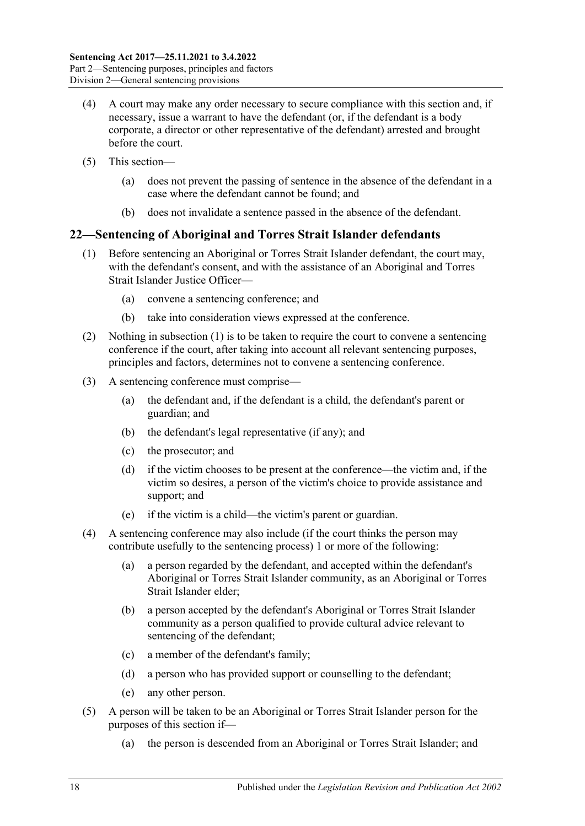- (4) A court may make any order necessary to secure compliance with this section and, if necessary, issue a warrant to have the defendant (or, if the defendant is a body corporate, a director or other representative of the defendant) arrested and brought before the court.
- (5) This section—
	- (a) does not prevent the passing of sentence in the absence of the defendant in a case where the defendant cannot be found; and
	- (b) does not invalidate a sentence passed in the absence of the defendant.

## <span id="page-17-1"></span><span id="page-17-0"></span>**22—Sentencing of Aboriginal and Torres Strait Islander defendants**

- (1) Before sentencing an Aboriginal or Torres Strait Islander defendant, the court may, with the defendant's consent, and with the assistance of an Aboriginal and Torres Strait Islander Justice Officer—
	- (a) convene a sentencing conference; and
	- (b) take into consideration views expressed at the conference.
- (2) Nothing in [subsection](#page-17-1) (1) is to be taken to require the court to convene a sentencing conference if the court, after taking into account all relevant sentencing purposes, principles and factors, determines not to convene a sentencing conference.
- (3) A sentencing conference must comprise—
	- (a) the defendant and, if the defendant is a child, the defendant's parent or guardian; and
	- (b) the defendant's legal representative (if any); and
	- (c) the prosecutor; and
	- (d) if the victim chooses to be present at the conference—the victim and, if the victim so desires, a person of the victim's choice to provide assistance and support; and
	- (e) if the victim is a child—the victim's parent or guardian.
- (4) A sentencing conference may also include (if the court thinks the person may contribute usefully to the sentencing process) 1 or more of the following:
	- (a) a person regarded by the defendant, and accepted within the defendant's Aboriginal or Torres Strait Islander community, as an Aboriginal or Torres Strait Islander elder;
	- (b) a person accepted by the defendant's Aboriginal or Torres Strait Islander community as a person qualified to provide cultural advice relevant to sentencing of the defendant;
	- (c) a member of the defendant's family;
	- (d) a person who has provided support or counselling to the defendant;
	- (e) any other person.
- (5) A person will be taken to be an Aboriginal or Torres Strait Islander person for the purposes of this section if—
	- (a) the person is descended from an Aboriginal or Torres Strait Islander; and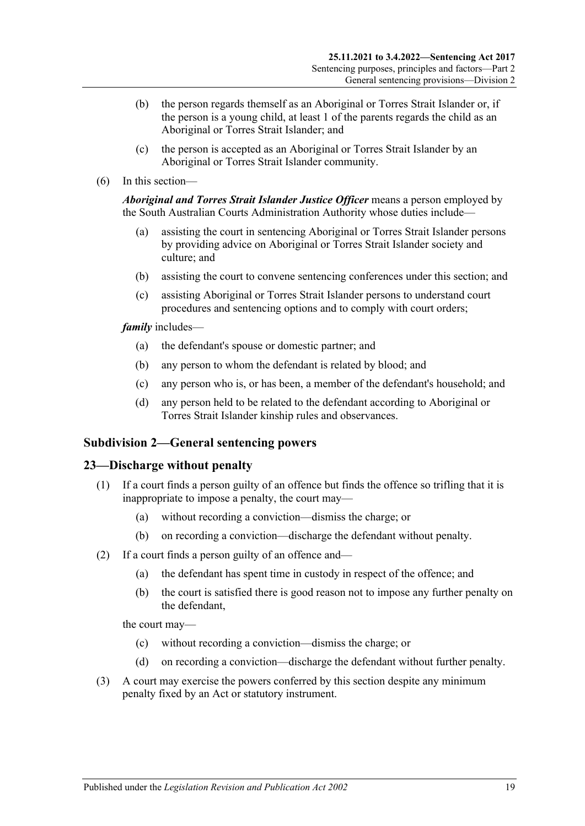- (b) the person regards themself as an Aboriginal or Torres Strait Islander or, if the person is a young child, at least 1 of the parents regards the child as an Aboriginal or Torres Strait Islander; and
- (c) the person is accepted as an Aboriginal or Torres Strait Islander by an Aboriginal or Torres Strait Islander community.
- (6) In this section—

*Aboriginal and Torres Strait Islander Justice Officer* means a person employed by the South Australian Courts Administration Authority whose duties include—

- (a) assisting the court in sentencing Aboriginal or Torres Strait Islander persons by providing advice on Aboriginal or Torres Strait Islander society and culture; and
- (b) assisting the court to convene sentencing conferences under this section; and
- (c) assisting Aboriginal or Torres Strait Islander persons to understand court procedures and sentencing options and to comply with court orders;

*family* includes—

- (a) the defendant's spouse or domestic partner; and
- (b) any person to whom the defendant is related by blood; and
- (c) any person who is, or has been, a member of the defendant's household; and
- (d) any person held to be related to the defendant according to Aboriginal or Torres Strait Islander kinship rules and observances.

#### <span id="page-18-0"></span>**Subdivision 2—General sentencing powers**

#### <span id="page-18-1"></span>**23—Discharge without penalty**

- (1) If a court finds a person guilty of an offence but finds the offence so trifling that it is inappropriate to impose a penalty, the court may—
	- (a) without recording a conviction—dismiss the charge; or
	- (b) on recording a conviction—discharge the defendant without penalty.
- (2) If a court finds a person guilty of an offence and—
	- (a) the defendant has spent time in custody in respect of the offence; and
	- (b) the court is satisfied there is good reason not to impose any further penalty on the defendant,

the court may—

- (c) without recording a conviction—dismiss the charge; or
- (d) on recording a conviction—discharge the defendant without further penalty.
- (3) A court may exercise the powers conferred by this section despite any minimum penalty fixed by an Act or statutory instrument.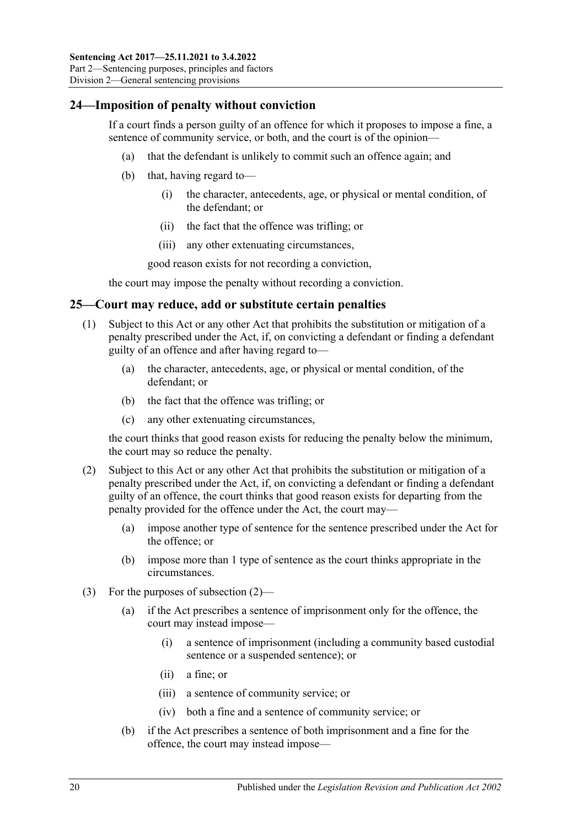## <span id="page-19-0"></span>**24—Imposition of penalty without conviction**

If a court finds a person guilty of an offence for which it proposes to impose a fine, a sentence of community service, or both, and the court is of the opinion—

- (a) that the defendant is unlikely to commit such an offence again; and
- (b) that, having regard to—
	- (i) the character, antecedents, age, or physical or mental condition, of the defendant; or
	- (ii) the fact that the offence was trifling; or
	- (iii) any other extenuating circumstances,

good reason exists for not recording a conviction,

the court may impose the penalty without recording a conviction.

#### <span id="page-19-1"></span>**25—Court may reduce, add or substitute certain penalties**

- (1) Subject to this Act or any other Act that prohibits the substitution or mitigation of a penalty prescribed under the Act, if, on convicting a defendant or finding a defendant guilty of an offence and after having regard to—
	- (a) the character, antecedents, age, or physical or mental condition, of the defendant; or
	- (b) the fact that the offence was trifling; or
	- (c) any other extenuating circumstances,

the court thinks that good reason exists for reducing the penalty below the minimum, the court may so reduce the penalty.

- <span id="page-19-2"></span>(2) Subject to this Act or any other Act that prohibits the substitution or mitigation of a penalty prescribed under the Act, if, on convicting a defendant or finding a defendant guilty of an offence, the court thinks that good reason exists for departing from the penalty provided for the offence under the Act, the court may—
	- (a) impose another type of sentence for the sentence prescribed under the Act for the offence; or
	- (b) impose more than 1 type of sentence as the court thinks appropriate in the circumstances.
- (3) For the purposes of [subsection](#page-19-2) (2)—
	- (a) if the Act prescribes a sentence of imprisonment only for the offence, the court may instead impose—
		- (i) a sentence of imprisonment (including a community based custodial sentence or a suspended sentence); or
		- (ii) a fine; or
		- (iii) a sentence of community service; or
		- (iv) both a fine and a sentence of community service; or
	- (b) if the Act prescribes a sentence of both imprisonment and a fine for the offence, the court may instead impose—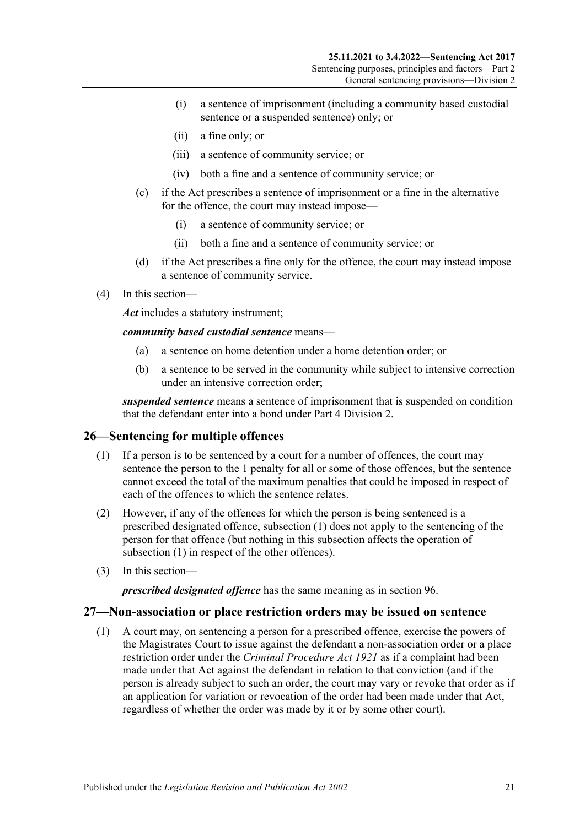- (i) a sentence of imprisonment (including a community based custodial sentence or a suspended sentence) only; or
- (ii) a fine only; or
- (iii) a sentence of community service; or
- (iv) both a fine and a sentence of community service; or
- (c) if the Act prescribes a sentence of imprisonment or a fine in the alternative for the offence, the court may instead impose—
	- (i) a sentence of community service; or
	- (ii) both a fine and a sentence of community service; or
- (d) if the Act prescribes a fine only for the offence, the court may instead impose a sentence of community service.
- (4) In this section—

*Act* includes a statutory instrument;

*community based custodial sentence* means—

- (a) a sentence on home detention under a home detention order; or
- (b) a sentence to be served in the community while subject to intensive correction under an intensive correction order;

*suspended sentence* means a sentence of imprisonment that is suspended on condition that the defendant enter into a bond under Part [4 Division](#page-78-0) 2.

## <span id="page-20-2"></span><span id="page-20-0"></span>**26—Sentencing for multiple offences**

- (1) If a person is to be sentenced by a court for a number of offences, the court may sentence the person to the 1 penalty for all or some of those offences, but the sentence cannot exceed the total of the maximum penalties that could be imposed in respect of each of the offences to which the sentence relates.
- (2) However, if any of the offences for which the person is being sentenced is a prescribed designated offence, [subsection](#page-20-2) (1) does not apply to the sentencing of the person for that offence (but nothing in this subsection affects the operation of [subsection](#page-20-2) (1) in respect of the other offences).
- (3) In this section—

*prescribed designated offence* has the same meaning as in [section](#page-78-1) 96.

#### <span id="page-20-1"></span>**27—Non-association or place restriction orders may be issued on sentence**

(1) A court may, on sentencing a person for a prescribed offence, exercise the powers of the Magistrates Court to issue against the defendant a non-association order or a place restriction order under the *[Criminal Procedure Act](http://www.legislation.sa.gov.au/index.aspx?action=legref&type=act&legtitle=Criminal%20Procedure%20Act%201921) 1921* as if a complaint had been made under that Act against the defendant in relation to that conviction (and if the person is already subject to such an order, the court may vary or revoke that order as if an application for variation or revocation of the order had been made under that Act, regardless of whether the order was made by it or by some other court).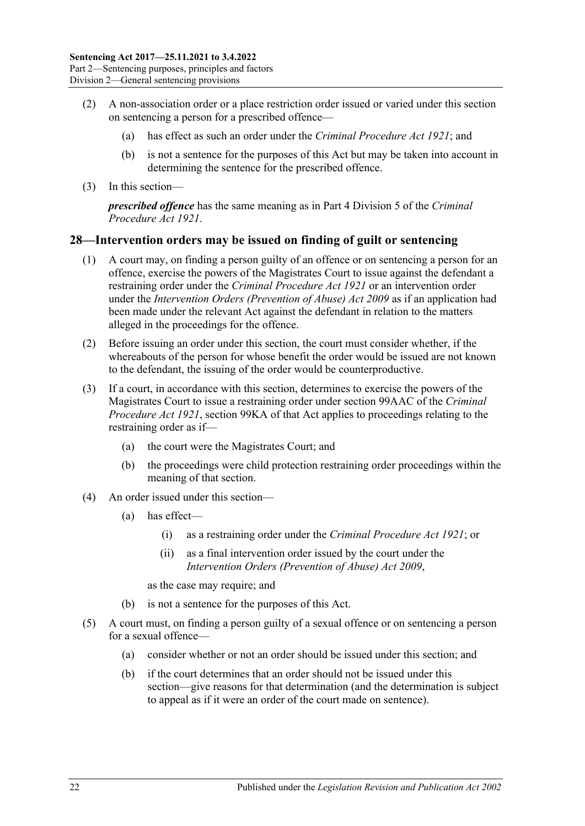- (2) A non-association order or a place restriction order issued or varied under this section on sentencing a person for a prescribed offence—
	- (a) has effect as such an order under the *[Criminal Procedure Act](http://www.legislation.sa.gov.au/index.aspx?action=legref&type=act&legtitle=Criminal%20Procedure%20Act%201921) 1921*; and
	- (b) is not a sentence for the purposes of this Act but may be taken into account in determining the sentence for the prescribed offence.
- (3) In this section—

*prescribed offence* has the same meaning as in Part 4 Division 5 of the *[Criminal](http://www.legislation.sa.gov.au/index.aspx?action=legref&type=act&legtitle=Criminal%20Procedure%20Act%201921)  [Procedure Act](http://www.legislation.sa.gov.au/index.aspx?action=legref&type=act&legtitle=Criminal%20Procedure%20Act%201921) 1921*.

#### <span id="page-21-0"></span>**28—Intervention orders may be issued on finding of guilt or sentencing**

- (1) A court may, on finding a person guilty of an offence or on sentencing a person for an offence, exercise the powers of the Magistrates Court to issue against the defendant a restraining order under the *[Criminal Procedure Act](http://www.legislation.sa.gov.au/index.aspx?action=legref&type=act&legtitle=Criminal%20Procedure%20Act%201921) 1921* or an intervention order under the *[Intervention Orders \(Prevention of Abuse\) Act](http://www.legislation.sa.gov.au/index.aspx?action=legref&type=act&legtitle=Intervention%20Orders%20(Prevention%20of%20Abuse)%20Act%202009) 2009* as if an application had been made under the relevant Act against the defendant in relation to the matters alleged in the proceedings for the offence.
- (2) Before issuing an order under this section, the court must consider whether, if the whereabouts of the person for whose benefit the order would be issued are not known to the defendant, the issuing of the order would be counterproductive.
- (3) If a court, in accordance with this section, determines to exercise the powers of the Magistrates Court to issue a restraining order under section 99AAC of the *[Criminal](http://www.legislation.sa.gov.au/index.aspx?action=legref&type=act&legtitle=Criminal%20Procedure%20Act%201921)  [Procedure Act](http://www.legislation.sa.gov.au/index.aspx?action=legref&type=act&legtitle=Criminal%20Procedure%20Act%201921) 1921*, section 99KA of that Act applies to proceedings relating to the restraining order as if—
	- (a) the court were the Magistrates Court; and
	- (b) the proceedings were child protection restraining order proceedings within the meaning of that section.
- (4) An order issued under this section—
	- (a) has effect—
		- (i) as a restraining order under the *[Criminal Procedure Act](http://www.legislation.sa.gov.au/index.aspx?action=legref&type=act&legtitle=Criminal%20Procedure%20Act%201921) 1921*; or
		- (ii) as a final intervention order issued by the court under the *[Intervention Orders \(Prevention of Abuse\) Act](http://www.legislation.sa.gov.au/index.aspx?action=legref&type=act&legtitle=Intervention%20Orders%20(Prevention%20of%20Abuse)%20Act%202009) 2009*,

as the case may require; and

- (b) is not a sentence for the purposes of this Act.
- (5) A court must, on finding a person guilty of a sexual offence or on sentencing a person for a sexual offence—
	- (a) consider whether or not an order should be issued under this section; and
	- (b) if the court determines that an order should not be issued under this section—give reasons for that determination (and the determination is subject to appeal as if it were an order of the court made on sentence).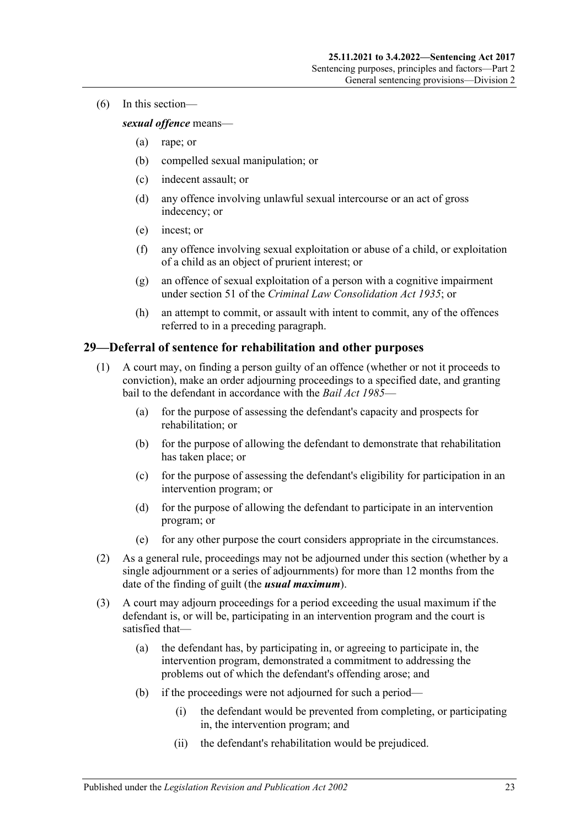(6) In this section—

#### *sexual offence* means—

- (a) rape; or
- (b) compelled sexual manipulation; or
- (c) indecent assault; or
- (d) any offence involving unlawful sexual intercourse or an act of gross indecency; or
- (e) incest; or
- (f) any offence involving sexual exploitation or abuse of a child, or exploitation of a child as an object of prurient interest; or
- (g) an offence of sexual exploitation of a person with a cognitive impairment under section 51 of the *[Criminal Law Consolidation Act](http://www.legislation.sa.gov.au/index.aspx?action=legref&type=act&legtitle=Criminal%20Law%20Consolidation%20Act%201935) 1935*; or
- (h) an attempt to commit, or assault with intent to commit, any of the offences referred to in a preceding paragraph.

### <span id="page-22-0"></span>**29—Deferral of sentence for rehabilitation and other purposes**

- (1) A court may, on finding a person guilty of an offence (whether or not it proceeds to conviction), make an order adjourning proceedings to a specified date, and granting bail to the defendant in accordance with the *[Bail Act](http://www.legislation.sa.gov.au/index.aspx?action=legref&type=act&legtitle=Bail%20Act%201985) 1985*—
	- (a) for the purpose of assessing the defendant's capacity and prospects for rehabilitation; or
	- (b) for the purpose of allowing the defendant to demonstrate that rehabilitation has taken place; or
	- (c) for the purpose of assessing the defendant's eligibility for participation in an intervention program; or
	- (d) for the purpose of allowing the defendant to participate in an intervention program; or
	- (e) for any other purpose the court considers appropriate in the circumstances.
- (2) As a general rule, proceedings may not be adjourned under this section (whether by a single adjournment or a series of adjournments) for more than 12 months from the date of the finding of guilt (the *usual maximum*).
- (3) A court may adjourn proceedings for a period exceeding the usual maximum if the defendant is, or will be, participating in an intervention program and the court is satisfied that—
	- (a) the defendant has, by participating in, or agreeing to participate in, the intervention program, demonstrated a commitment to addressing the problems out of which the defendant's offending arose; and
	- (b) if the proceedings were not adjourned for such a period—
		- (i) the defendant would be prevented from completing, or participating in, the intervention program; and
		- (ii) the defendant's rehabilitation would be prejudiced.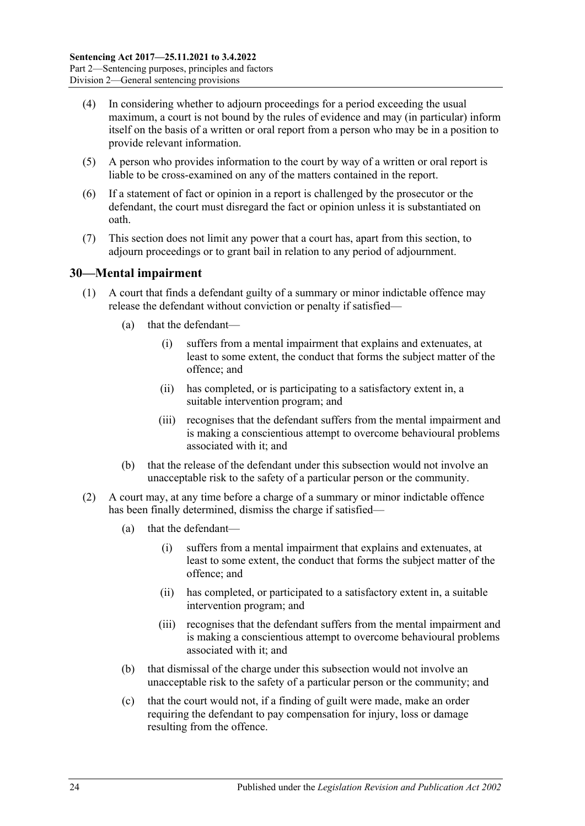- (4) In considering whether to adjourn proceedings for a period exceeding the usual maximum, a court is not bound by the rules of evidence and may (in particular) inform itself on the basis of a written or oral report from a person who may be in a position to provide relevant information.
- (5) A person who provides information to the court by way of a written or oral report is liable to be cross-examined on any of the matters contained in the report.
- (6) If a statement of fact or opinion in a report is challenged by the prosecutor or the defendant, the court must disregard the fact or opinion unless it is substantiated on oath.
- (7) This section does not limit any power that a court has, apart from this section, to adjourn proceedings or to grant bail in relation to any period of adjournment.

## <span id="page-23-0"></span>**30—Mental impairment**

- (1) A court that finds a defendant guilty of a summary or minor indictable offence may release the defendant without conviction or penalty if satisfied—
	- (a) that the defendant—
		- (i) suffers from a mental impairment that explains and extenuates, at least to some extent, the conduct that forms the subject matter of the offence; and
		- (ii) has completed, or is participating to a satisfactory extent in, a suitable intervention program; and
		- (iii) recognises that the defendant suffers from the mental impairment and is making a conscientious attempt to overcome behavioural problems associated with it; and
	- (b) that the release of the defendant under this subsection would not involve an unacceptable risk to the safety of a particular person or the community.
- <span id="page-23-1"></span>(2) A court may, at any time before a charge of a summary or minor indictable offence has been finally determined, dismiss the charge if satisfied—
	- (a) that the defendant—
		- (i) suffers from a mental impairment that explains and extenuates, at least to some extent, the conduct that forms the subject matter of the offence; and
		- (ii) has completed, or participated to a satisfactory extent in, a suitable intervention program; and
		- (iii) recognises that the defendant suffers from the mental impairment and is making a conscientious attempt to overcome behavioural problems associated with it; and
	- (b) that dismissal of the charge under this subsection would not involve an unacceptable risk to the safety of a particular person or the community; and
	- (c) that the court would not, if a finding of guilt were made, make an order requiring the defendant to pay compensation for injury, loss or damage resulting from the offence.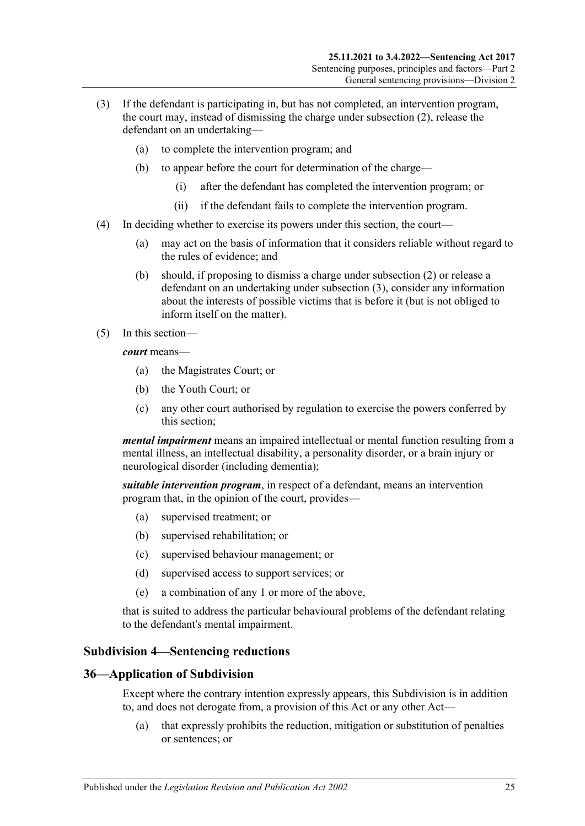- <span id="page-24-2"></span>(3) If the defendant is participating in, but has not completed, an intervention program, the court may, instead of dismissing the charge under [subsection](#page-23-1) (2), release the defendant on an undertaking—
	- (a) to complete the intervention program; and
	- (b) to appear before the court for determination of the charge—
		- (i) after the defendant has completed the intervention program; or
		- (ii) if the defendant fails to complete the intervention program.
- (4) In deciding whether to exercise its powers under this section, the court—
	- (a) may act on the basis of information that it considers reliable without regard to the rules of evidence; and
	- (b) should, if proposing to dismiss a charge under [subsection](#page-23-1) (2) or release a defendant on an undertaking under [subsection](#page-24-2) (3), consider any information about the interests of possible victims that is before it (but is not obliged to inform itself on the matter).
- (5) In this section—

*court* means—

- (a) the Magistrates Court; or
- (b) the Youth Court; or
- (c) any other court authorised by regulation to exercise the powers conferred by this section;

*mental impairment* means an impaired intellectual or mental function resulting from a mental illness, an intellectual disability, a personality disorder, or a brain injury or neurological disorder (including dementia);

*suitable intervention program*, in respect of a defendant, means an intervention program that, in the opinion of the court, provides—

- (a) supervised treatment; or
- (b) supervised rehabilitation; or
- (c) supervised behaviour management; or
- (d) supervised access to support services; or
- (e) a combination of any 1 or more of the above,

that is suited to address the particular behavioural problems of the defendant relating to the defendant's mental impairment.

## <span id="page-24-0"></span>**Subdivision 4—Sentencing reductions**

## <span id="page-24-1"></span>**36—Application of Subdivision**

Except where the contrary intention expressly appears, this Subdivision is in addition to, and does not derogate from, a provision of this Act or any other Act—

(a) that expressly prohibits the reduction, mitigation or substitution of penalties or sentences; or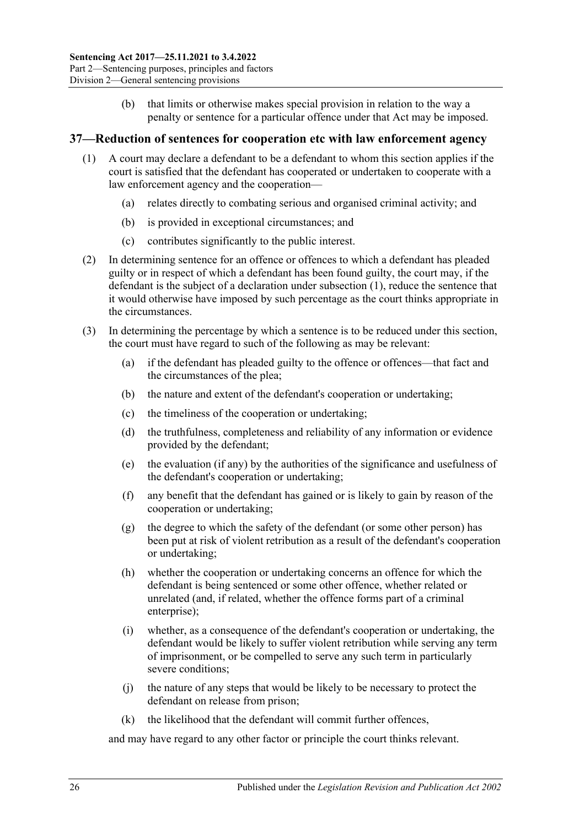(b) that limits or otherwise makes special provision in relation to the way a penalty or sentence for a particular offence under that Act may be imposed.

### <span id="page-25-1"></span><span id="page-25-0"></span>**37—Reduction of sentences for cooperation etc with law enforcement agency**

- (1) A court may declare a defendant to be a defendant to whom this section applies if the court is satisfied that the defendant has cooperated or undertaken to cooperate with a law enforcement agency and the cooperation—
	- (a) relates directly to combating serious and organised criminal activity; and
	- (b) is provided in exceptional circumstances; and
	- (c) contributes significantly to the public interest.
- (2) In determining sentence for an offence or offences to which a defendant has pleaded guilty or in respect of which a defendant has been found guilty, the court may, if the defendant is the subject of a declaration under [subsection](#page-25-1) (1), reduce the sentence that it would otherwise have imposed by such percentage as the court thinks appropriate in the circumstances.
- (3) In determining the percentage by which a sentence is to be reduced under this section, the court must have regard to such of the following as may be relevant:
	- (a) if the defendant has pleaded guilty to the offence or offences—that fact and the circumstances of the plea;
	- (b) the nature and extent of the defendant's cooperation or undertaking;
	- (c) the timeliness of the cooperation or undertaking;
	- (d) the truthfulness, completeness and reliability of any information or evidence provided by the defendant;
	- (e) the evaluation (if any) by the authorities of the significance and usefulness of the defendant's cooperation or undertaking;
	- (f) any benefit that the defendant has gained or is likely to gain by reason of the cooperation or undertaking;
	- (g) the degree to which the safety of the defendant (or some other person) has been put at risk of violent retribution as a result of the defendant's cooperation or undertaking;
	- (h) whether the cooperation or undertaking concerns an offence for which the defendant is being sentenced or some other offence, whether related or unrelated (and, if related, whether the offence forms part of a criminal enterprise);
	- (i) whether, as a consequence of the defendant's cooperation or undertaking, the defendant would be likely to suffer violent retribution while serving any term of imprisonment, or be compelled to serve any such term in particularly severe conditions;
	- (j) the nature of any steps that would be likely to be necessary to protect the defendant on release from prison;
	- (k) the likelihood that the defendant will commit further offences,

and may have regard to any other factor or principle the court thinks relevant.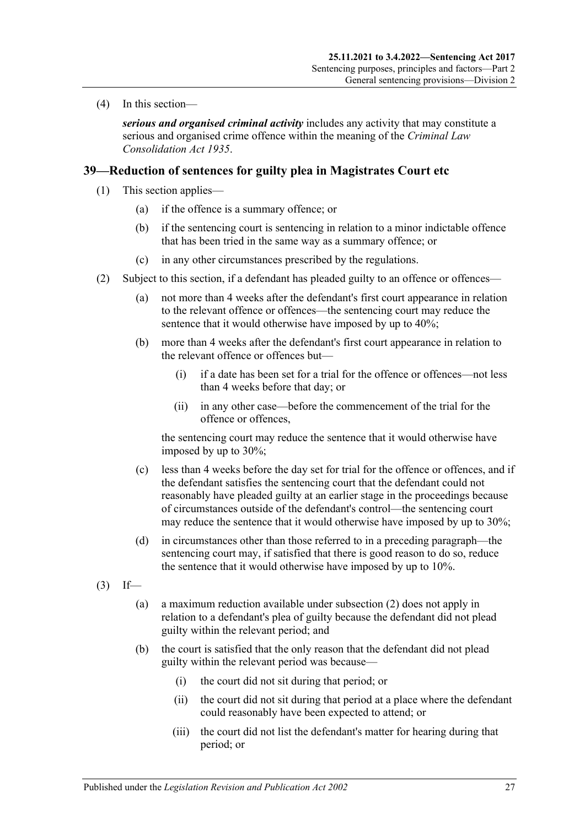(4) In this section—

*serious and organised criminal activity* includes any activity that may constitute a serious and organised crime offence within the meaning of the *[Criminal Law](http://www.legislation.sa.gov.au/index.aspx?action=legref&type=act&legtitle=Criminal%20Law%20Consolidation%20Act%201935)  [Consolidation Act](http://www.legislation.sa.gov.au/index.aspx?action=legref&type=act&legtitle=Criminal%20Law%20Consolidation%20Act%201935) 1935*.

## <span id="page-26-4"></span><span id="page-26-0"></span>**39—Reduction of sentences for guilty plea in Magistrates Court etc**

- (1) This section applies—
	- (a) if the offence is a summary offence; or
	- (b) if the sentencing court is sentencing in relation to a minor indictable offence that has been tried in the same way as a summary offence; or
	- (c) in any other circumstances prescribed by the regulations.
- <span id="page-26-3"></span><span id="page-26-1"></span>(2) Subject to this section, if a defendant has pleaded guilty to an offence or offences—
	- (a) not more than 4 weeks after the defendant's first court appearance in relation to the relevant offence or offences—the sentencing court may reduce the sentence that it would otherwise have imposed by up to 40%;
	- (b) more than 4 weeks after the defendant's first court appearance in relation to the relevant offence or offences but—
		- (i) if a date has been set for a trial for the offence or offences—not less than 4 weeks before that day; or
		- (ii) in any other case—before the commencement of the trial for the offence or offences,

the sentencing court may reduce the sentence that it would otherwise have imposed by up to 30%;

- (c) less than 4 weeks before the day set for trial for the offence or offences, and if the defendant satisfies the sentencing court that the defendant could not reasonably have pleaded guilty at an earlier stage in the proceedings because of circumstances outside of the defendant's control—the sentencing court may reduce the sentence that it would otherwise have imposed by up to 30%;
- (d) in circumstances other than those referred to in a preceding paragraph—the sentencing court may, if satisfied that there is good reason to do so, reduce the sentence that it would otherwise have imposed by up to 10%.
- <span id="page-26-2"></span> $(3)$  If—
	- (a) a maximum reduction available under [subsection](#page-26-1) (2) does not apply in relation to a defendant's plea of guilty because the defendant did not plead guilty within the relevant period; and
	- (b) the court is satisfied that the only reason that the defendant did not plead guilty within the relevant period was because—
		- (i) the court did not sit during that period; or
		- (ii) the court did not sit during that period at a place where the defendant could reasonably have been expected to attend; or
		- (iii) the court did not list the defendant's matter for hearing during that period; or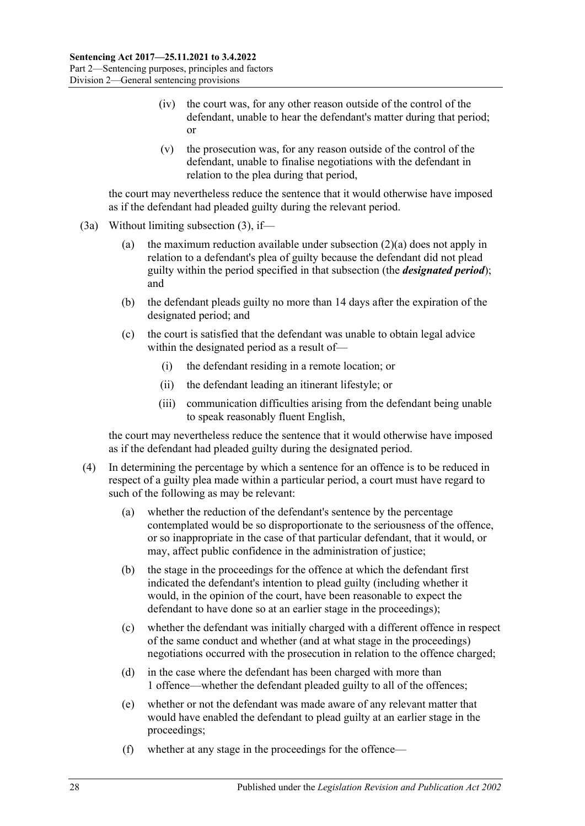- (iv) the court was, for any other reason outside of the control of the defendant, unable to hear the defendant's matter during that period; or
- (v) the prosecution was, for any reason outside of the control of the defendant, unable to finalise negotiations with the defendant in relation to the plea during that period,

the court may nevertheless reduce the sentence that it would otherwise have imposed as if the defendant had pleaded guilty during the relevant period.

- (3a) Without limiting [subsection](#page-26-2) (3), if—
	- (a) the maximum reduction available under [subsection](#page-26-3) (2)(a) does not apply in relation to a defendant's plea of guilty because the defendant did not plead guilty within the period specified in that subsection (the *designated period*); and
	- (b) the defendant pleads guilty no more than 14 days after the expiration of the designated period; and
	- (c) the court is satisfied that the defendant was unable to obtain legal advice within the designated period as a result of—
		- (i) the defendant residing in a remote location; or
		- (ii) the defendant leading an itinerant lifestyle; or
		- (iii) communication difficulties arising from the defendant being unable to speak reasonably fluent English,

the court may nevertheless reduce the sentence that it would otherwise have imposed as if the defendant had pleaded guilty during the designated period.

- (4) In determining the percentage by which a sentence for an offence is to be reduced in respect of a guilty plea made within a particular period, a court must have regard to such of the following as may be relevant:
	- (a) whether the reduction of the defendant's sentence by the percentage contemplated would be so disproportionate to the seriousness of the offence, or so inappropriate in the case of that particular defendant, that it would, or may, affect public confidence in the administration of justice;
	- (b) the stage in the proceedings for the offence at which the defendant first indicated the defendant's intention to plead guilty (including whether it would, in the opinion of the court, have been reasonable to expect the defendant to have done so at an earlier stage in the proceedings);
	- (c) whether the defendant was initially charged with a different offence in respect of the same conduct and whether (and at what stage in the proceedings) negotiations occurred with the prosecution in relation to the offence charged;
	- (d) in the case where the defendant has been charged with more than 1 offence—whether the defendant pleaded guilty to all of the offences;
	- (e) whether or not the defendant was made aware of any relevant matter that would have enabled the defendant to plead guilty at an earlier stage in the proceedings;
	- (f) whether at any stage in the proceedings for the offence—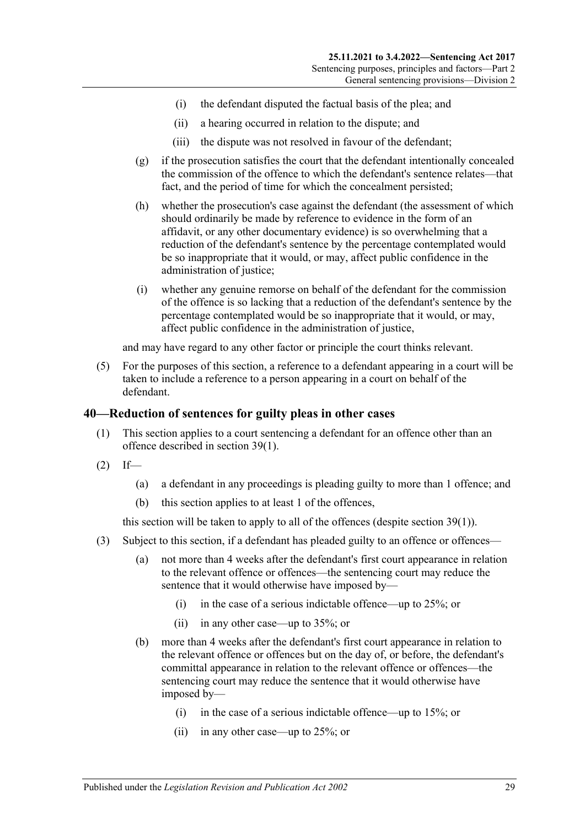- (i) the defendant disputed the factual basis of the plea; and
- (ii) a hearing occurred in relation to the dispute; and
- (iii) the dispute was not resolved in favour of the defendant;
- (g) if the prosecution satisfies the court that the defendant intentionally concealed the commission of the offence to which the defendant's sentence relates—that fact, and the period of time for which the concealment persisted;
- (h) whether the prosecution's case against the defendant (the assessment of which should ordinarily be made by reference to evidence in the form of an affidavit, or any other documentary evidence) is so overwhelming that a reduction of the defendant's sentence by the percentage contemplated would be so inappropriate that it would, or may, affect public confidence in the administration of justice;
- (i) whether any genuine remorse on behalf of the defendant for the commission of the offence is so lacking that a reduction of the defendant's sentence by the percentage contemplated would be so inappropriate that it would, or may, affect public confidence in the administration of justice,

and may have regard to any other factor or principle the court thinks relevant.

(5) For the purposes of this section, a reference to a defendant appearing in a court will be taken to include a reference to a person appearing in a court on behalf of the defendant.

#### <span id="page-28-0"></span>**40—Reduction of sentences for guilty pleas in other cases**

- (1) This section applies to a court sentencing a defendant for an offence other than an offence described in [section](#page-26-4) 39(1).
- $(2)$  If—
	- (a) a defendant in any proceedings is pleading guilty to more than 1 offence; and
	- (b) this section applies to at least 1 of the offences,

this section will be taken to apply to all of the offences (despite [section](#page-26-4) 39(1)).

- <span id="page-28-1"></span>(3) Subject to this section, if a defendant has pleaded guilty to an offence or offences—
	- (a) not more than 4 weeks after the defendant's first court appearance in relation to the relevant offence or offences—the sentencing court may reduce the sentence that it would otherwise have imposed by—
		- (i) in the case of a serious indictable offence—up to 25%; or
		- (ii) in any other case—up to 35%; or
	- (b) more than 4 weeks after the defendant's first court appearance in relation to the relevant offence or offences but on the day of, or before, the defendant's committal appearance in relation to the relevant offence or offences—the sentencing court may reduce the sentence that it would otherwise have imposed by—
		- (i) in the case of a serious indictable offence—up to 15%; or
		- (ii) in any other case—up to 25%; or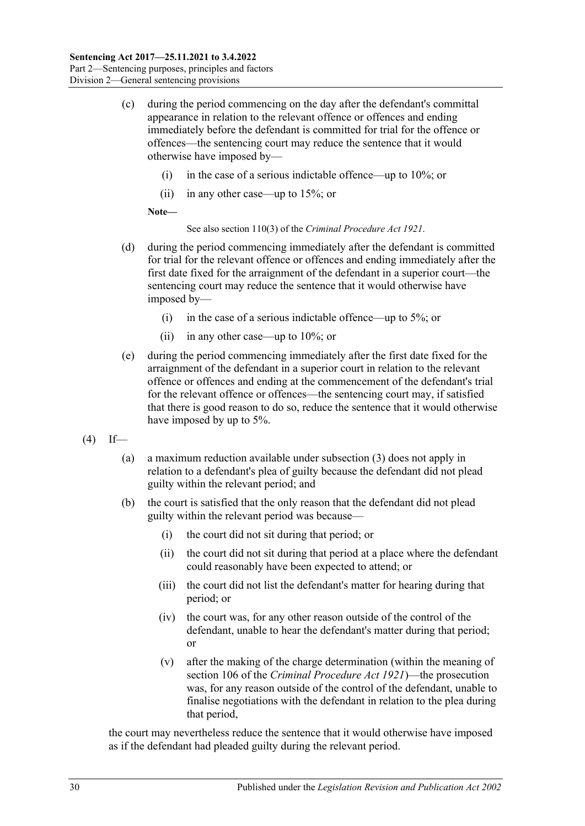- (c) during the period commencing on the day after the defendant's committal appearance in relation to the relevant offence or offences and ending immediately before the defendant is committed for trial for the offence or offences—the sentencing court may reduce the sentence that it would otherwise have imposed by—
	- (i) in the case of a serious indictable offence—up to  $10\%$ ; or
	- (ii) in any other case—up to 15%; or

**Note—**

See also section 110(3) of the *[Criminal Procedure Act](http://www.legislation.sa.gov.au/index.aspx?action=legref&type=act&legtitle=Criminal%20Procedure%20Act%201921) 1921*.

- (d) during the period commencing immediately after the defendant is committed for trial for the relevant offence or offences and ending immediately after the first date fixed for the arraignment of the defendant in a superior court—the sentencing court may reduce the sentence that it would otherwise have imposed by—
	- (i) in the case of a serious indictable offence—up to 5%; or
	- (ii) in any other case—up to 10%; or
- (e) during the period commencing immediately after the first date fixed for the arraignment of the defendant in a superior court in relation to the relevant offence or offences and ending at the commencement of the defendant's trial for the relevant offence or offences—the sentencing court may, if satisfied that there is good reason to do so, reduce the sentence that it would otherwise have imposed by up to 5%.
- <span id="page-29-0"></span> $(4)$  If—
	- (a) a maximum reduction available under subsection (3) does not apply in relation to a defendant's plea of guilty because the defendant did not plead guilty within the relevant period; and
	- (b) the court is satisfied that the only reason that the defendant did not plead guilty within the relevant period was because—
		- (i) the court did not sit during that period; or
		- (ii) the court did not sit during that period at a place where the defendant could reasonably have been expected to attend; or
		- (iii) the court did not list the defendant's matter for hearing during that period; or
		- (iv) the court was, for any other reason outside of the control of the defendant, unable to hear the defendant's matter during that period; or
		- (v) after the making of the charge determination (within the meaning of section 106 of the *[Criminal Procedure Act](http://www.legislation.sa.gov.au/index.aspx?action=legref&type=act&legtitle=Criminal%20Procedure%20Act%201921) 1921*)—the prosecution was, for any reason outside of the control of the defendant, unable to finalise negotiations with the defendant in relation to the plea during that period,

the court may nevertheless reduce the sentence that it would otherwise have imposed as if the defendant had pleaded guilty during the relevant period.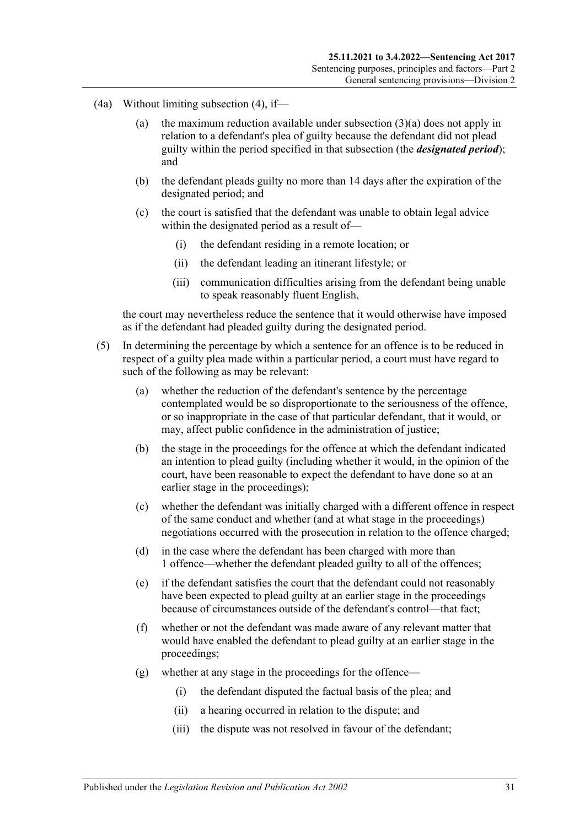- (4a) Without limiting [subsection](#page-29-0) (4), if—
	- (a) the maximum reduction available under [subsection](#page-28-1) (3)(a) does not apply in relation to a defendant's plea of guilty because the defendant did not plead guilty within the period specified in that subsection (the *designated period*); and
	- (b) the defendant pleads guilty no more than 14 days after the expiration of the designated period; and
	- (c) the court is satisfied that the defendant was unable to obtain legal advice within the designated period as a result of—
		- (i) the defendant residing in a remote location; or
		- (ii) the defendant leading an itinerant lifestyle; or
		- (iii) communication difficulties arising from the defendant being unable to speak reasonably fluent English,

the court may nevertheless reduce the sentence that it would otherwise have imposed as if the defendant had pleaded guilty during the designated period.

- (5) In determining the percentage by which a sentence for an offence is to be reduced in respect of a guilty plea made within a particular period, a court must have regard to such of the following as may be relevant:
	- (a) whether the reduction of the defendant's sentence by the percentage contemplated would be so disproportionate to the seriousness of the offence, or so inappropriate in the case of that particular defendant, that it would, or may, affect public confidence in the administration of justice;
	- (b) the stage in the proceedings for the offence at which the defendant indicated an intention to plead guilty (including whether it would, in the opinion of the court, have been reasonable to expect the defendant to have done so at an earlier stage in the proceedings);
	- (c) whether the defendant was initially charged with a different offence in respect of the same conduct and whether (and at what stage in the proceedings) negotiations occurred with the prosecution in relation to the offence charged;
	- (d) in the case where the defendant has been charged with more than 1 offence—whether the defendant pleaded guilty to all of the offences;
	- (e) if the defendant satisfies the court that the defendant could not reasonably have been expected to plead guilty at an earlier stage in the proceedings because of circumstances outside of the defendant's control—that fact;
	- (f) whether or not the defendant was made aware of any relevant matter that would have enabled the defendant to plead guilty at an earlier stage in the proceedings;
	- (g) whether at any stage in the proceedings for the offence—
		- (i) the defendant disputed the factual basis of the plea; and
		- (ii) a hearing occurred in relation to the dispute; and
		- (iii) the dispute was not resolved in favour of the defendant;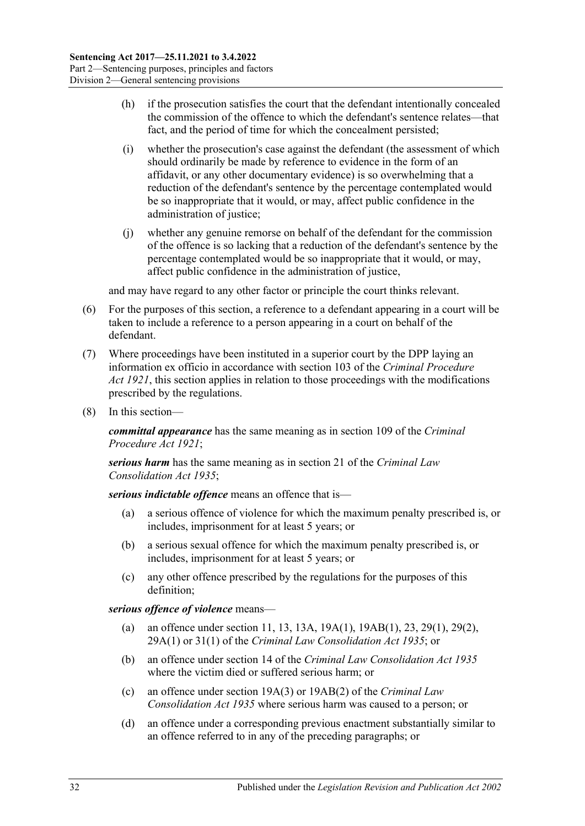- (h) if the prosecution satisfies the court that the defendant intentionally concealed the commission of the offence to which the defendant's sentence relates—that fact, and the period of time for which the concealment persisted;
- (i) whether the prosecution's case against the defendant (the assessment of which should ordinarily be made by reference to evidence in the form of an affidavit, or any other documentary evidence) is so overwhelming that a reduction of the defendant's sentence by the percentage contemplated would be so inappropriate that it would, or may, affect public confidence in the administration of justice;
- (j) whether any genuine remorse on behalf of the defendant for the commission of the offence is so lacking that a reduction of the defendant's sentence by the percentage contemplated would be so inappropriate that it would, or may, affect public confidence in the administration of justice,

and may have regard to any other factor or principle the court thinks relevant.

- (6) For the purposes of this section, a reference to a defendant appearing in a court will be taken to include a reference to a person appearing in a court on behalf of the defendant.
- (7) Where proceedings have been instituted in a superior court by the DPP laying an information ex officio in accordance with section 103 of the *[Criminal Procedure](http://www.legislation.sa.gov.au/index.aspx?action=legref&type=act&legtitle=Criminal%20Procedure%20Act%201921)  Act [1921](http://www.legislation.sa.gov.au/index.aspx?action=legref&type=act&legtitle=Criminal%20Procedure%20Act%201921)*, this section applies in relation to those proceedings with the modifications prescribed by the regulations.
- (8) In this section—

*committal appearance* has the same meaning as in section 109 of the *[Criminal](http://www.legislation.sa.gov.au/index.aspx?action=legref&type=act&legtitle=Criminal%20Procedure%20Act%201921)  [Procedure Act](http://www.legislation.sa.gov.au/index.aspx?action=legref&type=act&legtitle=Criminal%20Procedure%20Act%201921) 1921*;

*serious harm* has the same meaning as in section 21 of the *[Criminal Law](http://www.legislation.sa.gov.au/index.aspx?action=legref&type=act&legtitle=Criminal%20Law%20Consolidation%20Act%201935)  [Consolidation Act](http://www.legislation.sa.gov.au/index.aspx?action=legref&type=act&legtitle=Criminal%20Law%20Consolidation%20Act%201935) 1935*;

*serious indictable offence* means an offence that is—

- (a) a serious offence of violence for which the maximum penalty prescribed is, or includes, imprisonment for at least 5 years; or
- (b) a serious sexual offence for which the maximum penalty prescribed is, or includes, imprisonment for at least 5 years; or
- (c) any other offence prescribed by the regulations for the purposes of this definition;

*serious offence of violence* means—

- (a) an offence under section 11, 13, 13A, 19A(1), 19AB(1), 23, 29(1), 29(2), 29A(1) or 31(1) of the *[Criminal Law Consolidation Act](http://www.legislation.sa.gov.au/index.aspx?action=legref&type=act&legtitle=Criminal%20Law%20Consolidation%20Act%201935) 1935*; or
- (b) an offence under section 14 of the *[Criminal Law Consolidation Act](http://www.legislation.sa.gov.au/index.aspx?action=legref&type=act&legtitle=Criminal%20Law%20Consolidation%20Act%201935) 1935* where the victim died or suffered serious harm; or
- (c) an offence under section 19A(3) or 19AB(2) of the *[Criminal Law](http://www.legislation.sa.gov.au/index.aspx?action=legref&type=act&legtitle=Criminal%20Law%20Consolidation%20Act%201935)  [Consolidation Act](http://www.legislation.sa.gov.au/index.aspx?action=legref&type=act&legtitle=Criminal%20Law%20Consolidation%20Act%201935) 1935* where serious harm was caused to a person; or
- (d) an offence under a corresponding previous enactment substantially similar to an offence referred to in any of the preceding paragraphs; or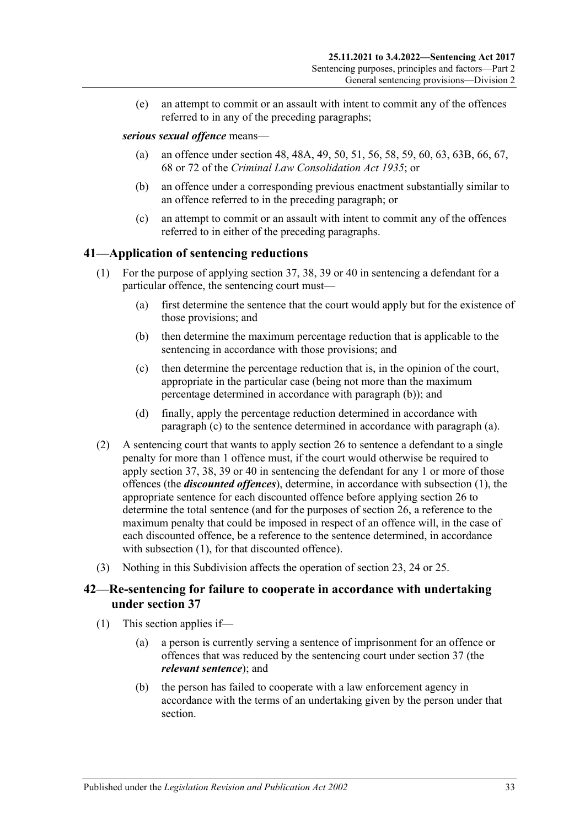(e) an attempt to commit or an assault with intent to commit any of the offences referred to in any of the preceding paragraphs;

#### *serious sexual offence* means—

- (a) an offence under section 48, 48A, 49, 50, 51, 56, 58, 59, 60, 63, 63B, 66, 67, 68 or 72 of the *[Criminal Law Consolidation Act](http://www.legislation.sa.gov.au/index.aspx?action=legref&type=act&legtitle=Criminal%20Law%20Consolidation%20Act%201935) 1935*; or
- (b) an offence under a corresponding previous enactment substantially similar to an offence referred to in the preceding paragraph; or
- (c) an attempt to commit or an assault with intent to commit any of the offences referred to in either of the preceding paragraphs.

## <span id="page-32-5"></span><span id="page-32-0"></span>**41—Application of sentencing reductions**

- <span id="page-32-4"></span><span id="page-32-2"></span>(1) For the purpose of applying [section](#page-25-0) 37, 38, [39](#page-26-0) or [40](#page-28-0) in sentencing a defendant for a particular offence, the sentencing court must—
	- (a) first determine the sentence that the court would apply but for the existence of those provisions; and
	- (b) then determine the maximum percentage reduction that is applicable to the sentencing in accordance with those provisions; and
	- (c) then determine the percentage reduction that is, in the opinion of the court, appropriate in the particular case (being not more than the maximum percentage determined in accordance with [paragraph](#page-32-2) (b)); and
	- (d) finally, apply the percentage reduction determined in accordance with [paragraph](#page-32-3) (c) to the sentence determined in accordance with [paragraph](#page-32-4) (a).
- <span id="page-32-3"></span>(2) A sentencing court that wants to apply [section](#page-20-0) 26 to sentence a defendant to a single penalty for more than 1 offence must, if the court would otherwise be required to apply [section](#page-25-0) 37, 38, [39](#page-26-0) or [40](#page-28-0) in sentencing the defendant for any 1 or more of those offences (the *discounted offences*), determine, in accordance with [subsection](#page-32-5) (1), the appropriate sentence for each discounted offence before applying [section](#page-20-0) 26 to determine the total sentence (and for the purposes of [section](#page-20-0) 26, a reference to the maximum penalty that could be imposed in respect of an offence will, in the case of each discounted offence, be a reference to the sentence determined, in accordance with [subsection](#page-32-5) (1), for that discounted offence).
- (3) Nothing in this Subdivision affects the operation of [section 23,](#page-18-1) [24](#page-19-0) or [25.](#page-19-1)

## <span id="page-32-1"></span>**42—Re-sentencing for failure to cooperate in accordance with undertaking under [section](#page-25-0) 37**

- (1) This section applies if—
	- (a) a person is currently serving a sentence of imprisonment for an offence or offences that was reduced by the sentencing court under [section](#page-25-0) 37 (the *relevant sentence*); and
	- (b) the person has failed to cooperate with a law enforcement agency in accordance with the terms of an undertaking given by the person under that section.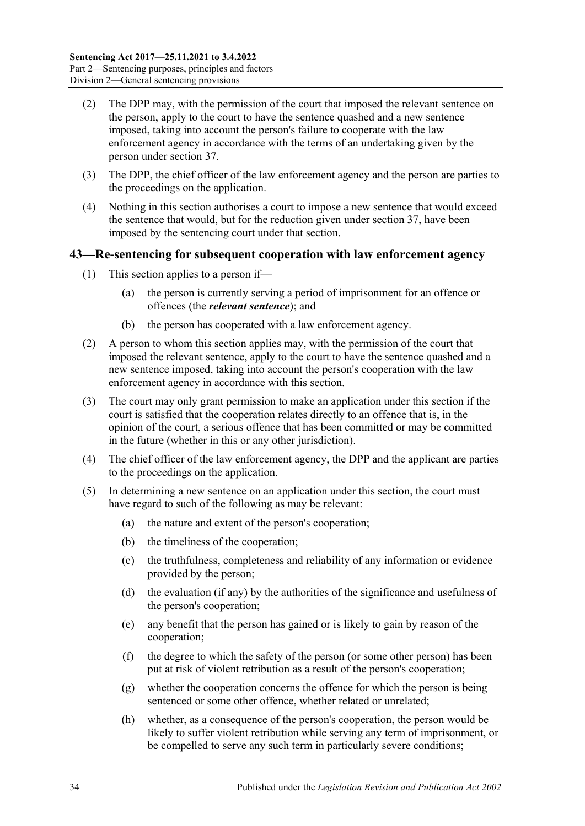- (2) The DPP may, with the permission of the court that imposed the relevant sentence on the person, apply to the court to have the sentence quashed and a new sentence imposed, taking into account the person's failure to cooperate with the law enforcement agency in accordance with the terms of an undertaking given by the person under [section](#page-25-0) 37.
- (3) The DPP, the chief officer of the law enforcement agency and the person are parties to the proceedings on the application.
- (4) Nothing in this section authorises a court to impose a new sentence that would exceed the sentence that would, but for the reduction given under [section](#page-25-0) 37, have been imposed by the sentencing court under that section.

### <span id="page-33-0"></span>**43—Re-sentencing for subsequent cooperation with law enforcement agency**

- (1) This section applies to a person if—
	- (a) the person is currently serving a period of imprisonment for an offence or offences (the *relevant sentence*); and
	- (b) the person has cooperated with a law enforcement agency.
- (2) A person to whom this section applies may, with the permission of the court that imposed the relevant sentence, apply to the court to have the sentence quashed and a new sentence imposed, taking into account the person's cooperation with the law enforcement agency in accordance with this section.
- (3) The court may only grant permission to make an application under this section if the court is satisfied that the cooperation relates directly to an offence that is, in the opinion of the court, a serious offence that has been committed or may be committed in the future (whether in this or any other jurisdiction).
- (4) The chief officer of the law enforcement agency, the DPP and the applicant are parties to the proceedings on the application.
- (5) In determining a new sentence on an application under this section, the court must have regard to such of the following as may be relevant:
	- (a) the nature and extent of the person's cooperation;
	- (b) the timeliness of the cooperation;
	- (c) the truthfulness, completeness and reliability of any information or evidence provided by the person;
	- (d) the evaluation (if any) by the authorities of the significance and usefulness of the person's cooperation;
	- (e) any benefit that the person has gained or is likely to gain by reason of the cooperation;
	- (f) the degree to which the safety of the person (or some other person) has been put at risk of violent retribution as a result of the person's cooperation;
	- (g) whether the cooperation concerns the offence for which the person is being sentenced or some other offence, whether related or unrelated;
	- (h) whether, as a consequence of the person's cooperation, the person would be likely to suffer violent retribution while serving any term of imprisonment, or be compelled to serve any such term in particularly severe conditions;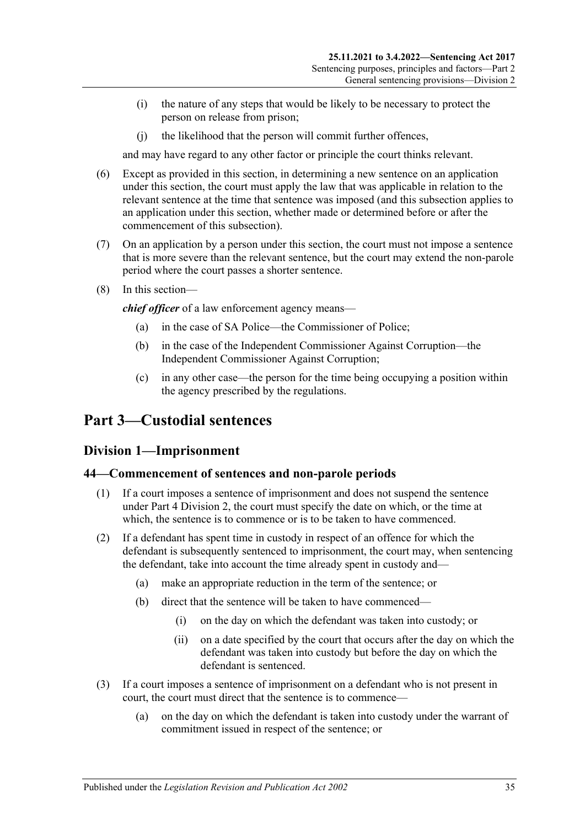- (i) the nature of any steps that would be likely to be necessary to protect the person on release from prison;
- (j) the likelihood that the person will commit further offences,

and may have regard to any other factor or principle the court thinks relevant.

- (6) Except as provided in this section, in determining a new sentence on an application under this section, the court must apply the law that was applicable in relation to the relevant sentence at the time that sentence was imposed (and this subsection applies to an application under this section, whether made or determined before or after the commencement of this subsection).
- (7) On an application by a person under this section, the court must not impose a sentence that is more severe than the relevant sentence, but the court may extend the non-parole period where the court passes a shorter sentence.
- (8) In this section—

*chief officer* of a law enforcement agency means—

- (a) in the case of SA Police—the Commissioner of Police;
- (b) in the case of the Independent Commissioner Against Corruption—the Independent Commissioner Against Corruption;
- (c) in any other case—the person for the time being occupying a position within the agency prescribed by the regulations.

## <span id="page-34-1"></span><span id="page-34-0"></span>**Part 3—Custodial sentences**

## **Division 1—Imprisonment**

#### <span id="page-34-2"></span>**44—Commencement of sentences and non-parole periods**

- (1) If a court imposes a sentence of imprisonment and does not suspend the sentence under Part [4 Division](#page-78-0) 2, the court must specify the date on which, or the time at which, the sentence is to commence or is to be taken to have commenced.
- (2) If a defendant has spent time in custody in respect of an offence for which the defendant is subsequently sentenced to imprisonment, the court may, when sentencing the defendant, take into account the time already spent in custody and—
	- (a) make an appropriate reduction in the term of the sentence; or
	- (b) direct that the sentence will be taken to have commenced—
		- (i) on the day on which the defendant was taken into custody; or
		- (ii) on a date specified by the court that occurs after the day on which the defendant was taken into custody but before the day on which the defendant is sentenced.
- (3) If a court imposes a sentence of imprisonment on a defendant who is not present in court, the court must direct that the sentence is to commence—
	- (a) on the day on which the defendant is taken into custody under the warrant of commitment issued in respect of the sentence; or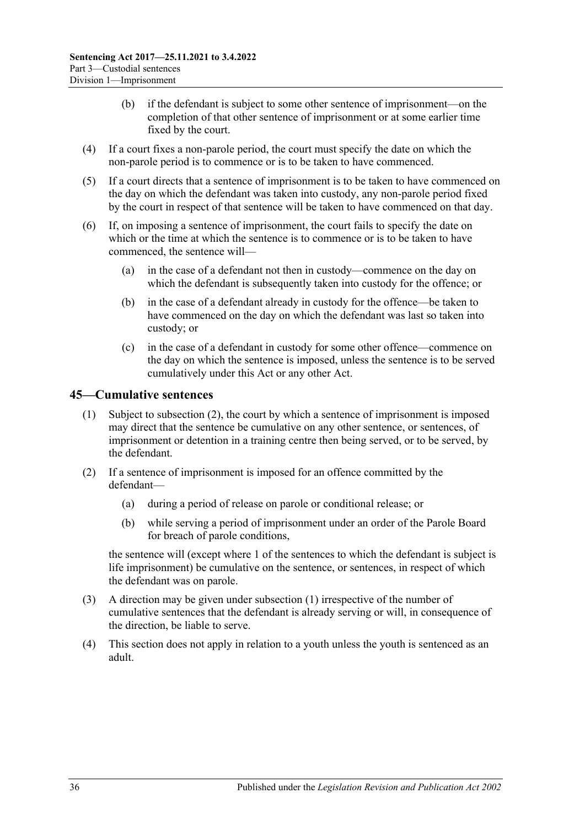- (b) if the defendant is subject to some other sentence of imprisonment—on the completion of that other sentence of imprisonment or at some earlier time fixed by the court.
- (4) If a court fixes a non-parole period, the court must specify the date on which the non-parole period is to commence or is to be taken to have commenced.
- (5) If a court directs that a sentence of imprisonment is to be taken to have commenced on the day on which the defendant was taken into custody, any non-parole period fixed by the court in respect of that sentence will be taken to have commenced on that day.
- (6) If, on imposing a sentence of imprisonment, the court fails to specify the date on which or the time at which the sentence is to commence or is to be taken to have commenced, the sentence will—
	- (a) in the case of a defendant not then in custody—commence on the day on which the defendant is subsequently taken into custody for the offence; or
	- (b) in the case of a defendant already in custody for the offence—be taken to have commenced on the day on which the defendant was last so taken into custody; or
	- (c) in the case of a defendant in custody for some other offence—commence on the day on which the sentence is imposed, unless the sentence is to be served cumulatively under this Act or any other Act.

## <span id="page-35-2"></span><span id="page-35-0"></span>**45—Cumulative sentences**

- (1) Subject to [subsection](#page-35-1) (2), the court by which a sentence of imprisonment is imposed may direct that the sentence be cumulative on any other sentence, or sentences, of imprisonment or detention in a training centre then being served, or to be served, by the defendant.
- <span id="page-35-1"></span>(2) If a sentence of imprisonment is imposed for an offence committed by the defendant—
	- (a) during a period of release on parole or conditional release; or
	- (b) while serving a period of imprisonment under an order of the Parole Board for breach of parole conditions,

the sentence will (except where 1 of the sentences to which the defendant is subject is life imprisonment) be cumulative on the sentence, or sentences, in respect of which the defendant was on parole.

- (3) A direction may be given under [subsection](#page-35-2) (1) irrespective of the number of cumulative sentences that the defendant is already serving or will, in consequence of the direction, be liable to serve.
- (4) This section does not apply in relation to a youth unless the youth is sentenced as an adult.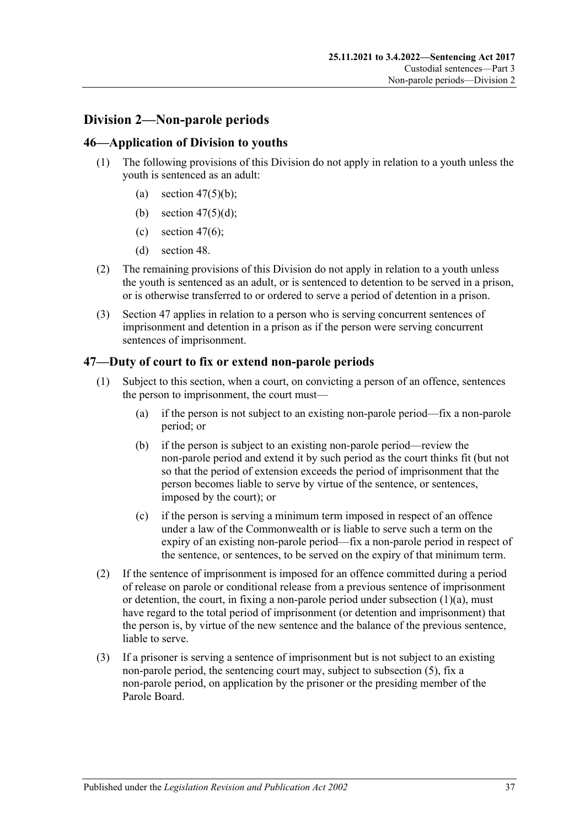# **Division 2—Non-parole periods**

## **46—Application of Division to youths**

- (1) The following provisions of this Division do not apply in relation to a youth unless the youth is sentenced as an adult:
	- (a) section  $47(5)(b)$ ;
	- (b) section [47\(5\)\(d\);](#page-37-1)
	- (c) [section](#page-37-2)  $47(6)$ ;
	- (d) [section](#page-39-0) 48.
- (2) The remaining provisions of this Division do not apply in relation to a youth unless the youth is sentenced as an adult, or is sentenced to detention to be served in a prison, or is otherwise transferred to or ordered to serve a period of detention in a prison.
- (3) [Section](#page-36-0) 47 applies in relation to a person who is serving concurrent sentences of imprisonment and detention in a prison as if the person were serving concurrent sentences of imprisonment.

## <span id="page-36-0"></span>**47—Duty of court to fix or extend non-parole periods**

- <span id="page-36-1"></span>(1) Subject to this section, when a court, on convicting a person of an offence, sentences the person to imprisonment, the court must—
	- (a) if the person is not subject to an existing non-parole period—fix a non-parole period; or
	- (b) if the person is subject to an existing non-parole period—review the non-parole period and extend it by such period as the court thinks fit (but not so that the period of extension exceeds the period of imprisonment that the person becomes liable to serve by virtue of the sentence, or sentences, imposed by the court); or
	- (c) if the person is serving a minimum term imposed in respect of an offence under a law of the Commonwealth or is liable to serve such a term on the expiry of an existing non-parole period—fix a non-parole period in respect of the sentence, or sentences, to be served on the expiry of that minimum term.
- (2) If the sentence of imprisonment is imposed for an offence committed during a period of release on parole or conditional release from a previous sentence of imprisonment or detention, the court, in fixing a non-parole period under [subsection](#page-36-1)  $(1)(a)$ , must have regard to the total period of imprisonment (or detention and imprisonment) that the person is, by virtue of the new sentence and the balance of the previous sentence, liable to serve.
- <span id="page-36-2"></span>(3) If a prisoner is serving a sentence of imprisonment but is not subject to an existing non-parole period, the sentencing court may, subject to [subsection](#page-37-3) (5), fix a non-parole period, on application by the prisoner or the presiding member of the Parole Board.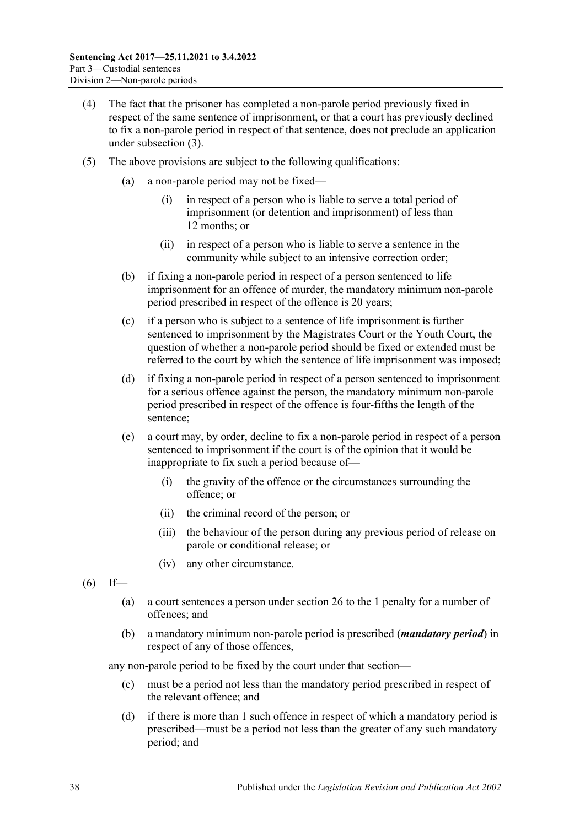- (4) The fact that the prisoner has completed a non-parole period previously fixed in respect of the same sentence of imprisonment, or that a court has previously declined to fix a non-parole period in respect of that sentence, does not preclude an application under [subsection](#page-36-2) (3).
- <span id="page-37-3"></span><span id="page-37-1"></span><span id="page-37-0"></span>(5) The above provisions are subject to the following qualifications:
	- (a) a non-parole period may not be fixed—
		- (i) in respect of a person who is liable to serve a total period of imprisonment (or detention and imprisonment) of less than 12 months; or
		- (ii) in respect of a person who is liable to serve a sentence in the community while subject to an intensive correction order;
	- (b) if fixing a non-parole period in respect of a person sentenced to life imprisonment for an offence of murder, the mandatory minimum non-parole period prescribed in respect of the offence is 20 years;
	- (c) if a person who is subject to a sentence of life imprisonment is further sentenced to imprisonment by the Magistrates Court or the Youth Court, the question of whether a non-parole period should be fixed or extended must be referred to the court by which the sentence of life imprisonment was imposed;
	- (d) if fixing a non-parole period in respect of a person sentenced to imprisonment for a serious offence against the person, the mandatory minimum non-parole period prescribed in respect of the offence is four-fifths the length of the sentence;
	- (e) a court may, by order, decline to fix a non-parole period in respect of a person sentenced to imprisonment if the court is of the opinion that it would be inappropriate to fix such a period because of—
		- (i) the gravity of the offence or the circumstances surrounding the offence; or
		- (ii) the criminal record of the person; or
		- (iii) the behaviour of the person during any previous period of release on parole or conditional release; or
		- (iv) any other circumstance.
- <span id="page-37-2"></span> $(6)$  If—
	- (a) a court sentences a person under [section](#page-20-0) 26 to the 1 penalty for a number of offences; and
	- (b) a mandatory minimum non-parole period is prescribed (*mandatory period*) in respect of any of those offences,

any non-parole period to be fixed by the court under that section—

- (c) must be a period not less than the mandatory period prescribed in respect of the relevant offence; and
- (d) if there is more than 1 such offence in respect of which a mandatory period is prescribed—must be a period not less than the greater of any such mandatory period; and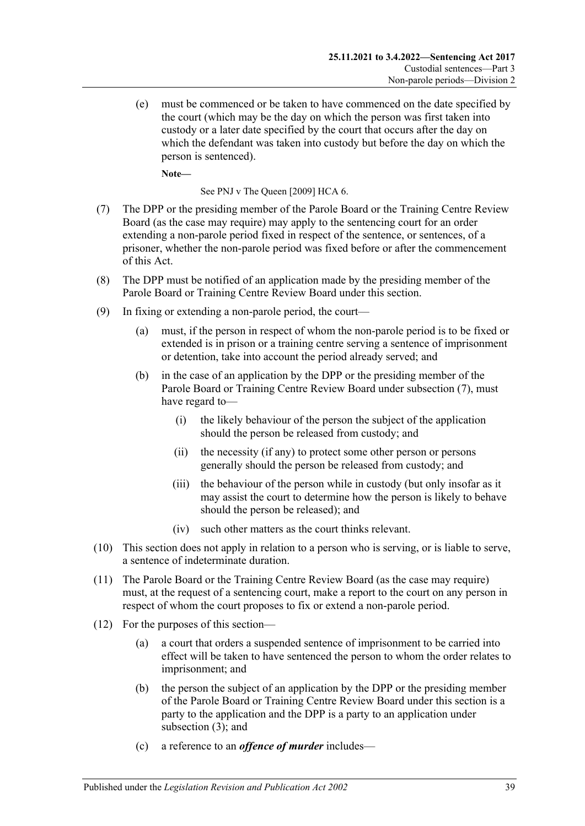(e) must be commenced or be taken to have commenced on the date specified by the court (which may be the day on which the person was first taken into custody or a later date specified by the court that occurs after the day on which the defendant was taken into custody but before the day on which the person is sentenced).

**Note—**

See PNJ v The Queen [2009] HCA 6.

- <span id="page-38-0"></span>(7) The DPP or the presiding member of the Parole Board or the Training Centre Review Board (as the case may require) may apply to the sentencing court for an order extending a non-parole period fixed in respect of the sentence, or sentences, of a prisoner, whether the non-parole period was fixed before or after the commencement of this Act.
- (8) The DPP must be notified of an application made by the presiding member of the Parole Board or Training Centre Review Board under this section.
- (9) In fixing or extending a non-parole period, the court—
	- (a) must, if the person in respect of whom the non-parole period is to be fixed or extended is in prison or a training centre serving a sentence of imprisonment or detention, take into account the period already served; and
	- (b) in the case of an application by the DPP or the presiding member of the Parole Board or Training Centre Review Board under [subsection](#page-38-0) (7), must have regard to—
		- (i) the likely behaviour of the person the subject of the application should the person be released from custody; and
		- (ii) the necessity (if any) to protect some other person or persons generally should the person be released from custody; and
		- (iii) the behaviour of the person while in custody (but only insofar as it may assist the court to determine how the person is likely to behave should the person be released); and
		- (iv) such other matters as the court thinks relevant.
- (10) This section does not apply in relation to a person who is serving, or is liable to serve, a sentence of indeterminate duration.
- (11) The Parole Board or the Training Centre Review Board (as the case may require) must, at the request of a sentencing court, make a report to the court on any person in respect of whom the court proposes to fix or extend a non-parole period.
- (12) For the purposes of this section—
	- (a) a court that orders a suspended sentence of imprisonment to be carried into effect will be taken to have sentenced the person to whom the order relates to imprisonment; and
	- (b) the person the subject of an application by the DPP or the presiding member of the Parole Board or Training Centre Review Board under this section is a party to the application and the DPP is a party to an application under [subsection](#page-36-2) (3); and
	- (c) a reference to an *offence of murder* includes—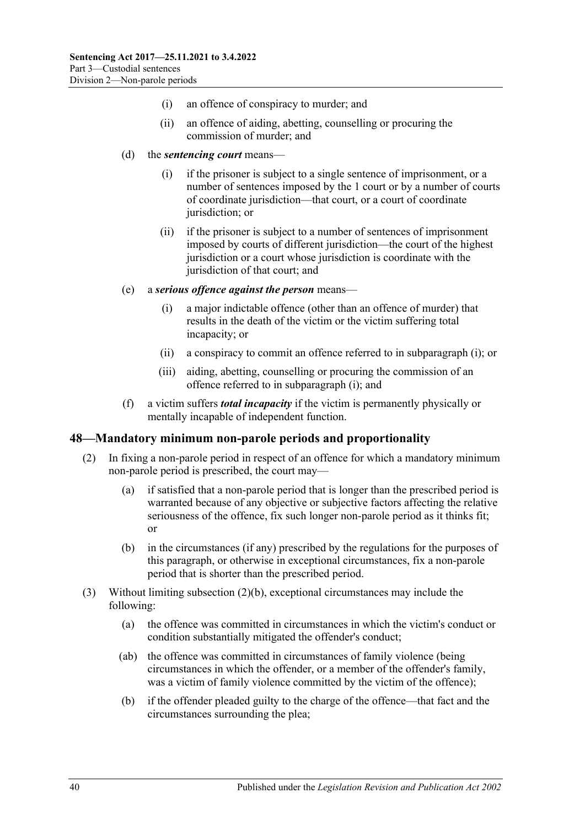- (i) an offence of conspiracy to murder; and
- (ii) an offence of aiding, abetting, counselling or procuring the commission of murder; and
- (d) the *sentencing court* means—
	- (i) if the prisoner is subject to a single sentence of imprisonment, or a number of sentences imposed by the 1 court or by a number of courts of coordinate jurisdiction—that court, or a court of coordinate jurisdiction; or
	- (ii) if the prisoner is subject to a number of sentences of imprisonment imposed by courts of different jurisdiction—the court of the highest jurisdiction or a court whose jurisdiction is coordinate with the jurisdiction of that court; and
- <span id="page-39-1"></span>(e) a *serious offence against the person* means—
	- (i) a major indictable offence (other than an offence of murder) that results in the death of the victim or the victim suffering total incapacity; or
	- (ii) a conspiracy to commit an offence referred to in [subparagraph](#page-39-1) (i); or
	- (iii) aiding, abetting, counselling or procuring the commission of an offence referred to in [subparagraph](#page-39-1) (i); and
- (f) a victim suffers *total incapacity* if the victim is permanently physically or mentally incapable of independent function.

### <span id="page-39-0"></span>**48—Mandatory minimum non-parole periods and proportionality**

- (2) In fixing a non-parole period in respect of an offence for which a mandatory minimum non-parole period is prescribed, the court may—
	- (a) if satisfied that a non-parole period that is longer than the prescribed period is warranted because of any objective or subjective factors affecting the relative seriousness of the offence, fix such longer non-parole period as it thinks fit; or
	- (b) in the circumstances (if any) prescribed by the regulations for the purposes of this paragraph, or otherwise in exceptional circumstances, fix a non-parole period that is shorter than the prescribed period.
- <span id="page-39-2"></span>(3) Without limiting [subsection](#page-39-2) (2)(b), exceptional circumstances may include the following:
	- (a) the offence was committed in circumstances in which the victim's conduct or condition substantially mitigated the offender's conduct;
	- (ab) the offence was committed in circumstances of family violence (being circumstances in which the offender, or a member of the offender's family, was a victim of family violence committed by the victim of the offence);
	- (b) if the offender pleaded guilty to the charge of the offence—that fact and the circumstances surrounding the plea;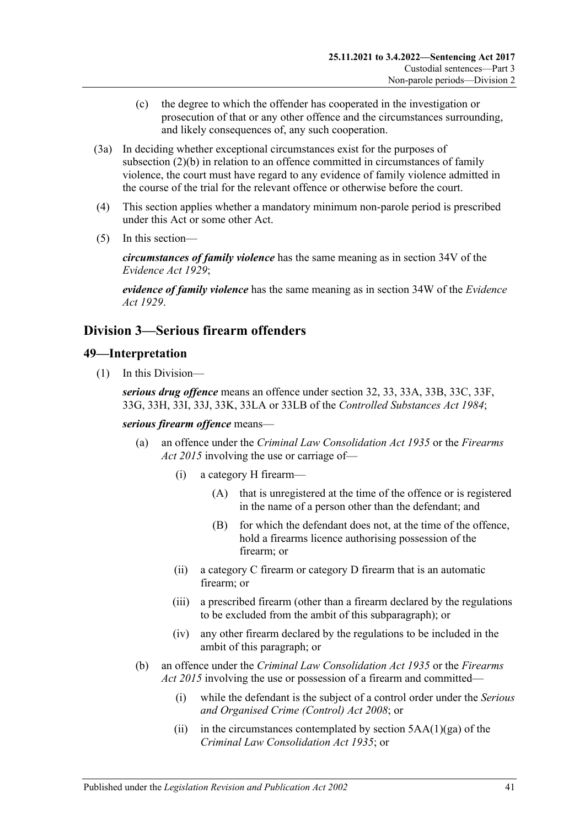- (c) the degree to which the offender has cooperated in the investigation or prosecution of that or any other offence and the circumstances surrounding, and likely consequences of, any such cooperation.
- (3a) In deciding whether exceptional circumstances exist for the purposes of [subsection](#page-39-2) (2)(b) in relation to an offence committed in circumstances of family violence, the court must have regard to any evidence of family violence admitted in the course of the trial for the relevant offence or otherwise before the court.
- (4) This section applies whether a mandatory minimum non-parole period is prescribed under this Act or some other Act.
- (5) In this section—

*circumstances of family violence* has the same meaning as in section 34V of the *[Evidence Act](http://www.legislation.sa.gov.au/index.aspx?action=legref&type=act&legtitle=Evidence%20Act%201929) 1929*;

*evidence of family violence* has the same meaning as in section 34W of the *[Evidence](http://www.legislation.sa.gov.au/index.aspx?action=legref&type=act&legtitle=Evidence%20Act%201929)  Act [1929](http://www.legislation.sa.gov.au/index.aspx?action=legref&type=act&legtitle=Evidence%20Act%201929)*.

# **Division 3—Serious firearm offenders**

## **49—Interpretation**

(1) In this Division—

*serious drug offence* means an offence under section 32, 33, 33A, 33B, 33C, 33F, 33G, 33H, 33I, 33J, 33K, 33LA or 33LB of the *[Controlled Substances Act](http://www.legislation.sa.gov.au/index.aspx?action=legref&type=act&legtitle=Controlled%20Substances%20Act%201984) 1984*;

*serious firearm offence* means—

- (a) an offence under the *[Criminal Law Consolidation Act](http://www.legislation.sa.gov.au/index.aspx?action=legref&type=act&legtitle=Criminal%20Law%20Consolidation%20Act%201935) 1935* or the *[Firearms](http://www.legislation.sa.gov.au/index.aspx?action=legref&type=act&legtitle=Firearms%20Act%202015)  Act [2015](http://www.legislation.sa.gov.au/index.aspx?action=legref&type=act&legtitle=Firearms%20Act%202015)* involving the use or carriage of—
	- (i) a category H firearm—
		- (A) that is unregistered at the time of the offence or is registered in the name of a person other than the defendant; and
		- (B) for which the defendant does not, at the time of the offence, hold a firearms licence authorising possession of the firearm; or
	- (ii) a category C firearm or category D firearm that is an automatic firearm; or
	- (iii) a prescribed firearm (other than a firearm declared by the regulations to be excluded from the ambit of this subparagraph); or
	- (iv) any other firearm declared by the regulations to be included in the ambit of this paragraph; or
- (b) an offence under the *[Criminal Law Consolidation Act](http://www.legislation.sa.gov.au/index.aspx?action=legref&type=act&legtitle=Criminal%20Law%20Consolidation%20Act%201935) 1935* or the *[Firearms](http://www.legislation.sa.gov.au/index.aspx?action=legref&type=act&legtitle=Firearms%20Act%202015)  Act [2015](http://www.legislation.sa.gov.au/index.aspx?action=legref&type=act&legtitle=Firearms%20Act%202015)* involving the use or possession of a firearm and committed—
	- (i) while the defendant is the subject of a control order under the *[Serious](http://www.legislation.sa.gov.au/index.aspx?action=legref&type=act&legtitle=Serious%20and%20Organised%20Crime%20(Control)%20Act%202008)  [and Organised Crime \(Control\) Act](http://www.legislation.sa.gov.au/index.aspx?action=legref&type=act&legtitle=Serious%20and%20Organised%20Crime%20(Control)%20Act%202008) 2008*; or
	- (ii) in the circumstances contemplated by section  $5AA(1)(ga)$  of the *[Criminal Law Consolidation Act](http://www.legislation.sa.gov.au/index.aspx?action=legref&type=act&legtitle=Criminal%20Law%20Consolidation%20Act%201935) 1935*; or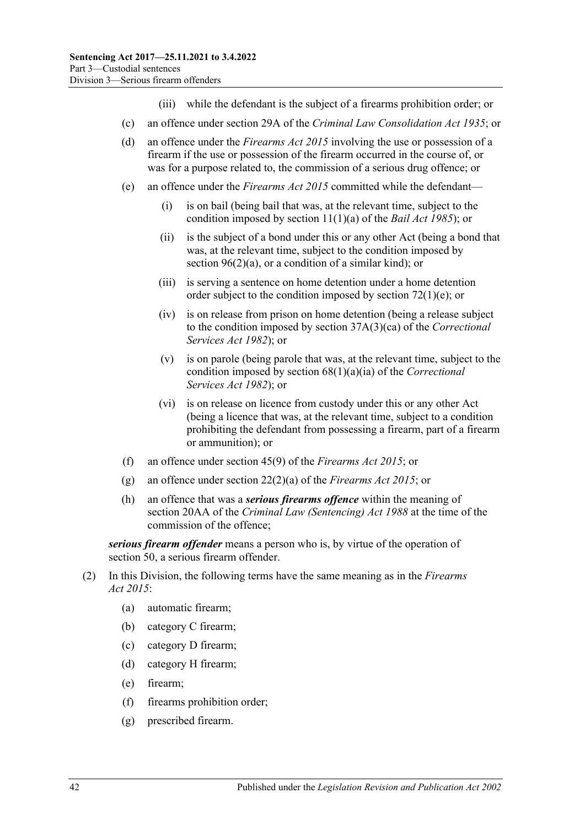- (iii) while the defendant is the subject of a firearms prohibition order; or
- (c) an offence under section 29A of the *[Criminal Law Consolidation Act](http://www.legislation.sa.gov.au/index.aspx?action=legref&type=act&legtitle=Criminal%20Law%20Consolidation%20Act%201935) 1935*; or
- (d) an offence under the *[Firearms Act](http://www.legislation.sa.gov.au/index.aspx?action=legref&type=act&legtitle=Firearms%20Act%202015) 2015* involving the use or possession of a firearm if the use or possession of the firearm occurred in the course of, or was for a purpose related to, the commission of a serious drug offence; or
- (e) an offence under the *[Firearms Act](http://www.legislation.sa.gov.au/index.aspx?action=legref&type=act&legtitle=Firearms%20Act%202015) 2015* committed while the defendant—
	- (i) is on bail (being bail that was, at the relevant time, subject to the condition imposed by section 11(1)(a) of the *[Bail Act](http://www.legislation.sa.gov.au/index.aspx?action=legref&type=act&legtitle=Bail%20Act%201985) 1985*); or
	- (ii) is the subject of a bond under this or any other Act (being a bond that was, at the relevant time, subject to the condition imposed by section [96\(2\)\(a\),](#page-78-0) or a condition of a similar kind); or
	- (iii) is serving a sentence on home detention under a home detention order subject to the condition imposed by section  $72(1)(e)$ ; or
	- (iv) is on release from prison on home detention (being a release subject to the condition imposed by section 37A(3)(ca) of the *[Correctional](http://www.legislation.sa.gov.au/index.aspx?action=legref&type=act&legtitle=Correctional%20Services%20Act%201982)  [Services Act](http://www.legislation.sa.gov.au/index.aspx?action=legref&type=act&legtitle=Correctional%20Services%20Act%201982) 1982*); or
	- (v) is on parole (being parole that was, at the relevant time, subject to the condition imposed by section 68(1)(a)(ia) of the *[Correctional](http://www.legislation.sa.gov.au/index.aspx?action=legref&type=act&legtitle=Correctional%20Services%20Act%201982)  [Services Act](http://www.legislation.sa.gov.au/index.aspx?action=legref&type=act&legtitle=Correctional%20Services%20Act%201982) 1982*); or
	- (vi) is on release on licence from custody under this or any other Act (being a licence that was, at the relevant time, subject to a condition prohibiting the defendant from possessing a firearm, part of a firearm or ammunition); or
- (f) an offence under section 45(9) of the *[Firearms Act](http://www.legislation.sa.gov.au/index.aspx?action=legref&type=act&legtitle=Firearms%20Act%202015) 2015*; or
- (g) an offence under section 22(2)(a) of the *[Firearms Act](http://www.legislation.sa.gov.au/index.aspx?action=legref&type=act&legtitle=Firearms%20Act%202015) 2015*; or
- (h) an offence that was a *serious firearms offence* within the meaning of section 20AA of the *[Criminal Law \(Sentencing\) Act](http://www.legislation.sa.gov.au/index.aspx?action=legref&type=act&legtitle=Criminal%20Law%20(Sentencing)%20Act%201988) 1988* at the time of the commission of the offence;

*serious firearm offender* means a person who is, by virtue of the operation of [section](#page-42-0) 50, a serious firearm offender.

- (2) In this Division, the following terms have the same meaning as in the *[Firearms](http://www.legislation.sa.gov.au/index.aspx?action=legref&type=act&legtitle=Firearms%20Act%202015)  Act [2015](http://www.legislation.sa.gov.au/index.aspx?action=legref&type=act&legtitle=Firearms%20Act%202015)*:
	- (a) automatic firearm;
	- (b) category C firearm;
	- (c) category D firearm;
	- (d) category H firearm;
	- (e) firearm;
	- (f) firearms prohibition order;
	- (g) prescribed firearm.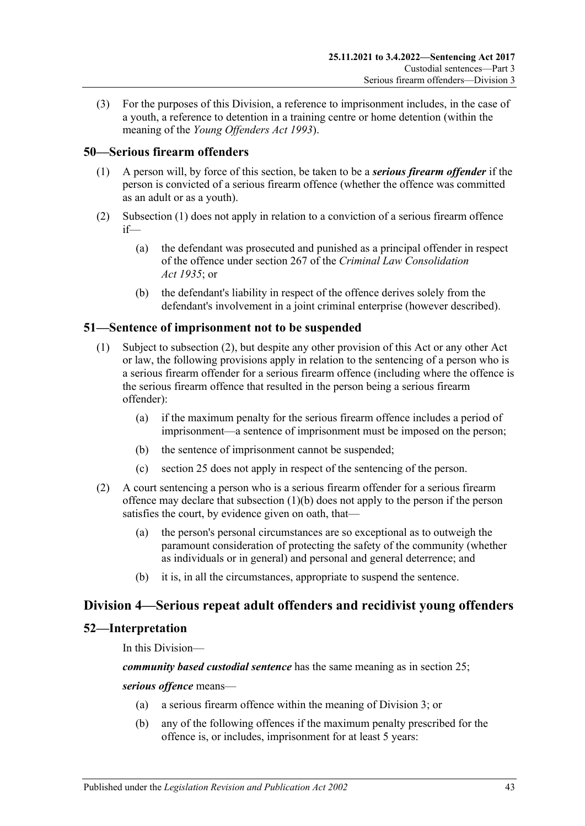(3) For the purposes of this Division, a reference to imprisonment includes, in the case of a youth, a reference to detention in a training centre or home detention (within the meaning of the *[Young Offenders Act](http://www.legislation.sa.gov.au/index.aspx?action=legref&type=act&legtitle=Young%20Offenders%20Act%201993) 1993*).

## <span id="page-42-1"></span><span id="page-42-0"></span>**50—Serious firearm offenders**

- (1) A person will, by force of this section, be taken to be a *serious firearm offender* if the person is convicted of a serious firearm offence (whether the offence was committed as an adult or as a youth).
- (2) [Subsection](#page-42-1) (1) does not apply in relation to a conviction of a serious firearm offence if—
	- (a) the defendant was prosecuted and punished as a principal offender in respect of the offence under section 267 of the *[Criminal Law Consolidation](http://www.legislation.sa.gov.au/index.aspx?action=legref&type=act&legtitle=Criminal%20Law%20Consolidation%20Act%201935)  Act [1935](http://www.legislation.sa.gov.au/index.aspx?action=legref&type=act&legtitle=Criminal%20Law%20Consolidation%20Act%201935)*; or
	- (b) the defendant's liability in respect of the offence derives solely from the defendant's involvement in a joint criminal enterprise (however described).

## **51—Sentence of imprisonment not to be suspended**

- (1) Subject to [subsection](#page-42-2) (2), but despite any other provision of this Act or any other Act or law, the following provisions apply in relation to the sentencing of a person who is a serious firearm offender for a serious firearm offence (including where the offence is the serious firearm offence that resulted in the person being a serious firearm offender):
	- (a) if the maximum penalty for the serious firearm offence includes a period of imprisonment—a sentence of imprisonment must be imposed on the person;
	- (b) the sentence of imprisonment cannot be suspended;
	- (c) [section](#page-19-0) 25 does not apply in respect of the sentencing of the person.
- <span id="page-42-3"></span><span id="page-42-2"></span>(2) A court sentencing a person who is a serious firearm offender for a serious firearm offence may declare that [subsection](#page-42-3) (1)(b) does not apply to the person if the person satisfies the court, by evidence given on oath, that—
	- (a) the person's personal circumstances are so exceptional as to outweigh the paramount consideration of protecting the safety of the community (whether as individuals or in general) and personal and general deterrence; and
	- (b) it is, in all the circumstances, appropriate to suspend the sentence.

## **Division 4—Serious repeat adult offenders and recidivist young offenders**

## **52—Interpretation**

In this Division—

*community based custodial sentence* has the same meaning as in section 25;

#### <span id="page-42-5"></span><span id="page-42-4"></span>*serious offence* means—

- (a) a serious firearm offence within the meaning of Division 3; or
- (b) any of the following offences if the maximum penalty prescribed for the offence is, or includes, imprisonment for at least 5 years: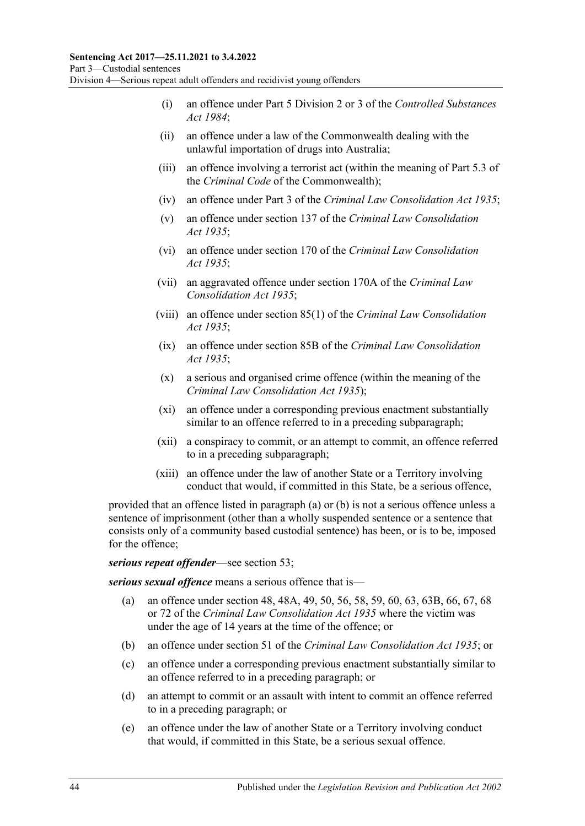- (i) an offence under Part 5 Division 2 or 3 of the *[Controlled Substances](http://www.legislation.sa.gov.au/index.aspx?action=legref&type=act&legtitle=Controlled%20Substances%20Act%201984)  Act [1984](http://www.legislation.sa.gov.au/index.aspx?action=legref&type=act&legtitle=Controlled%20Substances%20Act%201984)*;
- (ii) an offence under a law of the Commonwealth dealing with the unlawful importation of drugs into Australia;
- (iii) an offence involving a terrorist act (within the meaning of Part 5.3 of the *Criminal Code* of the Commonwealth);
- (iv) an offence under Part 3 of the *[Criminal Law Consolidation Act](http://www.legislation.sa.gov.au/index.aspx?action=legref&type=act&legtitle=Criminal%20Law%20Consolidation%20Act%201935) 1935*;
- (v) an offence under section 137 of the *[Criminal Law Consolidation](http://www.legislation.sa.gov.au/index.aspx?action=legref&type=act&legtitle=Criminal%20Law%20Consolidation%20Act%201935)  Act [1935](http://www.legislation.sa.gov.au/index.aspx?action=legref&type=act&legtitle=Criminal%20Law%20Consolidation%20Act%201935)*;
- (vi) an offence under section 170 of the *[Criminal Law Consolidation](http://www.legislation.sa.gov.au/index.aspx?action=legref&type=act&legtitle=Criminal%20Law%20Consolidation%20Act%201935)  Act [1935](http://www.legislation.sa.gov.au/index.aspx?action=legref&type=act&legtitle=Criminal%20Law%20Consolidation%20Act%201935)*;
- (vii) an aggravated offence under section 170A of the *[Criminal Law](http://www.legislation.sa.gov.au/index.aspx?action=legref&type=act&legtitle=Criminal%20Law%20Consolidation%20Act%201935)  [Consolidation Act](http://www.legislation.sa.gov.au/index.aspx?action=legref&type=act&legtitle=Criminal%20Law%20Consolidation%20Act%201935) 1935*;
- (viii) an offence under section 85(1) of the *[Criminal Law Consolidation](http://www.legislation.sa.gov.au/index.aspx?action=legref&type=act&legtitle=Criminal%20Law%20Consolidation%20Act%201935)  Act [1935](http://www.legislation.sa.gov.au/index.aspx?action=legref&type=act&legtitle=Criminal%20Law%20Consolidation%20Act%201935)*;
- (ix) an offence under section 85B of the *[Criminal Law Consolidation](http://www.legislation.sa.gov.au/index.aspx?action=legref&type=act&legtitle=Criminal%20Law%20Consolidation%20Act%201935)  Act [1935](http://www.legislation.sa.gov.au/index.aspx?action=legref&type=act&legtitle=Criminal%20Law%20Consolidation%20Act%201935)*;
- (x) a serious and organised crime offence (within the meaning of the *[Criminal Law Consolidation Act](http://www.legislation.sa.gov.au/index.aspx?action=legref&type=act&legtitle=Criminal%20Law%20Consolidation%20Act%201935) 1935*);
- (xi) an offence under a corresponding previous enactment substantially similar to an offence referred to in a preceding subparagraph;
- (xii) a conspiracy to commit, or an attempt to commit, an offence referred to in a preceding subparagraph;
- (xiii) an offence under the law of another State or a Territory involving conduct that would, if committed in this State, be a serious offence,

provided that an offence listed in [paragraph](#page-42-4) (a) or [\(b\)](#page-42-5) is not a serious offence unless a sentence of imprisonment (other than a wholly suspended sentence or a sentence that consists only of a community based custodial sentence) has been, or is to be, imposed for the offence;

### *serious repeat offender*—see [section](#page-44-0) 53;

*serious sexual offence* means a serious offence that is—

- (a) an offence under section 48, 48A, 49, 50, 56, 58, 59, 60, 63, 63B, 66, 67, 68 or 72 of the *[Criminal Law Consolidation Act](http://www.legislation.sa.gov.au/index.aspx?action=legref&type=act&legtitle=Criminal%20Law%20Consolidation%20Act%201935) 1935* where the victim was under the age of 14 years at the time of the offence; or
- (b) an offence under section 51 of the *[Criminal Law Consolidation Act](http://www.legislation.sa.gov.au/index.aspx?action=legref&type=act&legtitle=Criminal%20Law%20Consolidation%20Act%201935) 1935*; or
- (c) an offence under a corresponding previous enactment substantially similar to an offence referred to in a preceding paragraph; or
- (d) an attempt to commit or an assault with intent to commit an offence referred to in a preceding paragraph; or
- (e) an offence under the law of another State or a Territory involving conduct that would, if committed in this State, be a serious sexual offence.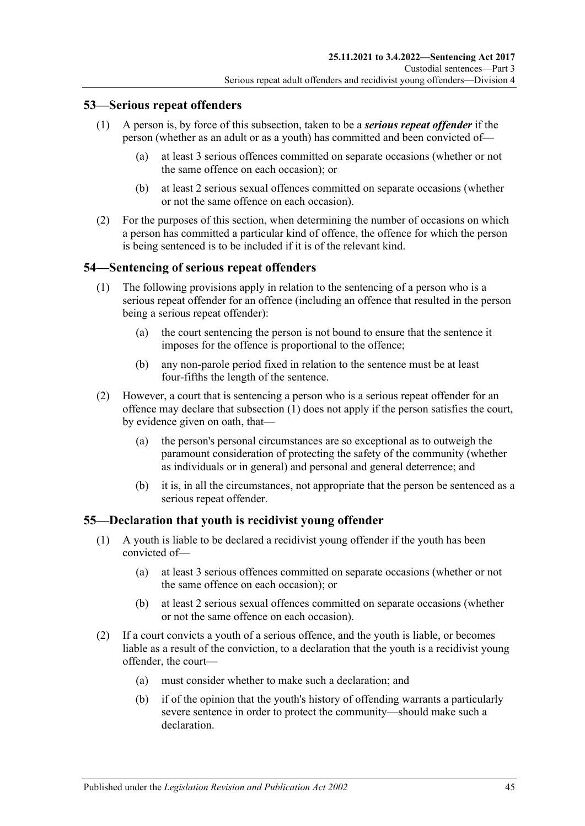## <span id="page-44-0"></span>**53—Serious repeat offenders**

- (1) A person is, by force of this subsection, taken to be a *serious repeat offender* if the person (whether as an adult or as a youth) has committed and been convicted of—
	- (a) at least 3 serious offences committed on separate occasions (whether or not the same offence on each occasion); or
	- (b) at least 2 serious sexual offences committed on separate occasions (whether or not the same offence on each occasion).
- (2) For the purposes of this section, when determining the number of occasions on which a person has committed a particular kind of offence, the offence for which the person is being sentenced is to be included if it is of the relevant kind.

### <span id="page-44-1"></span>**54—Sentencing of serious repeat offenders**

- (1) The following provisions apply in relation to the sentencing of a person who is a serious repeat offender for an offence (including an offence that resulted in the person being a serious repeat offender):
	- (a) the court sentencing the person is not bound to ensure that the sentence it imposes for the offence is proportional to the offence;
	- (b) any non-parole period fixed in relation to the sentence must be at least four-fifths the length of the sentence.
- (2) However, a court that is sentencing a person who is a serious repeat offender for an offence may declare that [subsection](#page-44-1) (1) does not apply if the person satisfies the court, by evidence given on oath, that—
	- (a) the person's personal circumstances are so exceptional as to outweigh the paramount consideration of protecting the safety of the community (whether as individuals or in general) and personal and general deterrence; and
	- (b) it is, in all the circumstances, not appropriate that the person be sentenced as a serious repeat offender.

### **55—Declaration that youth is recidivist young offender**

- (1) A youth is liable to be declared a recidivist young offender if the youth has been convicted of—
	- (a) at least 3 serious offences committed on separate occasions (whether or not the same offence on each occasion); or
	- (b) at least 2 serious sexual offences committed on separate occasions (whether or not the same offence on each occasion).
- (2) If a court convicts a youth of a serious offence, and the youth is liable, or becomes liable as a result of the conviction, to a declaration that the youth is a recidivist young offender, the court—
	- (a) must consider whether to make such a declaration; and
	- (b) if of the opinion that the youth's history of offending warrants a particularly severe sentence in order to protect the community—should make such a declaration.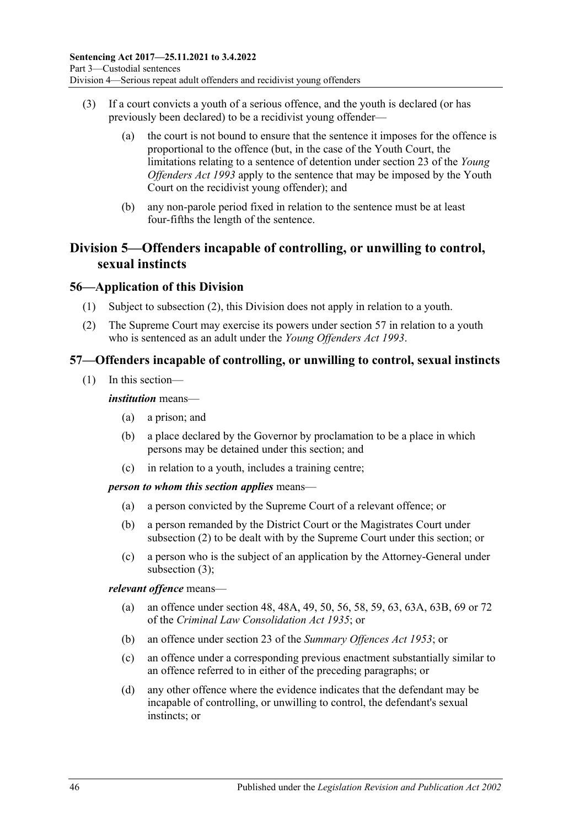- (3) If a court convicts a youth of a serious offence, and the youth is declared (or has previously been declared) to be a recidivist young offender—
	- (a) the court is not bound to ensure that the sentence it imposes for the offence is proportional to the offence (but, in the case of the Youth Court, the limitations relating to a sentence of detention under section 23 of the *[Young](http://www.legislation.sa.gov.au/index.aspx?action=legref&type=act&legtitle=Young%20Offenders%20Act%201993)  [Offenders Act](http://www.legislation.sa.gov.au/index.aspx?action=legref&type=act&legtitle=Young%20Offenders%20Act%201993) 1993* apply to the sentence that may be imposed by the Youth Court on the recidivist young offender); and
	- (b) any non-parole period fixed in relation to the sentence must be at least four-fifths the length of the sentence.

# **Division 5—Offenders incapable of controlling, or unwilling to control, sexual instincts**

## **56—Application of this Division**

- (1) Subject to [subsection](#page-45-0) (2), this Division does not apply in relation to a youth.
- <span id="page-45-0"></span>(2) The Supreme Court may exercise its powers under [section](#page-45-1) 57 in relation to a youth who is sentenced as an adult under the *[Young Offenders Act](http://www.legislation.sa.gov.au/index.aspx?action=legref&type=act&legtitle=Young%20Offenders%20Act%201993) 1993*.

## <span id="page-45-1"></span>**57—Offenders incapable of controlling, or unwilling to control, sexual instincts**

(1) In this section—

### *institution* means—

- (a) a prison; and
- (b) a place declared by the Governor by proclamation to be a place in which persons may be detained under this section; and
- (c) in relation to a youth, includes a training centre;

### *person to whom this section applies* means—

- (a) a person convicted by the Supreme Court of a relevant offence; or
- (b) a person remanded by the District Court or the Magistrates Court under [subsection](#page-46-0) (2) to be dealt with by the Supreme Court under this section; or
- (c) a person who is the subject of an application by the Attorney-General under [subsection](#page-46-1) (3);

### *relevant offence* means—

- (a) an offence under section 48, 48A, 49, 50, 56, 58, 59, 63, 63A, 63B, 69 or 72 of the *[Criminal Law Consolidation Act](http://www.legislation.sa.gov.au/index.aspx?action=legref&type=act&legtitle=Criminal%20Law%20Consolidation%20Act%201935) 1935*; or
- (b) an offence under section 23 of the *[Summary Offences Act](http://www.legislation.sa.gov.au/index.aspx?action=legref&type=act&legtitle=Summary%20Offences%20Act%201953) 1953*; or
- (c) an offence under a corresponding previous enactment substantially similar to an offence referred to in either of the preceding paragraphs; or
- (d) any other offence where the evidence indicates that the defendant may be incapable of controlling, or unwilling to control, the defendant's sexual instincts; or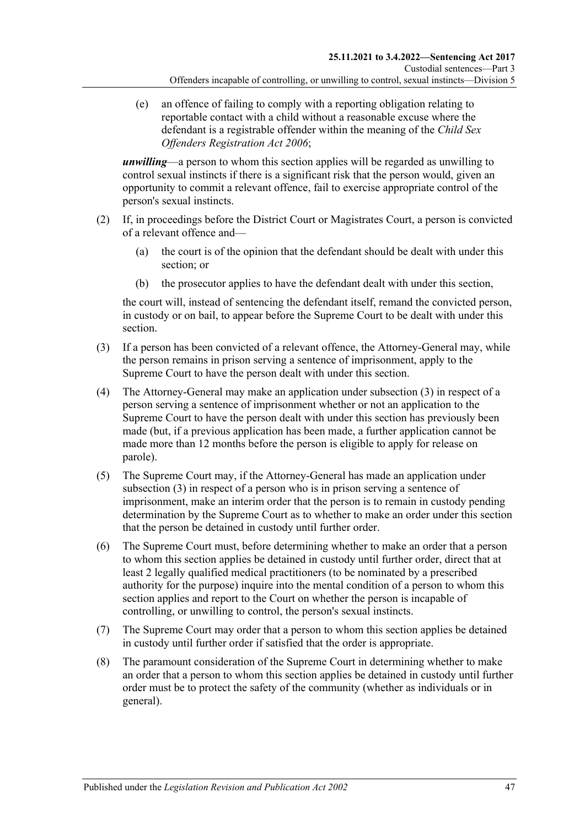(e) an offence of failing to comply with a reporting obligation relating to reportable contact with a child without a reasonable excuse where the defendant is a registrable offender within the meaning of the *[Child Sex](http://www.legislation.sa.gov.au/index.aspx?action=legref&type=act&legtitle=Child%20Sex%20Offenders%20Registration%20Act%202006)  [Offenders Registration Act](http://www.legislation.sa.gov.au/index.aspx?action=legref&type=act&legtitle=Child%20Sex%20Offenders%20Registration%20Act%202006) 2006*;

*unwilling*—a person to whom this section applies will be regarded as unwilling to control sexual instincts if there is a significant risk that the person would, given an opportunity to commit a relevant offence, fail to exercise appropriate control of the person's sexual instincts.

- <span id="page-46-0"></span>(2) If, in proceedings before the District Court or Magistrates Court, a person is convicted of a relevant offence and—
	- (a) the court is of the opinion that the defendant should be dealt with under this section; or
	- (b) the prosecutor applies to have the defendant dealt with under this section,

the court will, instead of sentencing the defendant itself, remand the convicted person, in custody or on bail, to appear before the Supreme Court to be dealt with under this section.

- <span id="page-46-1"></span>(3) If a person has been convicted of a relevant offence, the Attorney-General may, while the person remains in prison serving a sentence of imprisonment, apply to the Supreme Court to have the person dealt with under this section.
- (4) The Attorney-General may make an application under [subsection](#page-46-1) (3) in respect of a person serving a sentence of imprisonment whether or not an application to the Supreme Court to have the person dealt with under this section has previously been made (but, if a previous application has been made, a further application cannot be made more than 12 months before the person is eligible to apply for release on parole).
- (5) The Supreme Court may, if the Attorney-General has made an application under [subsection](#page-46-1) (3) in respect of a person who is in prison serving a sentence of imprisonment, make an interim order that the person is to remain in custody pending determination by the Supreme Court as to whether to make an order under this section that the person be detained in custody until further order.
- <span id="page-46-2"></span>(6) The Supreme Court must, before determining whether to make an order that a person to whom this section applies be detained in custody until further order, direct that at least 2 legally qualified medical practitioners (to be nominated by a prescribed authority for the purpose) inquire into the mental condition of a person to whom this section applies and report to the Court on whether the person is incapable of controlling, or unwilling to control, the person's sexual instincts.
- (7) The Supreme Court may order that a person to whom this section applies be detained in custody until further order if satisfied that the order is appropriate.
- (8) The paramount consideration of the Supreme Court in determining whether to make an order that a person to whom this section applies be detained in custody until further order must be to protect the safety of the community (whether as individuals or in general).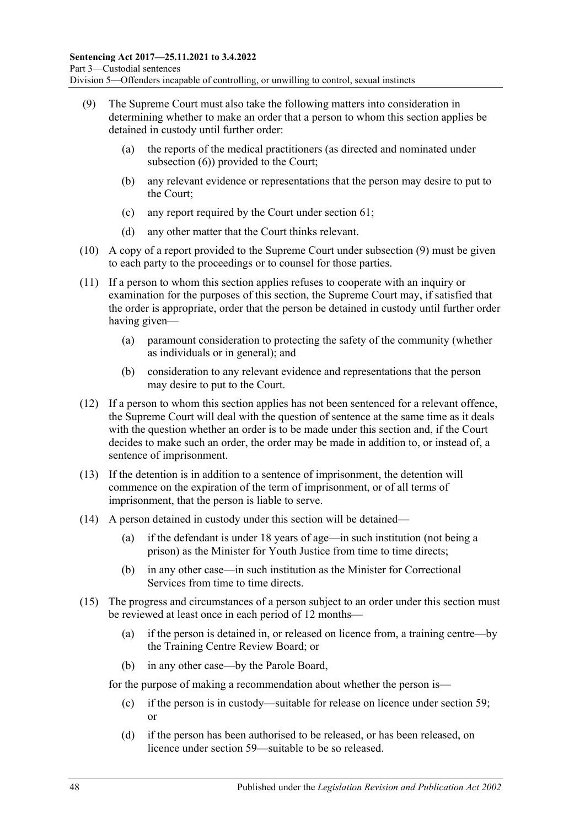- <span id="page-47-0"></span>(9) The Supreme Court must also take the following matters into consideration in determining whether to make an order that a person to whom this section applies be detained in custody until further order:
	- (a) the reports of the medical practitioners (as directed and nominated under [subsection](#page-46-2) (6)) provided to the Court;
	- (b) any relevant evidence or representations that the person may desire to put to the Court;
	- (c) any report required by the Court under [section](#page-52-0) 61;
	- (d) any other matter that the Court thinks relevant.
- (10) A copy of a report provided to the Supreme Court under [subsection](#page-47-0) (9) must be given to each party to the proceedings or to counsel for those parties.
- (11) If a person to whom this section applies refuses to cooperate with an inquiry or examination for the purposes of this section, the Supreme Court may, if satisfied that the order is appropriate, order that the person be detained in custody until further order having given—
	- (a) paramount consideration to protecting the safety of the community (whether as individuals or in general); and
	- (b) consideration to any relevant evidence and representations that the person may desire to put to the Court.
- (12) If a person to whom this section applies has not been sentenced for a relevant offence, the Supreme Court will deal with the question of sentence at the same time as it deals with the question whether an order is to be made under this section and, if the Court decides to make such an order, the order may be made in addition to, or instead of, a sentence of imprisonment.
- (13) If the detention is in addition to a sentence of imprisonment, the detention will commence on the expiration of the term of imprisonment, or of all terms of imprisonment, that the person is liable to serve.
- (14) A person detained in custody under this section will be detained—
	- (a) if the defendant is under 18 years of age—in such institution (not being a prison) as the Minister for Youth Justice from time to time directs;
	- (b) in any other case—in such institution as the Minister for Correctional Services from time to time directs.
- <span id="page-47-1"></span>(15) The progress and circumstances of a person subject to an order under this section must be reviewed at least once in each period of 12 months—
	- (a) if the person is detained in, or released on licence from, a training centre—by the Training Centre Review Board; or
	- (b) in any other case—by the Parole Board,

for the purpose of making a recommendation about whether the person is—

- (c) if the person is in custody—suitable for release on licence under [section](#page-49-0) 59; or
- (d) if the person has been authorised to be released, or has been released, on licence under [section](#page-49-0) 59—suitable to be so released.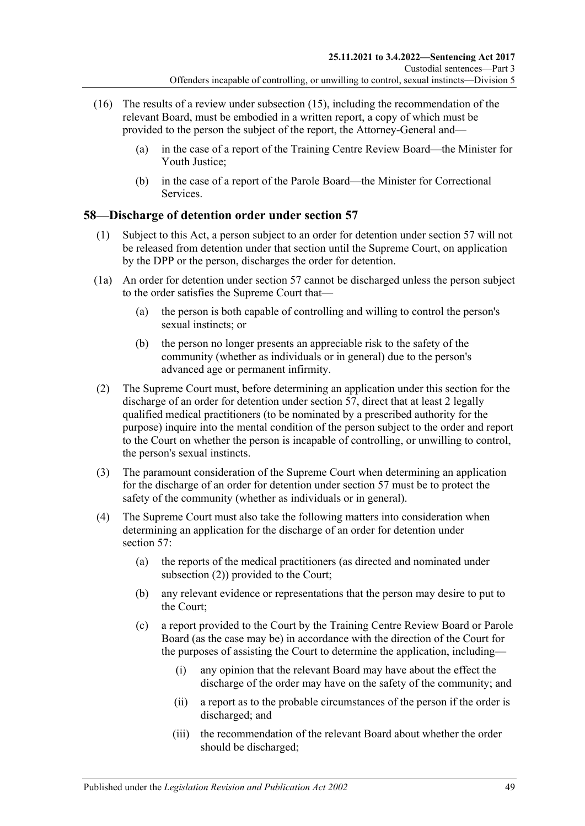- (16) The results of a review under [subsection](#page-47-1) (15), including the recommendation of the relevant Board, must be embodied in a written report, a copy of which must be provided to the person the subject of the report, the Attorney-General and—
	- (a) in the case of a report of the Training Centre Review Board—the Minister for Youth Justice;
	- (b) in the case of a report of the Parole Board—the Minister for Correctional Services.

## **58—Discharge of detention order under [section](#page-45-1) 57**

- (1) Subject to this Act, a person subject to an order for detention under [section](#page-45-1) 57 will not be released from detention under that section until the Supreme Court, on application by the DPP or the person, discharges the order for detention.
- (1a) An order for detention under [section](#page-45-1) 57 cannot be discharged unless the person subject to the order satisfies the Supreme Court that—
	- (a) the person is both capable of controlling and willing to control the person's sexual instincts; or
	- (b) the person no longer presents an appreciable risk to the safety of the community (whether as individuals or in general) due to the person's advanced age or permanent infirmity.
- <span id="page-48-0"></span>(2) The Supreme Court must, before determining an application under this section for the discharge of an order for detention under [section](#page-45-1) 57, direct that at least 2 legally qualified medical practitioners (to be nominated by a prescribed authority for the purpose) inquire into the mental condition of the person subject to the order and report to the Court on whether the person is incapable of controlling, or unwilling to control, the person's sexual instincts.
- (3) The paramount consideration of the Supreme Court when determining an application for the discharge of an order for detention under [section](#page-45-1) 57 must be to protect the safety of the community (whether as individuals or in general).
- <span id="page-48-1"></span>(4) The Supreme Court must also take the following matters into consideration when determining an application for the discharge of an order for detention under [section](#page-45-1) 57:
	- (a) the reports of the medical practitioners (as directed and nominated under [subsection](#page-48-0) (2)) provided to the Court;
	- (b) any relevant evidence or representations that the person may desire to put to the Court;
	- (c) a report provided to the Court by the Training Centre Review Board or Parole Board (as the case may be) in accordance with the direction of the Court for the purposes of assisting the Court to determine the application, including—
		- (i) any opinion that the relevant Board may have about the effect the discharge of the order may have on the safety of the community; and
		- (ii) a report as to the probable circumstances of the person if the order is discharged; and
		- (iii) the recommendation of the relevant Board about whether the order should be discharged;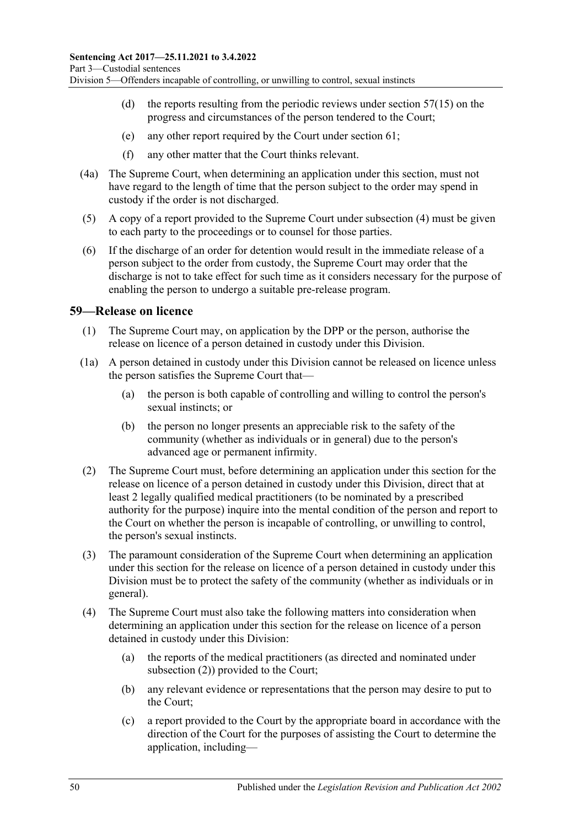- (d) the reports resulting from the periodic reviews under [section](#page-47-1)  $57(15)$  on the progress and circumstances of the person tendered to the Court;
- (e) any other report required by the Court under [section](#page-52-0) 61;
- (f) any other matter that the Court thinks relevant.
- (4a) The Supreme Court, when determining an application under this section, must not have regard to the length of time that the person subject to the order may spend in custody if the order is not discharged.
- (5) A copy of a report provided to the Supreme Court under [subsection](#page-48-1) (4) must be given to each party to the proceedings or to counsel for those parties.
- (6) If the discharge of an order for detention would result in the immediate release of a person subject to the order from custody, the Supreme Court may order that the discharge is not to take effect for such time as it considers necessary for the purpose of enabling the person to undergo a suitable pre-release program.

### <span id="page-49-3"></span><span id="page-49-0"></span>**59—Release on licence**

- (1) The Supreme Court may, on application by the DPP or the person, authorise the release on licence of a person detained in custody under this Division.
- (1a) A person detained in custody under this Division cannot be released on licence unless the person satisfies the Supreme Court that—
	- (a) the person is both capable of controlling and willing to control the person's sexual instincts; or
	- (b) the person no longer presents an appreciable risk to the safety of the community (whether as individuals or in general) due to the person's advanced age or permanent infirmity.
- <span id="page-49-4"></span><span id="page-49-1"></span>(2) The Supreme Court must, before determining an application under this section for the release on licence of a person detained in custody under this Division, direct that at least 2 legally qualified medical practitioners (to be nominated by a prescribed authority for the purpose) inquire into the mental condition of the person and report to the Court on whether the person is incapable of controlling, or unwilling to control, the person's sexual instincts.
- (3) The paramount consideration of the Supreme Court when determining an application under this section for the release on licence of a person detained in custody under this Division must be to protect the safety of the community (whether as individuals or in general).
- <span id="page-49-2"></span>(4) The Supreme Court must also take the following matters into consideration when determining an application under this section for the release on licence of a person detained in custody under this Division:
	- (a) the reports of the medical practitioners (as directed and nominated under [subsection](#page-49-1) (2)) provided to the Court;
	- (b) any relevant evidence or representations that the person may desire to put to the Court;
	- (c) a report provided to the Court by the appropriate board in accordance with the direction of the Court for the purposes of assisting the Court to determine the application, including—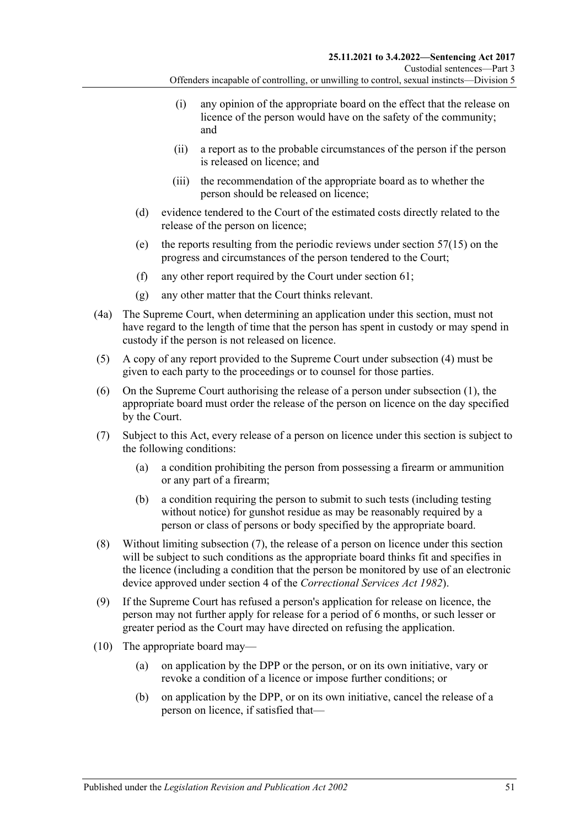- (i) any opinion of the appropriate board on the effect that the release on licence of the person would have on the safety of the community; and
- (ii) a report as to the probable circumstances of the person if the person is released on licence; and
- (iii) the recommendation of the appropriate board as to whether the person should be released on licence;
- (d) evidence tendered to the Court of the estimated costs directly related to the release of the person on licence;
- (e) the reports resulting from the periodic reviews under [section](#page-47-1) 57(15) on the progress and circumstances of the person tendered to the Court;
- (f) any other report required by the Court under [section](#page-52-0) 61;
- (g) any other matter that the Court thinks relevant.
- (4a) The Supreme Court, when determining an application under this section, must not have regard to the length of time that the person has spent in custody or may spend in custody if the person is not released on licence.
- (5) A copy of any report provided to the Supreme Court under [subsection](#page-49-2) (4) must be given to each party to the proceedings or to counsel for those parties.
- (6) On the Supreme Court authorising the release of a person under [subsection](#page-49-3) (1), the appropriate board must order the release of the person on licence on the day specified by the Court.
- <span id="page-50-2"></span><span id="page-50-0"></span>(7) Subject to this Act, every release of a person on licence under this section is subject to the following conditions:
	- (a) a condition prohibiting the person from possessing a firearm or ammunition or any part of a firearm;
	- (b) a condition requiring the person to submit to such tests (including testing without notice) for gunshot residue as may be reasonably required by a person or class of persons or body specified by the appropriate board.
- (8) Without limiting [subsection](#page-50-0) (7), the release of a person on licence under this section will be subject to such conditions as the appropriate board thinks fit and specifies in the licence (including a condition that the person be monitored by use of an electronic device approved under section 4 of the *[Correctional Services Act](http://www.legislation.sa.gov.au/index.aspx?action=legref&type=act&legtitle=Correctional%20Services%20Act%201982) 1982*).
- (9) If the Supreme Court has refused a person's application for release on licence, the person may not further apply for release for a period of 6 months, or such lesser or greater period as the Court may have directed on refusing the application.
- <span id="page-50-1"></span>(10) The appropriate board may—
	- (a) on application by the DPP or the person, or on its own initiative, vary or revoke a condition of a licence or impose further conditions; or
	- (b) on application by the DPP, or on its own initiative, cancel the release of a person on licence, if satisfied that—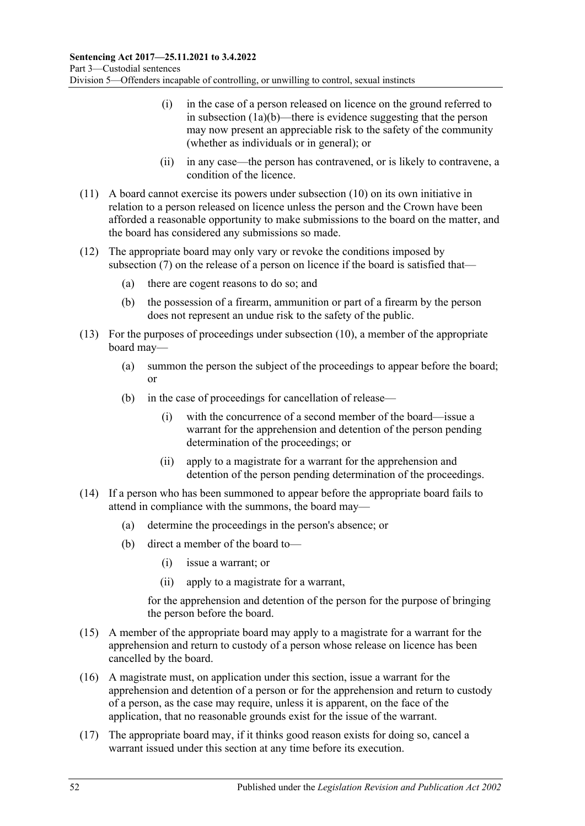- (i) in the case of a person released on licence on the ground referred to in [subsection](#page-49-4) (1a)(b)—there is evidence suggesting that the person may now present an appreciable risk to the safety of the community (whether as individuals or in general); or
- (ii) in any case—the person has contravened, or is likely to contravene, a condition of the licence.
- (11) A board cannot exercise its powers under [subsection](#page-50-1) (10) on its own initiative in relation to a person released on licence unless the person and the Crown have been afforded a reasonable opportunity to make submissions to the board on the matter, and the board has considered any submissions so made.
- (12) The appropriate board may only vary or revoke the conditions imposed by [subsection](#page-50-0) (7) on the release of a person on licence if the board is satisfied that—
	- (a) there are cogent reasons to do so; and
	- (b) the possession of a firearm, ammunition or part of a firearm by the person does not represent an undue risk to the safety of the public.
- (13) For the purposes of proceedings under [subsection](#page-50-1) (10), a member of the appropriate board may—
	- (a) summon the person the subject of the proceedings to appear before the board; or
	- (b) in the case of proceedings for cancellation of release—
		- (i) with the concurrence of a second member of the board—issue a warrant for the apprehension and detention of the person pending determination of the proceedings; or
		- (ii) apply to a magistrate for a warrant for the apprehension and detention of the person pending determination of the proceedings.
- (14) If a person who has been summoned to appear before the appropriate board fails to attend in compliance with the summons, the board may—
	- (a) determine the proceedings in the person's absence; or
	- (b) direct a member of the board to—
		- (i) issue a warrant; or
		- (ii) apply to a magistrate for a warrant,

for the apprehension and detention of the person for the purpose of bringing the person before the board.

- (15) A member of the appropriate board may apply to a magistrate for a warrant for the apprehension and return to custody of a person whose release on licence has been cancelled by the board.
- (16) A magistrate must, on application under this section, issue a warrant for the apprehension and detention of a person or for the apprehension and return to custody of a person, as the case may require, unless it is apparent, on the face of the application, that no reasonable grounds exist for the issue of the warrant.
- (17) The appropriate board may, if it thinks good reason exists for doing so, cancel a warrant issued under this section at any time before its execution.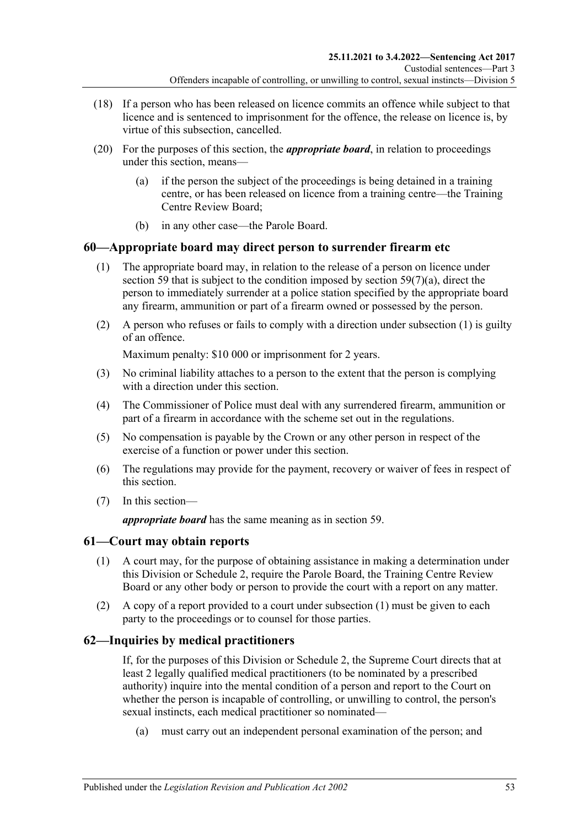- (18) If a person who has been released on licence commits an offence while subject to that licence and is sentenced to imprisonment for the offence, the release on licence is, by virtue of this subsection, cancelled.
- (20) For the purposes of this section, the *appropriate board*, in relation to proceedings under this section, means—
	- (a) if the person the subject of the proceedings is being detained in a training centre, or has been released on licence from a training centre—the Training Centre Review Board;
	- (b) in any other case—the Parole Board.

## <span id="page-52-1"></span>**60—Appropriate board may direct person to surrender firearm etc**

- (1) The appropriate board may, in relation to the release of a person on licence under [section](#page-49-0) 59 that is subject to the condition imposed by section  $59(7)(a)$ , direct the person to immediately surrender at a police station specified by the appropriate board any firearm, ammunition or part of a firearm owned or possessed by the person.
- (2) A person who refuses or fails to comply with a direction under [subsection](#page-52-1) (1) is guilty of an offence.

Maximum penalty: \$10 000 or imprisonment for 2 years.

- (3) No criminal liability attaches to a person to the extent that the person is complying with a direction under this section.
- (4) The Commissioner of Police must deal with any surrendered firearm, ammunition or part of a firearm in accordance with the scheme set out in the regulations.
- (5) No compensation is payable by the Crown or any other person in respect of the exercise of a function or power under this section.
- (6) The regulations may provide for the payment, recovery or waiver of fees in respect of this section.
- (7) In this section—

*appropriate board* has the same meaning as in [section](#page-49-0) 59.

## <span id="page-52-2"></span><span id="page-52-0"></span>**61—Court may obtain reports**

- (1) A court may, for the purpose of obtaining assistance in making a determination under this Division or [Schedule 2,](#page-102-0) require the Parole Board, the Training Centre Review Board or any other body or person to provide the court with a report on any matter.
- (2) A copy of a report provided to a court under [subsection](#page-52-2) (1) must be given to each party to the proceedings or to counsel for those parties.

## **62—Inquiries by medical practitioners**

If, for the purposes of this Division or [Schedule 2,](#page-102-0) the Supreme Court directs that at least 2 legally qualified medical practitioners (to be nominated by a prescribed authority) inquire into the mental condition of a person and report to the Court on whether the person is incapable of controlling, or unwilling to control, the person's sexual instincts, each medical practitioner so nominated—

(a) must carry out an independent personal examination of the person; and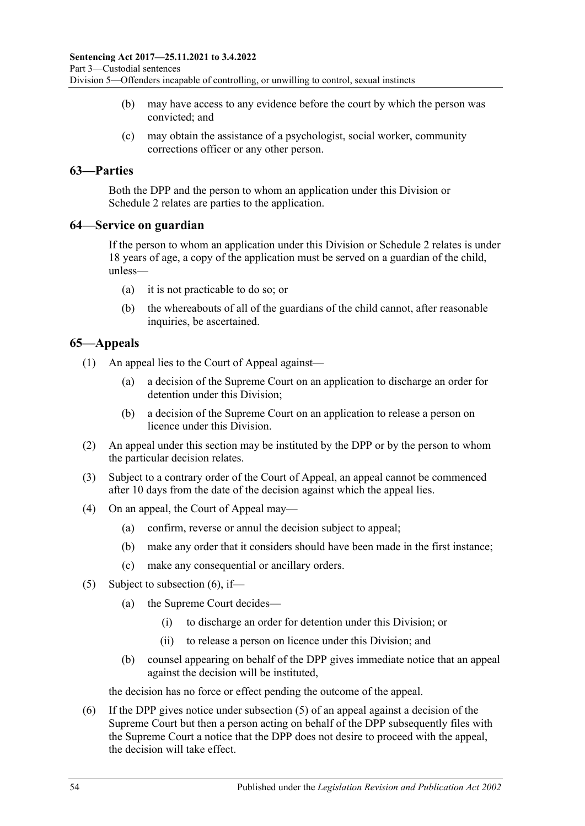- (b) may have access to any evidence before the court by which the person was convicted; and
- (c) may obtain the assistance of a psychologist, social worker, community corrections officer or any other person.

### **63—Parties**

Both the DPP and the person to whom an application under this Division or [Schedule](#page-102-0) 2 relates are parties to the application.

### **64—Service on guardian**

If the person to whom an application under this Division or [Schedule 2](#page-102-0) relates is under 18 years of age, a copy of the application must be served on a guardian of the child, unless—

- (a) it is not practicable to do so; or
- (b) the whereabouts of all of the guardians of the child cannot, after reasonable inquiries, be ascertained.

## **65—Appeals**

(1) An appeal lies to the Court of Appeal against—

- (a) a decision of the Supreme Court on an application to discharge an order for detention under this Division;
- (b) a decision of the Supreme Court on an application to release a person on licence under this Division.
- (2) An appeal under this section may be instituted by the DPP or by the person to whom the particular decision relates.
- (3) Subject to a contrary order of the Court of Appeal, an appeal cannot be commenced after 10 days from the date of the decision against which the appeal lies.
- (4) On an appeal, the Court of Appeal may—
	- (a) confirm, reverse or annul the decision subject to appeal;
	- (b) make any order that it considers should have been made in the first instance;
	- (c) make any consequential or ancillary orders.
- <span id="page-53-1"></span>(5) Subject to [subsection](#page-53-0)  $(6)$ , if—
	- (a) the Supreme Court decides—
		- (i) to discharge an order for detention under this Division; or
		- (ii) to release a person on licence under this Division; and
	- (b) counsel appearing on behalf of the DPP gives immediate notice that an appeal against the decision will be instituted,

the decision has no force or effect pending the outcome of the appeal.

<span id="page-53-0"></span>(6) If the DPP gives notice under [subsection](#page-53-1) (5) of an appeal against a decision of the Supreme Court but then a person acting on behalf of the DPP subsequently files with the Supreme Court a notice that the DPP does not desire to proceed with the appeal, the decision will take effect.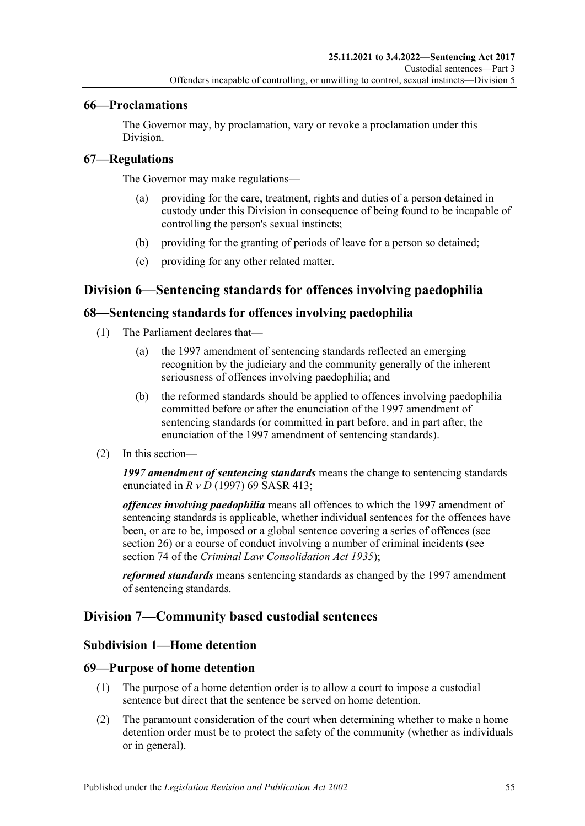## **66—Proclamations**

The Governor may, by proclamation, vary or revoke a proclamation under this Division.

## **67—Regulations**

The Governor may make regulations—

- (a) providing for the care, treatment, rights and duties of a person detained in custody under this Division in consequence of being found to be incapable of controlling the person's sexual instincts;
- (b) providing for the granting of periods of leave for a person so detained;
- (c) providing for any other related matter.

## **Division 6—Sentencing standards for offences involving paedophilia**

## **68—Sentencing standards for offences involving paedophilia**

- (1) The Parliament declares that—
	- (a) the 1997 amendment of sentencing standards reflected an emerging recognition by the judiciary and the community generally of the inherent seriousness of offences involving paedophilia; and
	- (b) the reformed standards should be applied to offences involving paedophilia committed before or after the enunciation of the 1997 amendment of sentencing standards (or committed in part before, and in part after, the enunciation of the 1997 amendment of sentencing standards).
- (2) In this section—

*1997 amendment of sentencing standards* means the change to sentencing standards enunciated in *R v D* (1997) 69 SASR 413;

*offences involving paedophilia* means all offences to which the 1997 amendment of sentencing standards is applicable, whether individual sentences for the offences have been, or are to be, imposed or a global sentence covering a series of offences (see [section](#page-20-0) 26) or a course of conduct involving a number of criminal incidents (see section 74 of the *[Criminal Law Consolidation Act](http://www.legislation.sa.gov.au/index.aspx?action=legref&type=act&legtitle=Criminal%20Law%20Consolidation%20Act%201935) 1935*);

*reformed standards* means sentencing standards as changed by the 1997 amendment of sentencing standards.

## **Division 7—Community based custodial sentences**

## **Subdivision 1—Home detention**

## **69—Purpose of home detention**

- (1) The purpose of a home detention order is to allow a court to impose a custodial sentence but direct that the sentence be served on home detention.
- (2) The paramount consideration of the court when determining whether to make a home detention order must be to protect the safety of the community (whether as individuals or in general).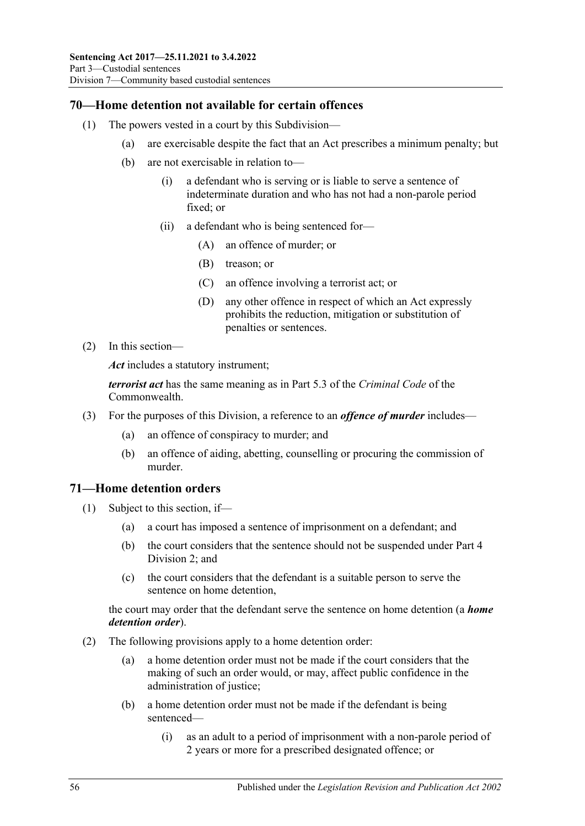## **70—Home detention not available for certain offences**

- (1) The powers vested in a court by this Subdivision—
	- (a) are exercisable despite the fact that an Act prescribes a minimum penalty; but
	- (b) are not exercisable in relation to—
		- (i) a defendant who is serving or is liable to serve a sentence of indeterminate duration and who has not had a non-parole period fixed; or
		- (ii) a defendant who is being sentenced for—
			- (A) an offence of murder; or
			- (B) treason; or
			- (C) an offence involving a terrorist act; or
			- (D) any other offence in respect of which an Act expressly prohibits the reduction, mitigation or substitution of penalties or sentences.
- (2) In this section—

*Act* includes a statutory instrument;

*terrorist act* has the same meaning as in Part 5.3 of the *Criminal Code* of the Commonwealth.

- (3) For the purposes of this Division, a reference to an *offence of murder* includes—
	- (a) an offence of conspiracy to murder; and
	- (b) an offence of aiding, abetting, counselling or procuring the commission of murder.

## **71—Home detention orders**

- (1) Subject to this section, if—
	- (a) a court has imposed a sentence of imprisonment on a defendant; and
	- (b) the court considers that the sentence should not be suspended under [Part](#page-78-1) 4 [Division](#page-78-1) 2; and
	- (c) the court considers that the defendant is a suitable person to serve the sentence on home detention,

the court may order that the defendant serve the sentence on home detention (a *home detention order*).

- (2) The following provisions apply to a home detention order:
	- (a) a home detention order must not be made if the court considers that the making of such an order would, or may, affect public confidence in the administration of justice;
	- (b) a home detention order must not be made if the defendant is being sentenced—
		- (i) as an adult to a period of imprisonment with a non-parole period of 2 years or more for a prescribed designated offence; or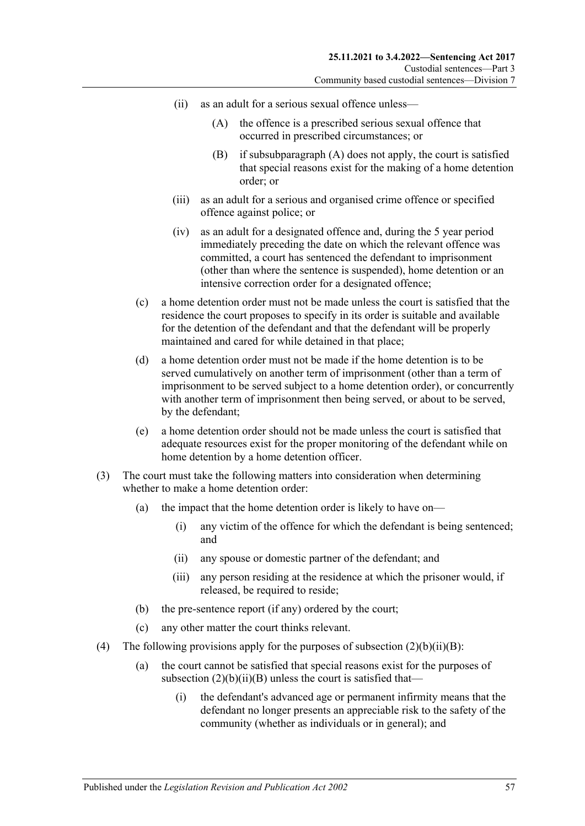- <span id="page-56-1"></span><span id="page-56-0"></span>(ii) as an adult for a serious sexual offence unless—
	- (A) the offence is a prescribed serious sexual offence that occurred in prescribed circumstances; or
	- (B) if [subsubparagraph](#page-56-0) (A) does not apply, the court is satisfied that special reasons exist for the making of a home detention order; or
- (iii) as an adult for a serious and organised crime offence or specified offence against police; or
- (iv) as an adult for a designated offence and, during the 5 year period immediately preceding the date on which the relevant offence was committed, a court has sentenced the defendant to imprisonment (other than where the sentence is suspended), home detention or an intensive correction order for a designated offence;
- (c) a home detention order must not be made unless the court is satisfied that the residence the court proposes to specify in its order is suitable and available for the detention of the defendant and that the defendant will be properly maintained and cared for while detained in that place;
- (d) a home detention order must not be made if the home detention is to be served cumulatively on another term of imprisonment (other than a term of imprisonment to be served subject to a home detention order), or concurrently with another term of imprisonment then being served, or about to be served, by the defendant;
- (e) a home detention order should not be made unless the court is satisfied that adequate resources exist for the proper monitoring of the defendant while on home detention by a home detention officer.
- (3) The court must take the following matters into consideration when determining whether to make a home detention order:
	- (a) the impact that the home detention order is likely to have on—
		- (i) any victim of the offence for which the defendant is being sentenced; and
		- (ii) any spouse or domestic partner of the defendant; and
		- (iii) any person residing at the residence at which the prisoner would, if released, be required to reside;
	- (b) the pre-sentence report (if any) ordered by the court;
	- (c) any other matter the court thinks relevant.
- (4) The following provisions apply for the purposes of subsection  $(2)(b)(ii)(B)$ :
	- (a) the court cannot be satisfied that special reasons exist for the purposes of subsection  $(2)(b)(ii)(B)$  unless the court is satisfied that—
		- (i) the defendant's advanced age or permanent infirmity means that the defendant no longer presents an appreciable risk to the safety of the community (whether as individuals or in general); and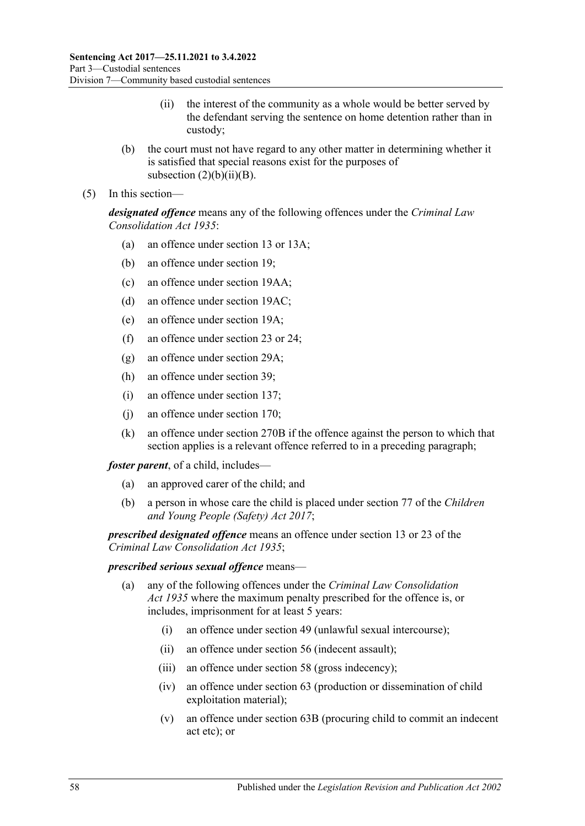- (ii) the interest of the community as a whole would be better served by the defendant serving the sentence on home detention rather than in custody;
- (b) the court must not have regard to any other matter in determining whether it is satisfied that special reasons exist for the purposes of subsection  $(2)(b)(ii)(B)$ .
- (5) In this section—

*designated offence* means any of the following offences under the *[Criminal Law](http://www.legislation.sa.gov.au/index.aspx?action=legref&type=act&legtitle=Criminal%20Law%20Consolidation%20Act%201935) [Consolidation Act](http://www.legislation.sa.gov.au/index.aspx?action=legref&type=act&legtitle=Criminal%20Law%20Consolidation%20Act%201935) 1935*:

- (a) an offence under section 13 or 13A;
- (b) an offence under section 19;
- (c) an offence under section 19AA;
- (d) an offence under section 19AC;
- (e) an offence under section 19A;
- (f) an offence under section 23 or 24;
- (g) an offence under section 29A;
- (h) an offence under section 39;
- (i) an offence under section 137;
- (j) an offence under section 170;
- (k) an offence under section 270B if the offence against the person to which that section applies is a relevant offence referred to in a preceding paragraph;

*foster parent*, of a child, includes—

- (a) an approved carer of the child; and
- (b) a person in whose care the child is placed under section 77 of the *[Children](http://www.legislation.sa.gov.au/index.aspx?action=legref&type=act&legtitle=Children%20and%20Young%20People%20(Safety)%20Act%202017)  [and Young People \(Safety\) Act](http://www.legislation.sa.gov.au/index.aspx?action=legref&type=act&legtitle=Children%20and%20Young%20People%20(Safety)%20Act%202017) 2017*;

*prescribed designated offence* means an offence under section 13 or 23 of the *[Criminal Law Consolidation Act](http://www.legislation.sa.gov.au/index.aspx?action=legref&type=act&legtitle=Criminal%20Law%20Consolidation%20Act%201935) 1935*;

#### *prescribed serious sexual offence* means—

- (a) any of the following offences under the *[Criminal Law Consolidation](http://www.legislation.sa.gov.au/index.aspx?action=legref&type=act&legtitle=Criminal%20Law%20Consolidation%20Act%201935) Act [1935](http://www.legislation.sa.gov.au/index.aspx?action=legref&type=act&legtitle=Criminal%20Law%20Consolidation%20Act%201935)* where the maximum penalty prescribed for the offence is, or includes, imprisonment for at least 5 years:
	- (i) an offence under section 49 (unlawful sexual intercourse);
	- (ii) an offence under section 56 (indecent assault);
	- (iii) an offence under section 58 (gross indecency);
	- (iv) an offence under section 63 (production or dissemination of child exploitation material);
	- (v) an offence under section 63B (procuring child to commit an indecent act etc); or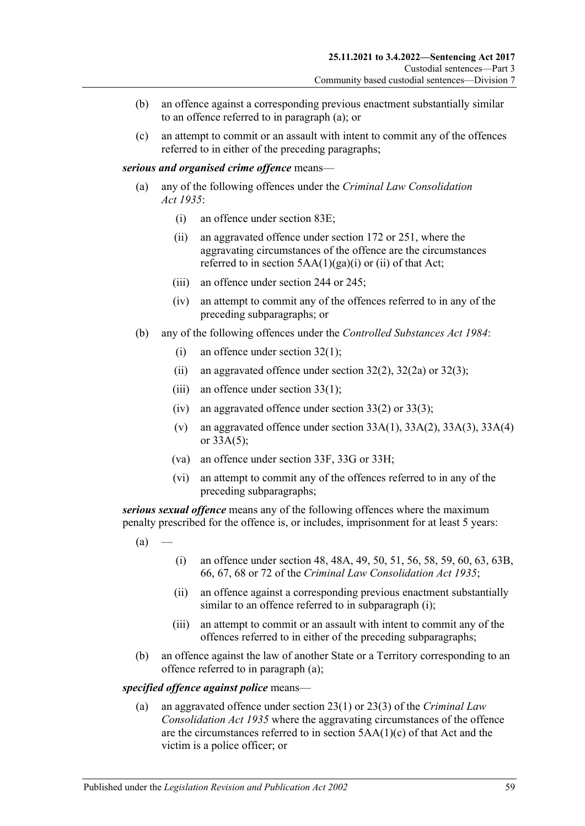- (b) an offence against a corresponding previous enactment substantially similar to an offence referred to in paragraph (a); or
- (c) an attempt to commit or an assault with intent to commit any of the offences referred to in either of the preceding paragraphs;

#### *serious and organised crime offence* means—

- (a) any of the following offences under the *[Criminal Law Consolidation](http://www.legislation.sa.gov.au/index.aspx?action=legref&type=act&legtitle=Criminal%20Law%20Consolidation%20Act%201935)  Act [1935](http://www.legislation.sa.gov.au/index.aspx?action=legref&type=act&legtitle=Criminal%20Law%20Consolidation%20Act%201935)*:
	- (i) an offence under section 83E;
	- (ii) an aggravated offence under section 172 or 251, where the aggravating circumstances of the offence are the circumstances referred to in section  $5AA(1)(ga)(i)$  or (ii) of that Act;
	- (iii) an offence under section 244 or 245;
	- (iv) an attempt to commit any of the offences referred to in any of the preceding subparagraphs; or
- (b) any of the following offences under the *[Controlled Substances Act](http://www.legislation.sa.gov.au/index.aspx?action=legref&type=act&legtitle=Controlled%20Substances%20Act%201984) 1984*:
	- (i) an offence under section 32(1);
	- (ii) an aggravated offence under section  $32(2)$ ,  $32(2a)$  or  $32(3)$ ;
	- (iii) an offence under section  $33(1)$ ;
	- (iv) an aggravated offence under section  $33(2)$  or  $33(3)$ ;
	- (v) an aggravated offence under section  $33A(1)$ ,  $33A(2)$ ,  $33A(3)$ ,  $33A(4)$ or 33A(5);
	- (va) an offence under section 33F, 33G or 33H;
	- (vi) an attempt to commit any of the offences referred to in any of the preceding subparagraphs;

<span id="page-58-1"></span>*serious sexual offence* means any of the following offences where the maximum penalty prescribed for the offence is, or includes, imprisonment for at least 5 years:

- <span id="page-58-0"></span> $(a)$
- (i) an offence under section 48, 48A, 49, 50, 51, 56, 58, 59, 60, 63, 63B, 66, 67, 68 or 72 of the *[Criminal Law Consolidation Act](http://www.legislation.sa.gov.au/index.aspx?action=legref&type=act&legtitle=Criminal%20Law%20Consolidation%20Act%201935) 1935*;
- (ii) an offence against a corresponding previous enactment substantially similar to an offence referred to in [subparagraph](#page-58-0) (i);
- (iii) an attempt to commit or an assault with intent to commit any of the offences referred to in either of the preceding subparagraphs;
- (b) an offence against the law of another State or a Territory corresponding to an offence referred to in [paragraph](#page-58-1) (a);

#### *specified offence against police* means—

(a) an aggravated offence under section 23(1) or 23(3) of the *[Criminal Law](http://www.legislation.sa.gov.au/index.aspx?action=legref&type=act&legtitle=Criminal%20Law%20Consolidation%20Act%201935)  [Consolidation Act](http://www.legislation.sa.gov.au/index.aspx?action=legref&type=act&legtitle=Criminal%20Law%20Consolidation%20Act%201935) 1935* where the aggravating circumstances of the offence are the circumstances referred to in section 5AA(1)(c) of that Act and the victim is a police officer; or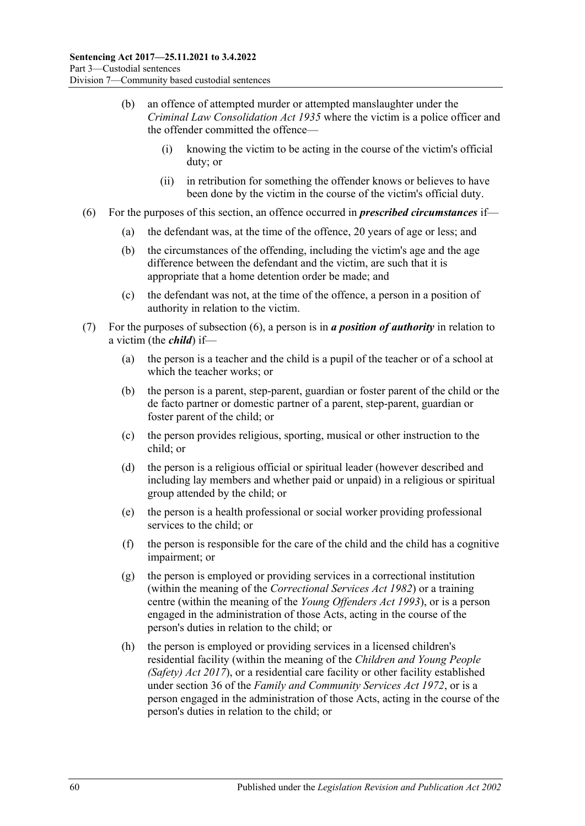- (b) an offence of attempted murder or attempted manslaughter under the *[Criminal Law Consolidation Act](http://www.legislation.sa.gov.au/index.aspx?action=legref&type=act&legtitle=Criminal%20Law%20Consolidation%20Act%201935) 1935* where the victim is a police officer and the offender committed the offence—
	- (i) knowing the victim to be acting in the course of the victim's official duty; or
	- (ii) in retribution for something the offender knows or believes to have been done by the victim in the course of the victim's official duty.
- <span id="page-59-0"></span>(6) For the purposes of this section, an offence occurred in *prescribed circumstances* if—
	- (a) the defendant was, at the time of the offence, 20 years of age or less; and
	- (b) the circumstances of the offending, including the victim's age and the age difference between the defendant and the victim, are such that it is appropriate that a home detention order be made; and
	- (c) the defendant was not, at the time of the offence, a person in a position of authority in relation to the victim.
- (7) For the purposes of [subsection](#page-59-0) (6), a person is in *a position of authority* in relation to a victim (the *child*) if—
	- (a) the person is a teacher and the child is a pupil of the teacher or of a school at which the teacher works; or
	- (b) the person is a parent, step-parent, guardian or foster parent of the child or the de facto partner or domestic partner of a parent, step-parent, guardian or foster parent of the child; or
	- (c) the person provides religious, sporting, musical or other instruction to the child; or
	- (d) the person is a religious official or spiritual leader (however described and including lay members and whether paid or unpaid) in a religious or spiritual group attended by the child; or
	- (e) the person is a health professional or social worker providing professional services to the child; or
	- (f) the person is responsible for the care of the child and the child has a cognitive impairment; or
	- (g) the person is employed or providing services in a correctional institution (within the meaning of the *[Correctional Services Act](http://www.legislation.sa.gov.au/index.aspx?action=legref&type=act&legtitle=Correctional%20Services%20Act%201982) 1982*) or a training centre (within the meaning of the *[Young Offenders Act](http://www.legislation.sa.gov.au/index.aspx?action=legref&type=act&legtitle=Young%20Offenders%20Act%201993) 1993*), or is a person engaged in the administration of those Acts, acting in the course of the person's duties in relation to the child; or
	- (h) the person is employed or providing services in a licensed children's residential facility (within the meaning of the *[Children and Young People](http://www.legislation.sa.gov.au/index.aspx?action=legref&type=act&legtitle=Children%20and%20Young%20People%20(Safety)%20Act%202017)  [\(Safety\) Act](http://www.legislation.sa.gov.au/index.aspx?action=legref&type=act&legtitle=Children%20and%20Young%20People%20(Safety)%20Act%202017) 2017*), or a residential care facility or other facility established under section 36 of the *[Family and Community Services Act](http://www.legislation.sa.gov.au/index.aspx?action=legref&type=act&legtitle=Family%20and%20Community%20Services%20Act%201972) 1972*, or is a person engaged in the administration of those Acts, acting in the course of the person's duties in relation to the child; or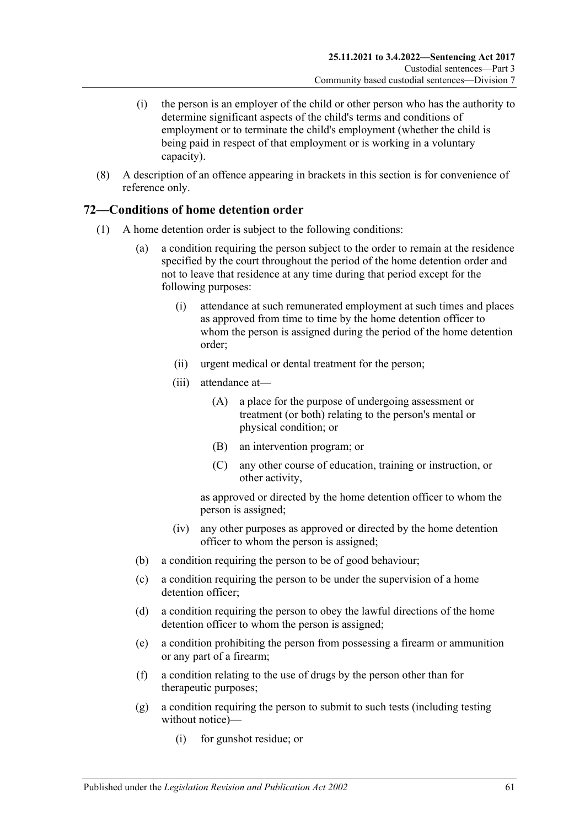- (i) the person is an employer of the child or other person who has the authority to determine significant aspects of the child's terms and conditions of employment or to terminate the child's employment (whether the child is being paid in respect of that employment or is working in a voluntary capacity).
- (8) A description of an offence appearing in brackets in this section is for convenience of reference only.

## **72—Conditions of home detention order**

- (1) A home detention order is subject to the following conditions:
	- (a) a condition requiring the person subject to the order to remain at the residence specified by the court throughout the period of the home detention order and not to leave that residence at any time during that period except for the following purposes:
		- (i) attendance at such remunerated employment at such times and places as approved from time to time by the home detention officer to whom the person is assigned during the period of the home detention order;
		- (ii) urgent medical or dental treatment for the person;
		- (iii) attendance at—
			- (A) a place for the purpose of undergoing assessment or treatment (or both) relating to the person's mental or physical condition; or
			- (B) an intervention program; or
			- (C) any other course of education, training or instruction, or other activity,

as approved or directed by the home detention officer to whom the person is assigned;

- (iv) any other purposes as approved or directed by the home detention officer to whom the person is assigned;
- (b) a condition requiring the person to be of good behaviour;
- (c) a condition requiring the person to be under the supervision of a home detention officer;
- (d) a condition requiring the person to obey the lawful directions of the home detention officer to whom the person is assigned;
- <span id="page-60-0"></span>(e) a condition prohibiting the person from possessing a firearm or ammunition or any part of a firearm;
- (f) a condition relating to the use of drugs by the person other than for therapeutic purposes;
- <span id="page-60-1"></span>(g) a condition requiring the person to submit to such tests (including testing without notice)—
	- (i) for gunshot residue; or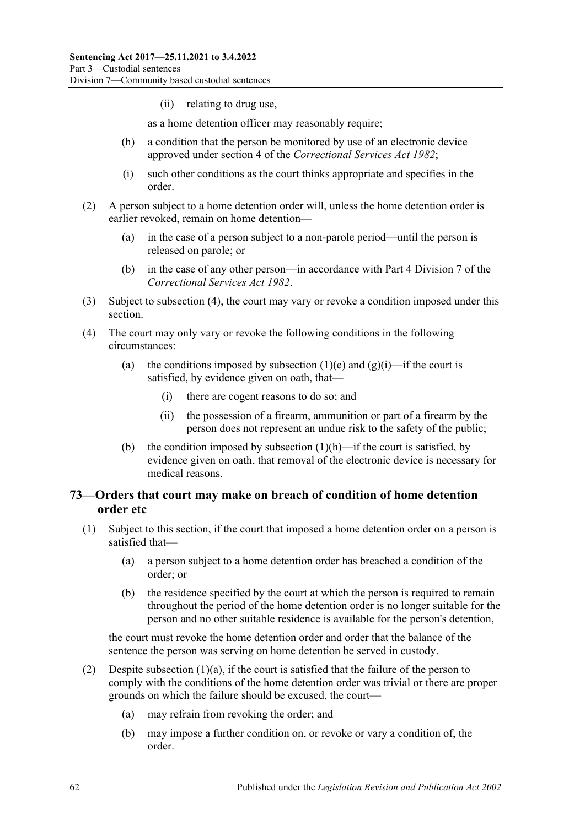(ii) relating to drug use,

as a home detention officer may reasonably require;

- <span id="page-61-1"></span>(h) a condition that the person be monitored by use of an electronic device approved under section 4 of the *[Correctional Services Act](http://www.legislation.sa.gov.au/index.aspx?action=legref&type=act&legtitle=Correctional%20Services%20Act%201982) 1982*;
- (i) such other conditions as the court thinks appropriate and specifies in the order.
- (2) A person subject to a home detention order will, unless the home detention order is earlier revoked, remain on home detention—
	- (a) in the case of a person subject to a non-parole period—until the person is released on parole; or
	- (b) in the case of any other person—in accordance with Part 4 Division 7 of the *[Correctional Services Act](http://www.legislation.sa.gov.au/index.aspx?action=legref&type=act&legtitle=Correctional%20Services%20Act%201982) 1982*.
- (3) Subject to [subsection](#page-61-0) (4), the court may vary or revoke a condition imposed under this section.
- <span id="page-61-0"></span>(4) The court may only vary or revoke the following conditions in the following circumstances:
	- (a) the conditions imposed by [subsection](#page-60-0) (1)(e) and [\(g\)\(i\)—](#page-60-1)if the court is satisfied, by evidence given on oath, that—
		- (i) there are cogent reasons to do so; and
		- (ii) the possession of a firearm, ammunition or part of a firearm by the person does not represent an undue risk to the safety of the public;
	- (b) the condition imposed by [subsection](#page-61-1)  $(1)(h)$ —if the court is satisfied, by evidence given on oath, that removal of the electronic device is necessary for medical reasons.

## <span id="page-61-4"></span>**73—Orders that court may make on breach of condition of home detention order etc**

- <span id="page-61-3"></span><span id="page-61-2"></span>(1) Subject to this section, if the court that imposed a home detention order on a person is satisfied that—
	- (a) a person subject to a home detention order has breached a condition of the order; or
	- (b) the residence specified by the court at which the person is required to remain throughout the period of the home detention order is no longer suitable for the person and no other suitable residence is available for the person's detention,

the court must revoke the home detention order and order that the balance of the sentence the person was serving on home detention be served in custody.

- (2) Despite [subsection](#page-61-2)  $(1)(a)$ , if the court is satisfied that the failure of the person to comply with the conditions of the home detention order was trivial or there are proper grounds on which the failure should be excused, the court—
	- (a) may refrain from revoking the order; and
	- (b) may impose a further condition on, or revoke or vary a condition of, the order.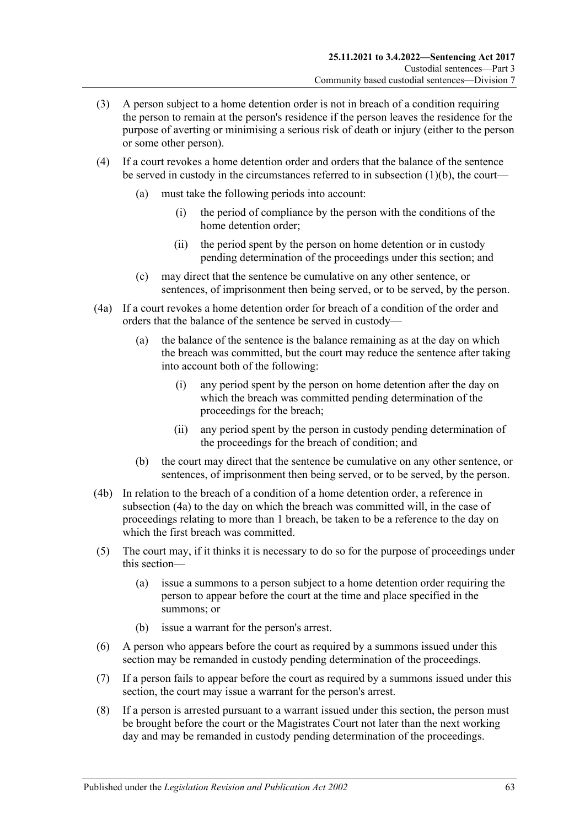- (3) A person subject to a home detention order is not in breach of a condition requiring the person to remain at the person's residence if the person leaves the residence for the purpose of averting or minimising a serious risk of death or injury (either to the person or some other person).
- (4) If a court revokes a home detention order and orders that the balance of the sentence be served in custody in the circumstances referred to in [subsection](#page-61-3) (1)(b), the court—
	- (a) must take the following periods into account:
		- (i) the period of compliance by the person with the conditions of the home detention order;
		- (ii) the period spent by the person on home detention or in custody pending determination of the proceedings under this section; and
	- (c) may direct that the sentence be cumulative on any other sentence, or sentences, of imprisonment then being served, or to be served, by the person.
- <span id="page-62-0"></span>(4a) If a court revokes a home detention order for breach of a condition of the order and orders that the balance of the sentence be served in custody—
	- (a) the balance of the sentence is the balance remaining as at the day on which the breach was committed, but the court may reduce the sentence after taking into account both of the following:
		- (i) any period spent by the person on home detention after the day on which the breach was committed pending determination of the proceedings for the breach;
		- (ii) any period spent by the person in custody pending determination of the proceedings for the breach of condition; and
	- (b) the court may direct that the sentence be cumulative on any other sentence, or sentences, of imprisonment then being served, or to be served, by the person.
- (4b) In relation to the breach of a condition of a home detention order, a reference in [subsection](#page-62-0) (4a) to the day on which the breach was committed will, in the case of proceedings relating to more than 1 breach, be taken to be a reference to the day on which the first breach was committed.
- (5) The court may, if it thinks it is necessary to do so for the purpose of proceedings under this section—
	- (a) issue a summons to a person subject to a home detention order requiring the person to appear before the court at the time and place specified in the summons; or
	- (b) issue a warrant for the person's arrest.
- (6) A person who appears before the court as required by a summons issued under this section may be remanded in custody pending determination of the proceedings.
- (7) If a person fails to appear before the court as required by a summons issued under this section, the court may issue a warrant for the person's arrest.
- <span id="page-62-1"></span>(8) If a person is arrested pursuant to a warrant issued under this section, the person must be brought before the court or the Magistrates Court not later than the next working day and may be remanded in custody pending determination of the proceedings.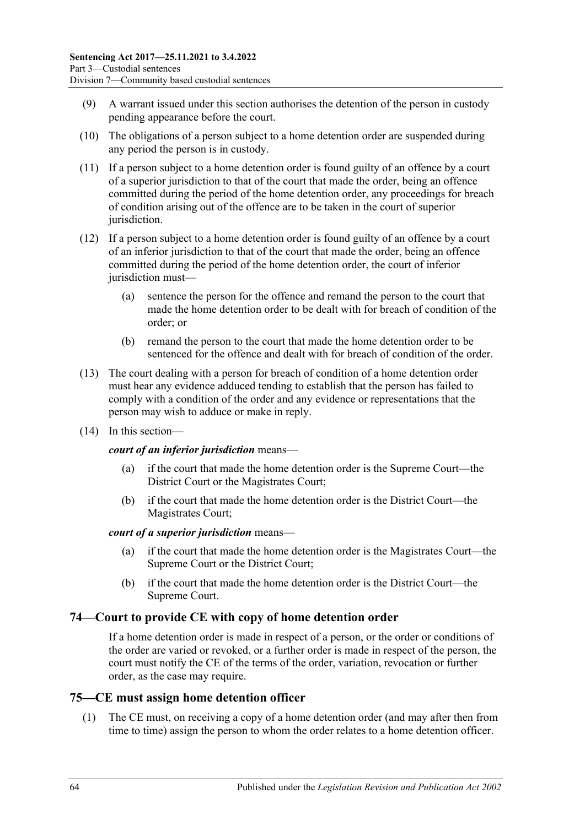- (9) A warrant issued under this section authorises the detention of the person in custody pending appearance before the court.
- <span id="page-63-0"></span>(10) The obligations of a person subject to a home detention order are suspended during any period the person is in custody.
- (11) If a person subject to a home detention order is found guilty of an offence by a court of a superior jurisdiction to that of the court that made the order, being an offence committed during the period of the home detention order, any proceedings for breach of condition arising out of the offence are to be taken in the court of superior jurisdiction.
- (12) If a person subject to a home detention order is found guilty of an offence by a court of an inferior jurisdiction to that of the court that made the order, being an offence committed during the period of the home detention order, the court of inferior jurisdiction must-
	- (a) sentence the person for the offence and remand the person to the court that made the home detention order to be dealt with for breach of condition of the order; or
	- (b) remand the person to the court that made the home detention order to be sentenced for the offence and dealt with for breach of condition of the order.
- (13) The court dealing with a person for breach of condition of a home detention order must hear any evidence adduced tending to establish that the person has failed to comply with a condition of the order and any evidence or representations that the person may wish to adduce or make in reply.
- (14) In this section—

### *court of an inferior jurisdiction* means—

- (a) if the court that made the home detention order is the Supreme Court—the District Court or the Magistrates Court;
- (b) if the court that made the home detention order is the District Court—the Magistrates Court;

### *court of a superior jurisdiction* means—

- (a) if the court that made the home detention order is the Magistrates Court—the Supreme Court or the District Court;
- (b) if the court that made the home detention order is the District Court—the Supreme Court.

## **74—Court to provide CE with copy of home detention order**

If a home detention order is made in respect of a person, or the order or conditions of the order are varied or revoked, or a further order is made in respect of the person, the court must notify the CE of the terms of the order, variation, revocation or further order, as the case may require.

## **75—CE must assign home detention officer**

(1) The CE must, on receiving a copy of a home detention order (and may after then from time to time) assign the person to whom the order relates to a home detention officer.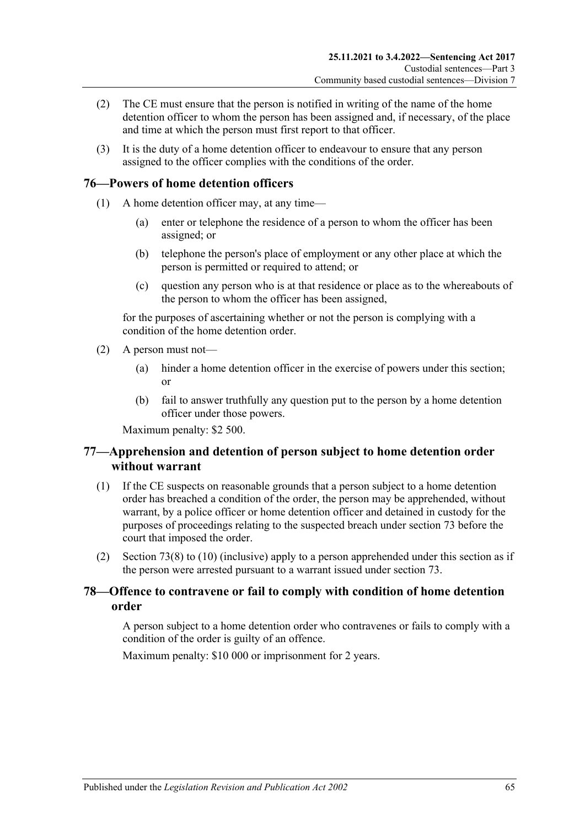- (2) The CE must ensure that the person is notified in writing of the name of the home detention officer to whom the person has been assigned and, if necessary, of the place and time at which the person must first report to that officer.
- (3) It is the duty of a home detention officer to endeavour to ensure that any person assigned to the officer complies with the conditions of the order.

## **76—Powers of home detention officers**

- (1) A home detention officer may, at any time—
	- (a) enter or telephone the residence of a person to whom the officer has been assigned; or
	- (b) telephone the person's place of employment or any other place at which the person is permitted or required to attend; or
	- (c) question any person who is at that residence or place as to the whereabouts of the person to whom the officer has been assigned,

for the purposes of ascertaining whether or not the person is complying with a condition of the home detention order.

- (2) A person must not—
	- (a) hinder a home detention officer in the exercise of powers under this section; or
	- (b) fail to answer truthfully any question put to the person by a home detention officer under those powers.

Maximum penalty: \$2 500.

## **77—Apprehension and detention of person subject to home detention order without warrant**

- (1) If the CE suspects on reasonable grounds that a person subject to a home detention order has breached a condition of the order, the person may be apprehended, without warrant, by a police officer or home detention officer and detained in custody for the purposes of proceedings relating to the suspected breach under [section](#page-61-4) 73 before the court that imposed the order.
- (2) [Section](#page-62-1) 73(8) to [\(10\)](#page-63-0) (inclusive) apply to a person apprehended under this section as if the person were arrested pursuant to a warrant issued under [section](#page-61-4) 73.

## **78—Offence to contravene or fail to comply with condition of home detention order**

A person subject to a home detention order who contravenes or fails to comply with a condition of the order is guilty of an offence.

Maximum penalty: \$10 000 or imprisonment for 2 years.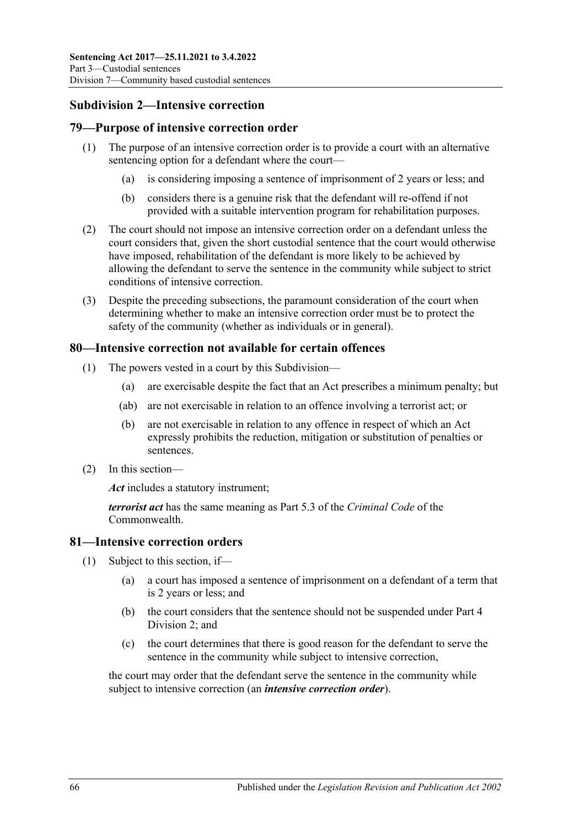## **Subdivision 2—Intensive correction**

## **79—Purpose of intensive correction order**

- (1) The purpose of an intensive correction order is to provide a court with an alternative sentencing option for a defendant where the court—
	- (a) is considering imposing a sentence of imprisonment of 2 years or less; and
	- (b) considers there is a genuine risk that the defendant will re-offend if not provided with a suitable intervention program for rehabilitation purposes.
- (2) The court should not impose an intensive correction order on a defendant unless the court considers that, given the short custodial sentence that the court would otherwise have imposed, rehabilitation of the defendant is more likely to be achieved by allowing the defendant to serve the sentence in the community while subject to strict conditions of intensive correction.
- (3) Despite the preceding subsections, the paramount consideration of the court when determining whether to make an intensive correction order must be to protect the safety of the community (whether as individuals or in general).

## **80—Intensive correction not available for certain offences**

- (1) The powers vested in a court by this Subdivision—
	- (a) are exercisable despite the fact that an Act prescribes a minimum penalty; but
	- (ab) are not exercisable in relation to an offence involving a terrorist act; or
	- (b) are not exercisable in relation to any offence in respect of which an Act expressly prohibits the reduction, mitigation or substitution of penalties or sentences.
- (2) In this section—

*Act* includes a statutory instrument;

*terrorist act* has the same meaning as Part 5.3 of the *Criminal Code* of the Commonwealth.

## **81—Intensive correction orders**

- (1) Subject to this section, if—
	- (a) a court has imposed a sentence of imprisonment on a defendant of a term that is 2 years or less; and
	- (b) the court considers that the sentence should not be suspended under [Part](#page-78-1) 4 [Division](#page-78-1) 2; and
	- (c) the court determines that there is good reason for the defendant to serve the sentence in the community while subject to intensive correction,

<span id="page-65-0"></span>the court may order that the defendant serve the sentence in the community while subject to intensive correction (an *intensive correction order*).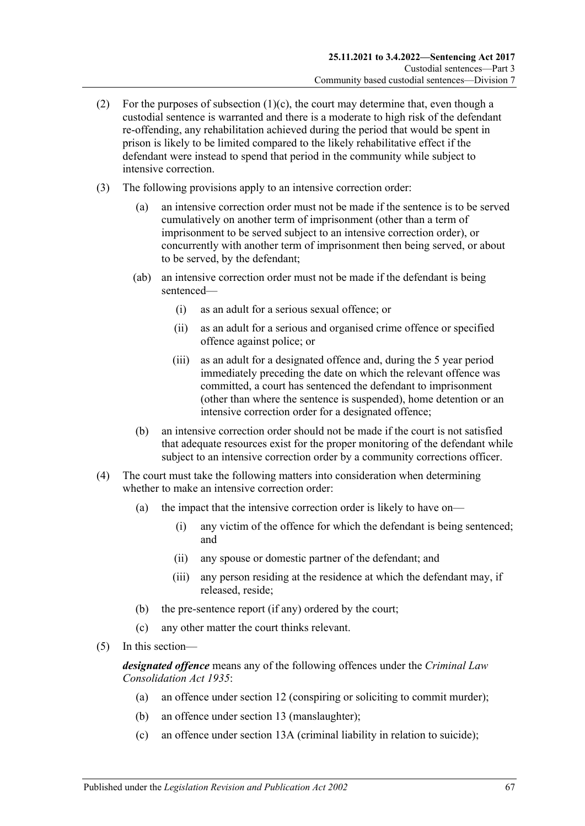- (2) For the purposes of [subsection](#page-65-0)  $(1)(c)$ , the court may determine that, even though a custodial sentence is warranted and there is a moderate to high risk of the defendant re-offending, any rehabilitation achieved during the period that would be spent in prison is likely to be limited compared to the likely rehabilitative effect if the defendant were instead to spend that period in the community while subject to intensive correction.
- (3) The following provisions apply to an intensive correction order:
	- (a) an intensive correction order must not be made if the sentence is to be served cumulatively on another term of imprisonment (other than a term of imprisonment to be served subject to an intensive correction order), or concurrently with another term of imprisonment then being served, or about to be served, by the defendant;
	- (ab) an intensive correction order must not be made if the defendant is being sentenced—
		- (i) as an adult for a serious sexual offence; or
		- (ii) as an adult for a serious and organised crime offence or specified offence against police; or
		- (iii) as an adult for a designated offence and, during the 5 year period immediately preceding the date on which the relevant offence was committed, a court has sentenced the defendant to imprisonment (other than where the sentence is suspended), home detention or an intensive correction order for a designated offence;
	- (b) an intensive correction order should not be made if the court is not satisfied that adequate resources exist for the proper monitoring of the defendant while subject to an intensive correction order by a community corrections officer.
- (4) The court must take the following matters into consideration when determining whether to make an intensive correction order:
	- (a) the impact that the intensive correction order is likely to have on—
		- (i) any victim of the offence for which the defendant is being sentenced; and
		- (ii) any spouse or domestic partner of the defendant; and
		- (iii) any person residing at the residence at which the defendant may, if released, reside;
	- (b) the pre-sentence report (if any) ordered by the court;
	- (c) any other matter the court thinks relevant.
- (5) In this section—

*designated offence* means any of the following offences under the *[Criminal Law](http://www.legislation.sa.gov.au/index.aspx?action=legref&type=act&legtitle=Criminal%20Law%20Consolidation%20Act%201935)  [Consolidation Act](http://www.legislation.sa.gov.au/index.aspx?action=legref&type=act&legtitle=Criminal%20Law%20Consolidation%20Act%201935) 1935*:

- (a) an offence under section 12 (conspiring or soliciting to commit murder);
- (b) an offence under section 13 (manslaughter);
- (c) an offence under section 13A (criminal liability in relation to suicide);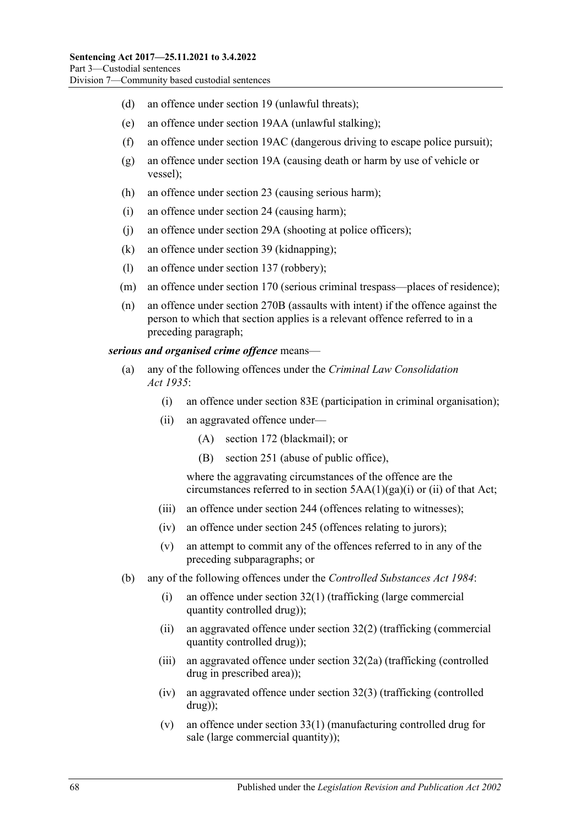- (d) an offence under section 19 (unlawful threats);
- (e) an offence under section 19AA (unlawful stalking);
- (f) an offence under section 19AC (dangerous driving to escape police pursuit);
- (g) an offence under section 19A (causing death or harm by use of vehicle or vessel);
- (h) an offence under section 23 (causing serious harm);
- (i) an offence under section 24 (causing harm);
- (j) an offence under section 29A (shooting at police officers);
- (k) an offence under section 39 (kidnapping);
- (l) an offence under section 137 (robbery);
- (m) an offence under section 170 (serious criminal trespass—places of residence);
- (n) an offence under section 270B (assaults with intent) if the offence against the person to which that section applies is a relevant offence referred to in a preceding paragraph;

*serious and organised crime offence* means—

- (a) any of the following offences under the *[Criminal Law Consolidation](http://www.legislation.sa.gov.au/index.aspx?action=legref&type=act&legtitle=Criminal%20Law%20Consolidation%20Act%201935)  Act [1935](http://www.legislation.sa.gov.au/index.aspx?action=legref&type=act&legtitle=Criminal%20Law%20Consolidation%20Act%201935)*:
	- (i) an offence under section 83E (participation in criminal organisation);
	- (ii) an aggravated offence under—
		- (A) section 172 (blackmail); or
		- (B) section 251 (abuse of public office),

where the aggravating circumstances of the offence are the circumstances referred to in section  $5AA(1)(ga)(i)$  or (ii) of that Act;

- (iii) an offence under section 244 (offences relating to witnesses);
- (iv) an offence under section 245 (offences relating to jurors);
- (v) an attempt to commit any of the offences referred to in any of the preceding subparagraphs; or
- (b) any of the following offences under the *[Controlled Substances Act](http://www.legislation.sa.gov.au/index.aspx?action=legref&type=act&legtitle=Controlled%20Substances%20Act%201984) 1984*:
	- (i) an offence under section 32(1) (trafficking (large commercial quantity controlled drug));
	- (ii) an aggravated offence under section 32(2) (trafficking (commercial quantity controlled drug));
	- (iii) an aggravated offence under section 32(2a) (trafficking (controlled drug in prescribed area));
	- (iv) an aggravated offence under section 32(3) (trafficking (controlled drug));
	- (v) an offence under section 33(1) (manufacturing controlled drug for sale (large commercial quantity));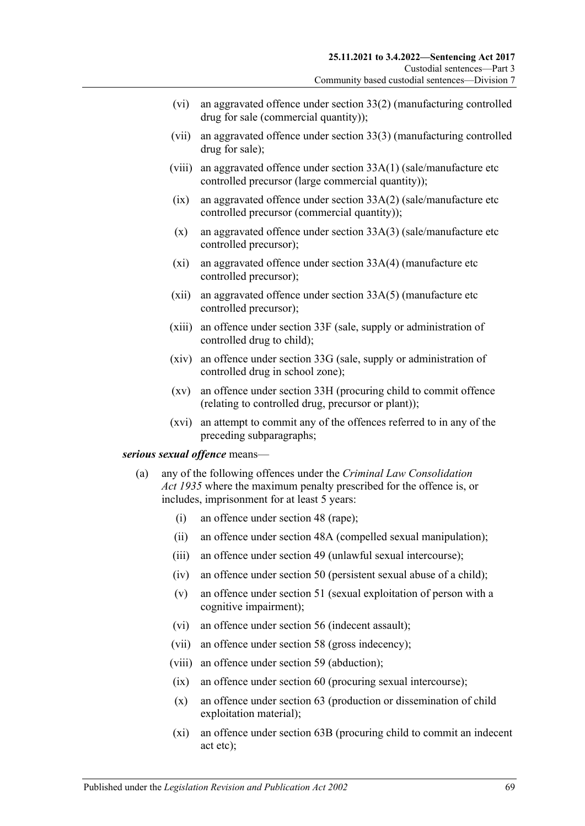- (vi) an aggravated offence under section 33(2) (manufacturing controlled drug for sale (commercial quantity));
- (vii) an aggravated offence under section 33(3) (manufacturing controlled drug for sale);
- (viii) an aggravated offence under section 33A(1) (sale/manufacture etc controlled precursor (large commercial quantity));
- $(ix)$  an aggravated offence under section  $33A(2)$  (sale/manufacture etc controlled precursor (commercial quantity));
- (x) an aggravated offence under section 33A(3) (sale/manufacture etc controlled precursor);
- (xi) an aggravated offence under section 33A(4) (manufacture etc controlled precursor);
- (xii) an aggravated offence under section 33A(5) (manufacture etc controlled precursor);
- (xiii) an offence under section 33F (sale, supply or administration of controlled drug to child);
- (xiv) an offence under section 33G (sale, supply or administration of controlled drug in school zone);
- (xv) an offence under section 33H (procuring child to commit offence (relating to controlled drug, precursor or plant));
- (xvi) an attempt to commit any of the offences referred to in any of the preceding subparagraphs;

#### <span id="page-68-0"></span>*serious sexual offence* means—

- (a) any of the following offences under the *[Criminal Law Consolidation](http://www.legislation.sa.gov.au/index.aspx?action=legref&type=act&legtitle=Criminal%20Law%20Consolidation%20Act%201935)  Act [1935](http://www.legislation.sa.gov.au/index.aspx?action=legref&type=act&legtitle=Criminal%20Law%20Consolidation%20Act%201935)* where the maximum penalty prescribed for the offence is, or includes, imprisonment for at least 5 years:
	- (i) an offence under section 48 (rape);
	- (ii) an offence under section 48A (compelled sexual manipulation);
	- (iii) an offence under section 49 (unlawful sexual intercourse);
	- (iv) an offence under section 50 (persistent sexual abuse of a child);
	- (v) an offence under section 51 (sexual exploitation of person with a cognitive impairment);
	- (vi) an offence under section 56 (indecent assault);
	- (vii) an offence under section 58 (gross indecency);
	- (viii) an offence under section 59 (abduction);
	- (ix) an offence under section 60 (procuring sexual intercourse);
	- (x) an offence under section 63 (production or dissemination of child exploitation material);
	- (xi) an offence under section 63B (procuring child to commit an indecent act etc);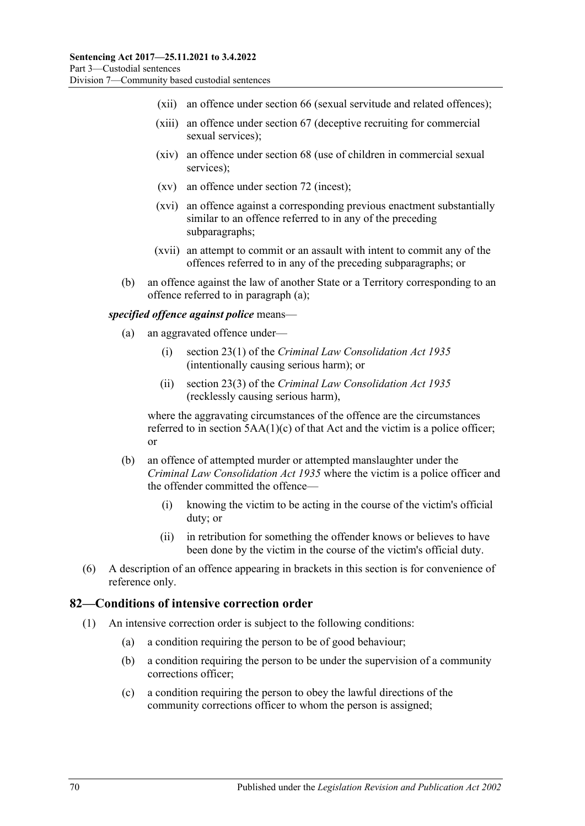- (xii) an offence under section 66 (sexual servitude and related offences);
- (xiii) an offence under section 67 (deceptive recruiting for commercial sexual services);
- (xiv) an offence under section 68 (use of children in commercial sexual services);
- (xv) an offence under section 72 (incest);
- (xvi) an offence against a corresponding previous enactment substantially similar to an offence referred to in any of the preceding subparagraphs;
- (xvii) an attempt to commit or an assault with intent to commit any of the offences referred to in any of the preceding subparagraphs; or
- (b) an offence against the law of another State or a Territory corresponding to an offence referred to in [paragraph](#page-68-0) (a);

#### *specified offence against police* means—

- (a) an aggravated offence under—
	- (i) section 23(1) of the *[Criminal Law Consolidation Act](http://www.legislation.sa.gov.au/index.aspx?action=legref&type=act&legtitle=Criminal%20Law%20Consolidation%20Act%201935) 1935* (intentionally causing serious harm); or
	- (ii) section 23(3) of the *Criminal Law [Consolidation Act](http://www.legislation.sa.gov.au/index.aspx?action=legref&type=act&legtitle=Criminal%20Law%20Consolidation%20Act%201935) 1935* (recklessly causing serious harm),

where the aggravating circumstances of the offence are the circumstances referred to in section  $5AA(1)(c)$  of that Act and the victim is a police officer; or

- (b) an offence of attempted murder or attempted manslaughter under the *[Criminal Law Consolidation Act](http://www.legislation.sa.gov.au/index.aspx?action=legref&type=act&legtitle=Criminal%20Law%20Consolidation%20Act%201935) 1935* where the victim is a police officer and the offender committed the offence—
	- (i) knowing the victim to be acting in the course of the victim's official duty; or
	- (ii) in retribution for something the offender knows or believes to have been done by the victim in the course of the victim's official duty.
- (6) A description of an offence appearing in brackets in this section is for convenience of reference only.

#### **82—Conditions of intensive correction order**

- (1) An intensive correction order is subject to the following conditions:
	- (a) a condition requiring the person to be of good behaviour;
	- (b) a condition requiring the person to be under the supervision of a community corrections officer;
	- (c) a condition requiring the person to obey the lawful directions of the community corrections officer to whom the person is assigned;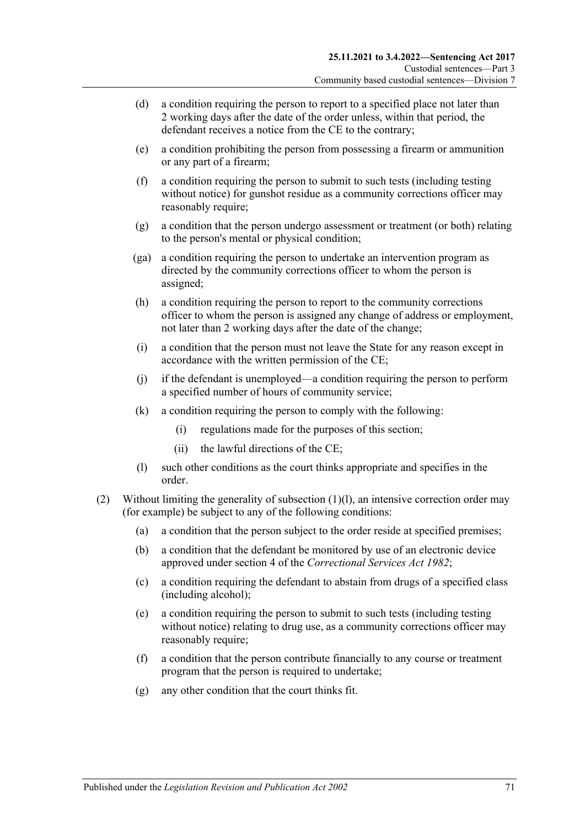- (d) a condition requiring the person to report to a specified place not later than 2 working days after the date of the order unless, within that period, the defendant receives a notice from the CE to the contrary;
- <span id="page-70-2"></span>(e) a condition prohibiting the person from possessing a firearm or ammunition or any part of a firearm;
- <span id="page-70-3"></span>(f) a condition requiring the person to submit to such tests (including testing without notice) for gunshot residue as a community corrections officer may reasonably require;
- (g) a condition that the person undergo assessment or treatment (or both) relating to the person's mental or physical condition;
- (ga) a condition requiring the person to undertake an intervention program as directed by the community corrections officer to whom the person is assigned;
- (h) a condition requiring the person to report to the community corrections officer to whom the person is assigned any change of address or employment, not later than 2 working days after the date of the change;
- (i) a condition that the person must not leave the State for any reason except in accordance with the written permission of the CE;
- (j) if the defendant is unemployed—a condition requiring the person to perform a specified number of hours of community service;
- (k) a condition requiring the person to comply with the following:
	- (i) regulations made for the purposes of this section;
	- (ii) the lawful directions of the CE;
- (l) such other conditions as the court thinks appropriate and specifies in the order.
- <span id="page-70-1"></span><span id="page-70-0"></span>(2) Without limiting the generality of [subsection](#page-70-0) (1)(l), an intensive correction order may (for example) be subject to any of the following conditions:
	- (a) a condition that the person subject to the order reside at specified premises;
	- (b) a condition that the defendant be monitored by use of an electronic device approved under section 4 of the *[Correctional Services Act](http://www.legislation.sa.gov.au/index.aspx?action=legref&type=act&legtitle=Correctional%20Services%20Act%201982) 1982*;
	- (c) a condition requiring the defendant to abstain from drugs of a specified class (including alcohol);
	- (e) a condition requiring the person to submit to such tests (including testing without notice) relating to drug use, as a community corrections officer may reasonably require;
	- (f) a condition that the person contribute financially to any course or treatment program that the person is required to undertake;
	- (g) any other condition that the court thinks fit.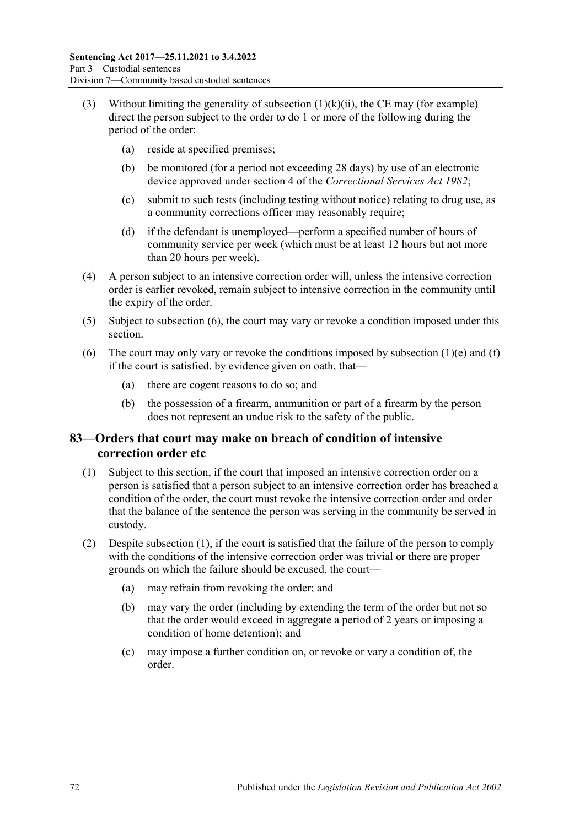- (3) Without limiting the generality of [subsection](#page-70-1)  $(1)(k)(ii)$ , the CE may (for example) direct the person subject to the order to do 1 or more of the following during the period of the order:
	- (a) reside at specified premises;
	- (b) be monitored (for a period not exceeding 28 days) by use of an electronic device approved under section 4 of the *[Correctional Services Act](http://www.legislation.sa.gov.au/index.aspx?action=legref&type=act&legtitle=Correctional%20Services%20Act%201982) 1982*;
	- (c) submit to such tests (including testing without notice) relating to drug use, as a community corrections officer may reasonably require;
	- (d) if the defendant is unemployed—perform a specified number of hours of community service per week (which must be at least 12 hours but not more than 20 hours per week).
- (4) A person subject to an intensive correction order will, unless the intensive correction order is earlier revoked, remain subject to intensive correction in the community until the expiry of the order.
- (5) Subject to [subsection](#page-71-0) (6), the court may vary or revoke a condition imposed under this section.
- <span id="page-71-0"></span>(6) The court may only vary or revoke the conditions imposed by [subsection](#page-70-2)  $(1)(e)$  and  $(f)$ if the court is satisfied, by evidence given on oath, that—
	- (a) there are cogent reasons to do so; and
	- (b) the possession of a firearm, ammunition or part of a firearm by the person does not represent an undue risk to the safety of the public.

## **83—Orders that court may make on breach of condition of intensive correction order etc**

- <span id="page-71-1"></span>(1) Subject to this section, if the court that imposed an intensive correction order on a person is satisfied that a person subject to an intensive correction order has breached a condition of the order, the court must revoke the intensive correction order and order that the balance of the sentence the person was serving in the community be served in custody.
- (2) Despite [subsection](#page-71-1) (1), if the court is satisfied that the failure of the person to comply with the conditions of the intensive correction order was trivial or there are proper grounds on which the failure should be excused, the court—
	- (a) may refrain from revoking the order; and
	- (b) may vary the order (including by extending the term of the order but not so that the order would exceed in aggregate a period of 2 years or imposing a condition of home detention); and
	- (c) may impose a further condition on, or revoke or vary a condition of, the order.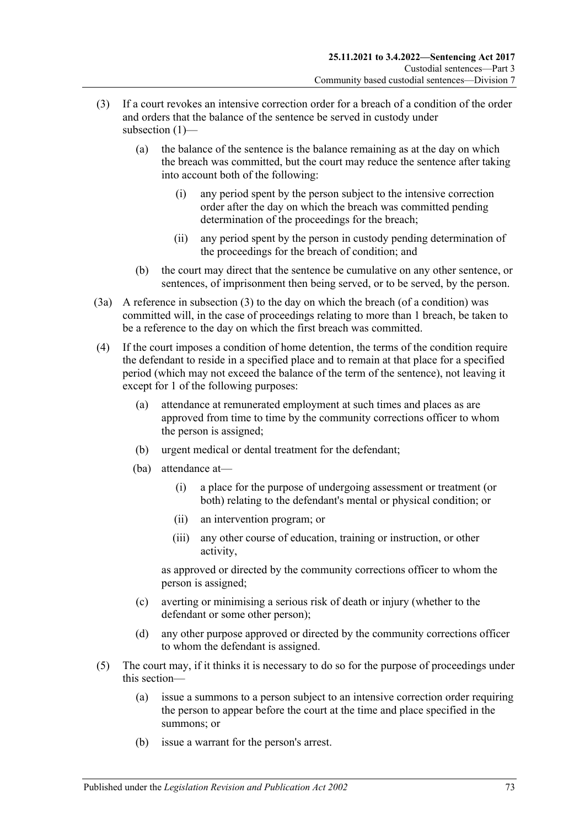- (3) If a court revokes an intensive correction order for a breach of a condition of the order and orders that the balance of the sentence be served in custody under subsection (1)-
	- (a) the balance of the sentence is the balance remaining as at the day on which the breach was committed, but the court may reduce the sentence after taking into account both of the following:
		- (i) any period spent by the person subject to the intensive correction order after the day on which the breach was committed pending determination of the proceedings for the breach;
		- (ii) any period spent by the person in custody pending determination of the proceedings for the breach of condition; and
	- (b) the court may direct that the sentence be cumulative on any other sentence, or sentences, of imprisonment then being served, or to be served, by the person.
- (3a) A reference in subsection (3) to the day on which the breach (of a condition) was committed will, in the case of proceedings relating to more than 1 breach, be taken to be a reference to the day on which the first breach was committed.
- (4) If the court imposes a condition of home detention, the terms of the condition require the defendant to reside in a specified place and to remain at that place for a specified period (which may not exceed the balance of the term of the sentence), not leaving it except for 1 of the following purposes:
	- (a) attendance at remunerated employment at such times and places as are approved from time to time by the community corrections officer to whom the person is assigned;
	- (b) urgent medical or dental treatment for the defendant;
	- (ba) attendance at—
		- (i) a place for the purpose of undergoing assessment or treatment (or both) relating to the defendant's mental or physical condition; or
		- (ii) an intervention program; or
		- (iii) any other course of education, training or instruction, or other activity,

as approved or directed by the community corrections officer to whom the person is assigned;

- (c) averting or minimising a serious risk of death or injury (whether to the defendant or some other person);
- (d) any other purpose approved or directed by the community corrections officer to whom the defendant is assigned.
- (5) The court may, if it thinks it is necessary to do so for the purpose of proceedings under this section—
	- (a) issue a summons to a person subject to an intensive correction order requiring the person to appear before the court at the time and place specified in the summons; or
	- (b) issue a warrant for the person's arrest.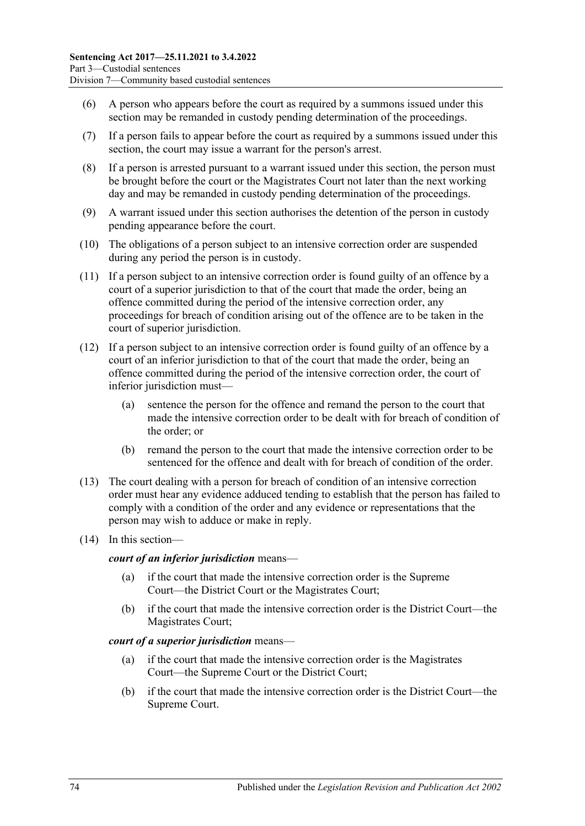- (6) A person who appears before the court as required by a summons issued under this section may be remanded in custody pending determination of the proceedings.
- (7) If a person fails to appear before the court as required by a summons issued under this section, the court may issue a warrant for the person's arrest.
- (8) If a person is arrested pursuant to a warrant issued under this section, the person must be brought before the court or the Magistrates Court not later than the next working day and may be remanded in custody pending determination of the proceedings.
- <span id="page-73-0"></span>(9) A warrant issued under this section authorises the detention of the person in custody pending appearance before the court.
- (10) The obligations of a person subject to an intensive correction order are suspended during any period the person is in custody.
- <span id="page-73-1"></span>(11) If a person subject to an intensive correction order is found guilty of an offence by a court of a superior jurisdiction to that of the court that made the order, being an offence committed during the period of the intensive correction order, any proceedings for breach of condition arising out of the offence are to be taken in the court of superior jurisdiction.
- (12) If a person subject to an intensive correction order is found guilty of an offence by a court of an inferior jurisdiction to that of the court that made the order, being an offence committed during the period of the intensive correction order, the court of inferior jurisdiction must—
	- (a) sentence the person for the offence and remand the person to the court that made the intensive correction order to be dealt with for breach of condition of the order; or
	- (b) remand the person to the court that made the intensive correction order to be sentenced for the offence and dealt with for breach of condition of the order.
- (13) The court dealing with a person for breach of condition of an intensive correction order must hear any evidence adduced tending to establish that the person has failed to comply with a condition of the order and any evidence or representations that the person may wish to adduce or make in reply.
- (14) In this section—

#### *court of an inferior jurisdiction* means—

- (a) if the court that made the intensive correction order is the Supreme Court—the District Court or the Magistrates Court;
- (b) if the court that made the intensive correction order is the District Court—the Magistrates Court;

#### *court of a superior jurisdiction* means—

- (a) if the court that made the intensive correction order is the Magistrates Court—the Supreme Court or the District Court;
- (b) if the court that made the intensive correction order is the District Court—the Supreme Court.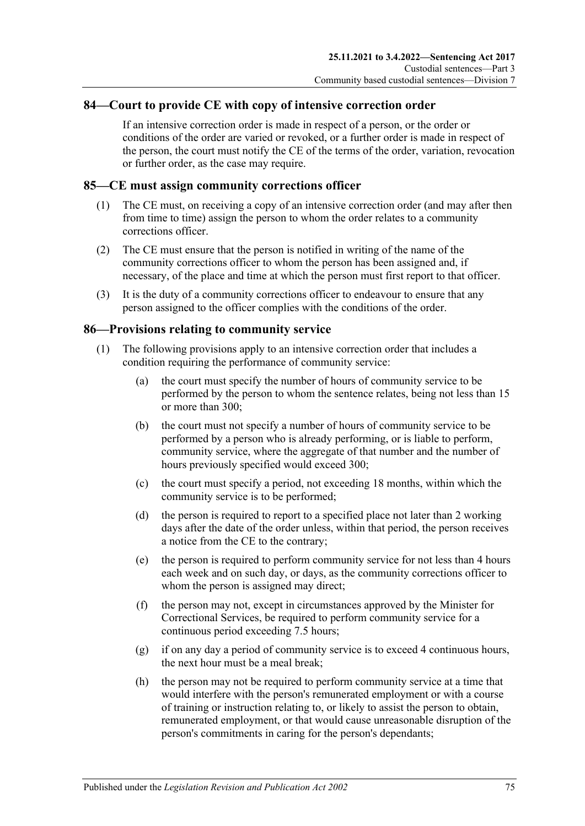#### **84—Court to provide CE with copy of intensive correction order**

If an intensive correction order is made in respect of a person, or the order or conditions of the order are varied or revoked, or a further order is made in respect of the person, the court must notify the CE of the terms of the order, variation, revocation or further order, as the case may require.

#### **85—CE must assign community corrections officer**

- (1) The CE must, on receiving a copy of an intensive correction order (and may after then from time to time) assign the person to whom the order relates to a community corrections officer.
- (2) The CE must ensure that the person is notified in writing of the name of the community corrections officer to whom the person has been assigned and, if necessary, of the place and time at which the person must first report to that officer.
- (3) It is the duty of a community corrections officer to endeavour to ensure that any person assigned to the officer complies with the conditions of the order.

#### **86—Provisions relating to community service**

- (1) The following provisions apply to an intensive correction order that includes a condition requiring the performance of community service:
	- (a) the court must specify the number of hours of community service to be performed by the person to whom the sentence relates, being not less than 15 or more than 300;
	- (b) the court must not specify a number of hours of community service to be performed by a person who is already performing, or is liable to perform, community service, where the aggregate of that number and the number of hours previously specified would exceed 300;
	- (c) the court must specify a period, not exceeding 18 months, within which the community service is to be performed;
	- (d) the person is required to report to a specified place not later than 2 working days after the date of the order unless, within that period, the person receives a notice from the CE to the contrary;
	- (e) the person is required to perform community service for not less than 4 hours each week and on such day, or days, as the community corrections officer to whom the person is assigned may direct;
	- (f) the person may not, except in circumstances approved by the Minister for Correctional Services, be required to perform community service for a continuous period exceeding 7.5 hours;
	- (g) if on any day a period of community service is to exceed 4 continuous hours, the next hour must be a meal break;
	- (h) the person may not be required to perform community service at a time that would interfere with the person's remunerated employment or with a course of training or instruction relating to, or likely to assist the person to obtain, remunerated employment, or that would cause unreasonable disruption of the person's commitments in caring for the person's dependants;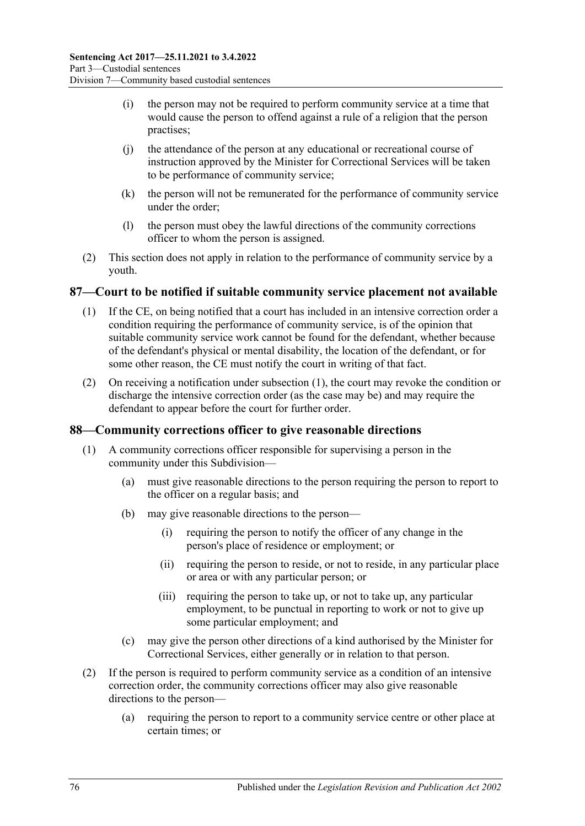- (i) the person may not be required to perform community service at a time that would cause the person to offend against a rule of a religion that the person practises;
- (j) the attendance of the person at any educational or recreational course of instruction approved by the Minister for Correctional Services will be taken to be performance of community service;
- (k) the person will not be remunerated for the performance of community service under the order;
- (l) the person must obey the lawful directions of the community corrections officer to whom the person is assigned.
- (2) This section does not apply in relation to the performance of community service by a youth.

#### <span id="page-75-0"></span>**87—Court to be notified if suitable community service placement not available**

- (1) If the CE, on being notified that a court has included in an intensive correction order a condition requiring the performance of community service, is of the opinion that suitable community service work cannot be found for the defendant, whether because of the defendant's physical or mental disability, the location of the defendant, or for some other reason, the CE must notify the court in writing of that fact.
- (2) On receiving a notification under [subsection](#page-75-0) (1), the court may revoke the condition or discharge the intensive correction order (as the case may be) and may require the defendant to appear before the court for further order.

#### **88—Community corrections officer to give reasonable directions**

- (1) A community corrections officer responsible for supervising a person in the community under this Subdivision—
	- (a) must give reasonable directions to the person requiring the person to report to the officer on a regular basis; and
	- (b) may give reasonable directions to the person—
		- (i) requiring the person to notify the officer of any change in the person's place of residence or employment; or
		- (ii) requiring the person to reside, or not to reside, in any particular place or area or with any particular person; or
		- (iii) requiring the person to take up, or not to take up, any particular employment, to be punctual in reporting to work or not to give up some particular employment; and
	- (c) may give the person other directions of a kind authorised by the Minister for Correctional Services, either generally or in relation to that person.
- (2) If the person is required to perform community service as a condition of an intensive correction order, the community corrections officer may also give reasonable directions to the person—
	- (a) requiring the person to report to a community service centre or other place at certain times; or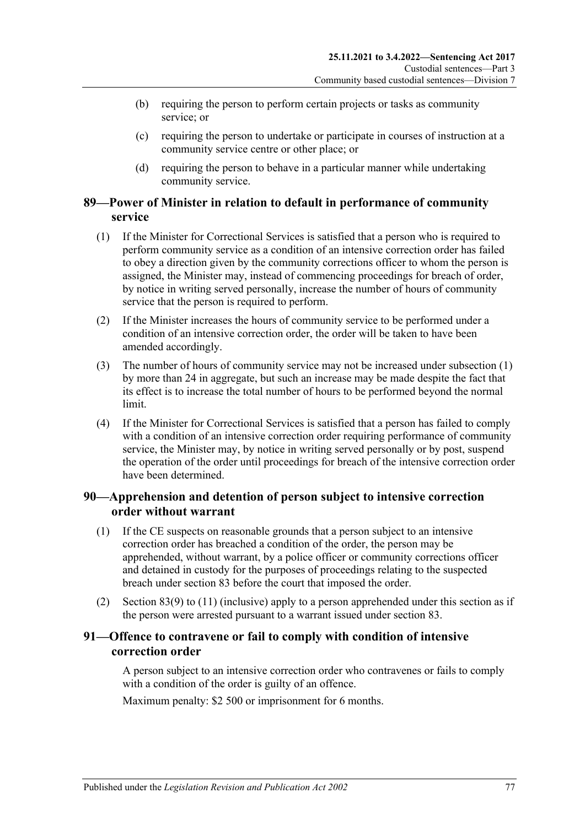- (b) requiring the person to perform certain projects or tasks as community service; or
- (c) requiring the person to undertake or participate in courses of instruction at a community service centre or other place; or
- (d) requiring the person to behave in a particular manner while undertaking community service.

#### **89—Power of Minister in relation to default in performance of community service**

- <span id="page-76-0"></span>(1) If the Minister for Correctional Services is satisfied that a person who is required to perform community service as a condition of an intensive correction order has failed to obey a direction given by the community corrections officer to whom the person is assigned, the Minister may, instead of commencing proceedings for breach of order, by notice in writing served personally, increase the number of hours of community service that the person is required to perform.
- (2) If the Minister increases the hours of community service to be performed under a condition of an intensive correction order, the order will be taken to have been amended accordingly.
- (3) The number of hours of community service may not be increased under [subsection](#page-76-0) (1) by more than 24 in aggregate, but such an increase may be made despite the fact that its effect is to increase the total number of hours to be performed beyond the normal limit.
- (4) If the Minister for Correctional Services is satisfied that a person has failed to comply with a condition of an intensive correction order requiring performance of community service, the Minister may, by notice in writing served personally or by post, suspend the operation of the order until proceedings for breach of the intensive correction order have been determined.

#### **90—Apprehension and detention of person subject to intensive correction order without warrant**

- (1) If the CE suspects on reasonable grounds that a person subject to an intensive correction order has breached a condition of the order, the person may be apprehended, without warrant, by a police officer or community corrections officer and detained in custody for the purposes of proceedings relating to the suspected breach under [section](#page-71-0) 83 before the court that imposed the order.
- (2) [Section](#page-73-0) 83(9) to [\(11\)](#page-73-1) (inclusive) apply to a person apprehended under this section as if the person were arrested pursuant to a warrant issued under [section](#page-71-0) 83.

## **91—Offence to contravene or fail to comply with condition of intensive correction order**

A person subject to an intensive correction order who contravenes or fails to comply with a condition of the order is guilty of an offence.

Maximum penalty: \$2 500 or imprisonment for 6 months.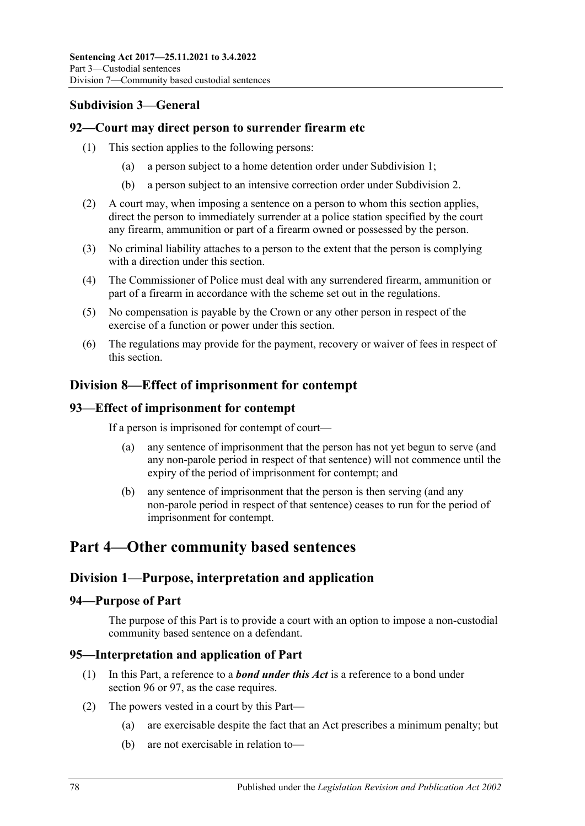## **Subdivision 3—General**

#### **92—Court may direct person to surrender firearm etc**

- (1) This section applies to the following persons:
	- (a) a person subject to a home detention order under [Subdivision](#page-54-0) 1;
	- (b) a person subject to an intensive correction order under [Subdivision](#page-65-0) 2.
- (2) A court may, when imposing a sentence on a person to whom this section applies, direct the person to immediately surrender at a police station specified by the court any firearm, ammunition or part of a firearm owned or possessed by the person.
- (3) No criminal liability attaches to a person to the extent that the person is complying with a direction under this section.
- (4) The Commissioner of Police must deal with any surrendered firearm, ammunition or part of a firearm in accordance with the scheme set out in the regulations.
- (5) No compensation is payable by the Crown or any other person in respect of the exercise of a function or power under this section.
- (6) The regulations may provide for the payment, recovery or waiver of fees in respect of this section.

## **Division 8—Effect of imprisonment for contempt**

#### **93—Effect of imprisonment for contempt**

If a person is imprisoned for contempt of court—

- (a) any sentence of imprisonment that the person has not yet begun to serve (and any non-parole period in respect of that sentence) will not commence until the expiry of the period of imprisonment for contempt; and
- (b) any sentence of imprisonment that the person is then serving (and any non-parole period in respect of that sentence) ceases to run for the period of imprisonment for contempt.

# **Part 4—Other community based sentences**

## **Division 1—Purpose, interpretation and application**

#### **94—Purpose of Part**

The purpose of this Part is to provide a court with an option to impose a non-custodial community based sentence on a defendant.

## **95—Interpretation and application of Part**

- (1) In this Part, a reference to a *bond under this Act* is a reference to a bond under [section](#page-78-0) 96 or [97,](#page-83-0) as the case requires.
- <span id="page-77-0"></span>(2) The powers vested in a court by this Part—
	- (a) are exercisable despite the fact that an Act prescribes a minimum penalty; but
	- (b) are not exercisable in relation to—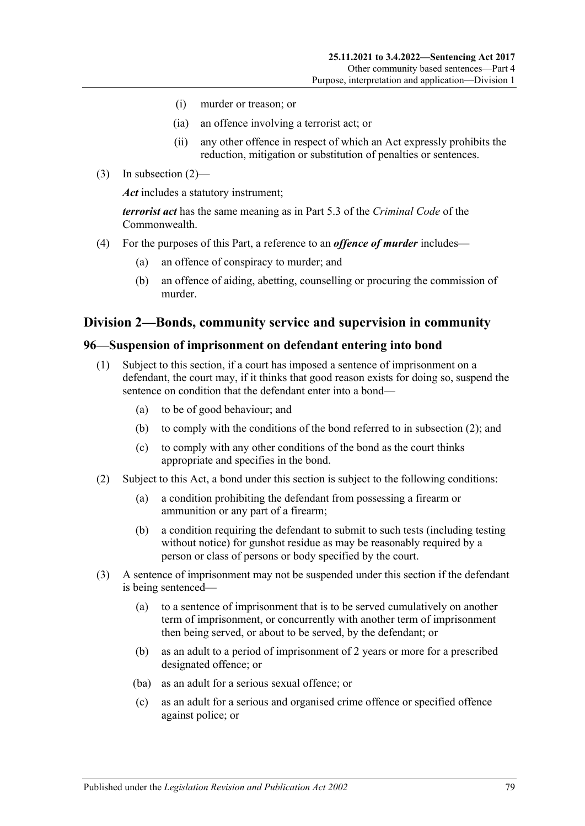- (i) murder or treason; or
- (ia) an offence involving a terrorist act; or
- (ii) any other offence in respect of which an Act expressly prohibits the reduction, mitigation or substitution of penalties or sentences.
- (3) In [subsection](#page-77-0) (2)—

*Act* includes a statutory instrument;

*terrorist act* has the same meaning as in Part 5.3 of the *Criminal Code* of the Commonwealth.

- (4) For the purposes of this Part, a reference to an *offence of murder* includes—
	- (a) an offence of conspiracy to murder; and
	- (b) an offence of aiding, abetting, counselling or procuring the commission of murder.

#### **Division 2—Bonds, community service and supervision in community**

#### <span id="page-78-3"></span><span id="page-78-0"></span>**96—Suspension of imprisonment on defendant entering into bond**

- (1) Subject to this section, if a court has imposed a sentence of imprisonment on a defendant, the court may, if it thinks that good reason exists for doing so, suspend the sentence on condition that the defendant enter into a bond—
	- (a) to be of good behaviour; and
	- (b) to comply with the conditions of the bond referred to in [subsection](#page-78-1) (2); and
	- (c) to comply with any other conditions of the bond as the court thinks appropriate and specifies in the bond.
- <span id="page-78-6"></span><span id="page-78-1"></span>(2) Subject to this Act, a bond under this section is subject to the following conditions:
	- (a) a condition prohibiting the defendant from possessing a firearm or ammunition or any part of a firearm;
	- (b) a condition requiring the defendant to submit to such tests (including testing without notice) for gunshot residue as may be reasonably required by a person or class of persons or body specified by the court.
- <span id="page-78-5"></span><span id="page-78-4"></span><span id="page-78-2"></span>(3) A sentence of imprisonment may not be suspended under this section if the defendant is being sentenced—
	- (a) to a sentence of imprisonment that is to be served cumulatively on another term of imprisonment, or concurrently with another term of imprisonment then being served, or about to be served, by the defendant; or
	- (b) as an adult to a period of imprisonment of 2 years or more for a prescribed designated offence; or
	- (ba) as an adult for a serious sexual offence; or
	- (c) as an adult for a serious and organised crime offence or specified offence against police; or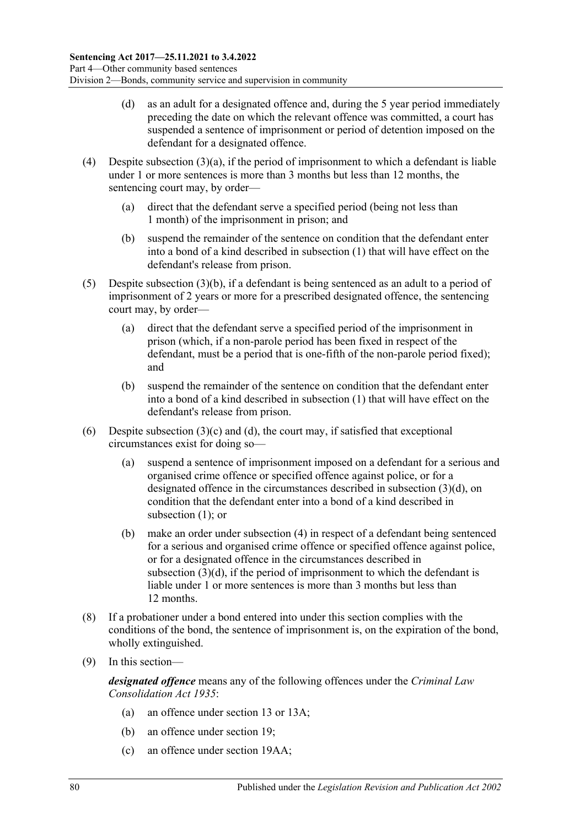- <span id="page-79-0"></span>(d) as an adult for a designated offence and, during the 5 year period immediately preceding the date on which the relevant offence was committed, a court has suspended a sentence of imprisonment or period of detention imposed on the defendant for a designated offence.
- <span id="page-79-1"></span>(4) Despite [subsection](#page-78-2)  $(3)(a)$ , if the period of imprisonment to which a defendant is liable under 1 or more sentences is more than 3 months but less than 12 months, the sentencing court may, by order—
	- (a) direct that the defendant serve a specified period (being not less than 1 month) of the imprisonment in prison; and
	- (b) suspend the remainder of the sentence on condition that the defendant enter into a bond of a kind described in [subsection](#page-78-3) (1) that will have effect on the defendant's release from prison.
- <span id="page-79-2"></span>(5) Despite [subsection](#page-78-4) (3)(b), if a defendant is being sentenced as an adult to a period of imprisonment of 2 years or more for a prescribed designated offence, the sentencing court may, by order—
	- (a) direct that the defendant serve a specified period of the imprisonment in prison (which, if a non-parole period has been fixed in respect of the defendant, must be a period that is one-fifth of the non-parole period fixed); and
	- (b) suspend the remainder of the sentence on condition that the defendant enter into a bond of a kind described in [subsection](#page-78-3) (1) that will have effect on the defendant's release from prison.
- (6) Despite [subsection](#page-78-5)  $(3)(c)$  and  $(d)$ , the court may, if satisfied that exceptional circumstances exist for doing so—
	- (a) suspend a sentence of imprisonment imposed on a defendant for a serious and organised crime offence or specified offence against police, or for a designated offence in the circumstances described in [subsection](#page-79-0) (3)(d), on condition that the defendant enter into a bond of a kind described in [subsection](#page-78-3) (1); or
	- (b) make an order under [subsection](#page-79-1) (4) in respect of a defendant being sentenced for a serious and organised crime offence or specified offence against police, or for a designated offence in the circumstances described in [subsection](#page-79-0) (3)(d), if the period of imprisonment to which the defendant is liable under 1 or more sentences is more than 3 months but less than 12 months.
- (8) If a probationer under a bond entered into under this section complies with the conditions of the bond, the sentence of imprisonment is, on the expiration of the bond, wholly extinguished.
- (9) In this section—

*designated offence* means any of the following offences under the *[Criminal Law](http://www.legislation.sa.gov.au/index.aspx?action=legref&type=act&legtitle=Criminal%20Law%20Consolidation%20Act%201935)  [Consolidation Act](http://www.legislation.sa.gov.au/index.aspx?action=legref&type=act&legtitle=Criminal%20Law%20Consolidation%20Act%201935) 1935*:

- (a) an offence under section 13 or 13A;
- (b) an offence under section 19;
- (c) an offence under section 19AA;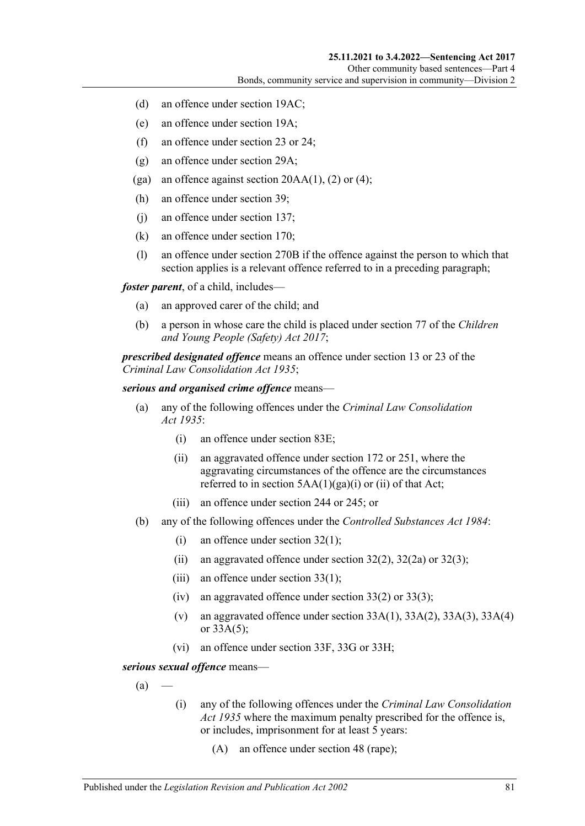- (d) an offence under section 19AC;
- (e) an offence under section 19A;
- (f) an offence under section 23 or 24;
- (g) an offence under section 29A;
- (ga) an offence against section  $20AA(1)$ , (2) or (4);
- (h) an offence under section 39;
- (j) an offence under section 137;
- (k) an offence under section 170;
- (l) an offence under section 270B if the offence against the person to which that section applies is a relevant offence referred to in a preceding paragraph;

*foster parent*, of a child, includes—

- (a) an approved carer of the child; and
- (b) a person in whose care the child is placed under section 77 of the *[Children](http://www.legislation.sa.gov.au/index.aspx?action=legref&type=act&legtitle=Children%20and%20Young%20People%20(Safety)%20Act%202017) [and Young People \(Safety\) Act](http://www.legislation.sa.gov.au/index.aspx?action=legref&type=act&legtitle=Children%20and%20Young%20People%20(Safety)%20Act%202017) 2017*;

*prescribed designated offence* means an offence under section 13 or 23 of the *[Criminal Law Consolidation Act](http://www.legislation.sa.gov.au/index.aspx?action=legref&type=act&legtitle=Criminal%20Law%20Consolidation%20Act%201935) 1935*;

#### *serious and organised crime offence* means—

- (a) any of the following offences under the *[Criminal Law Consolidation](http://www.legislation.sa.gov.au/index.aspx?action=legref&type=act&legtitle=Criminal%20Law%20Consolidation%20Act%201935)  Act [1935](http://www.legislation.sa.gov.au/index.aspx?action=legref&type=act&legtitle=Criminal%20Law%20Consolidation%20Act%201935)*:
	- (i) an offence under section 83E;
	- (ii) an aggravated offence under section 172 or 251, where the aggravating circumstances of the offence are the circumstances referred to in section  $5AA(1)(ga)(i)$  or (ii) of that Act;
	- (iii) an offence under section 244 or 245; or
- (b) any of the following offences under the *[Controlled Substances Act](http://www.legislation.sa.gov.au/index.aspx?action=legref&type=act&legtitle=Controlled%20Substances%20Act%201984) 1984*:
	- (i) an offence under section 32(1);
	- (ii) an aggravated offence under section  $32(2)$ ,  $32(2a)$  or  $32(3)$ ;
	- (iii) an offence under section 33(1);
	- (iv) an aggravated offence under section  $33(2)$  or  $33(3)$ ;
	- (v) an aggravated offence under section  $33A(1)$ ,  $33A(2)$ ,  $33A(3)$ ,  $33A(4)$ or 33A(5);
	- (vi) an offence under section 33F, 33G or 33H;

<span id="page-80-0"></span>*serious sexual offence* means—

 $(a)$ 

- (i) any of the following offences under the *[Criminal Law Consolidation](http://www.legislation.sa.gov.au/index.aspx?action=legref&type=act&legtitle=Criminal%20Law%20Consolidation%20Act%201935)  Act [1935](http://www.legislation.sa.gov.au/index.aspx?action=legref&type=act&legtitle=Criminal%20Law%20Consolidation%20Act%201935)* where the maximum penalty prescribed for the offence is, or includes, imprisonment for at least 5 years:
	- (A) an offence under section 48 (rape);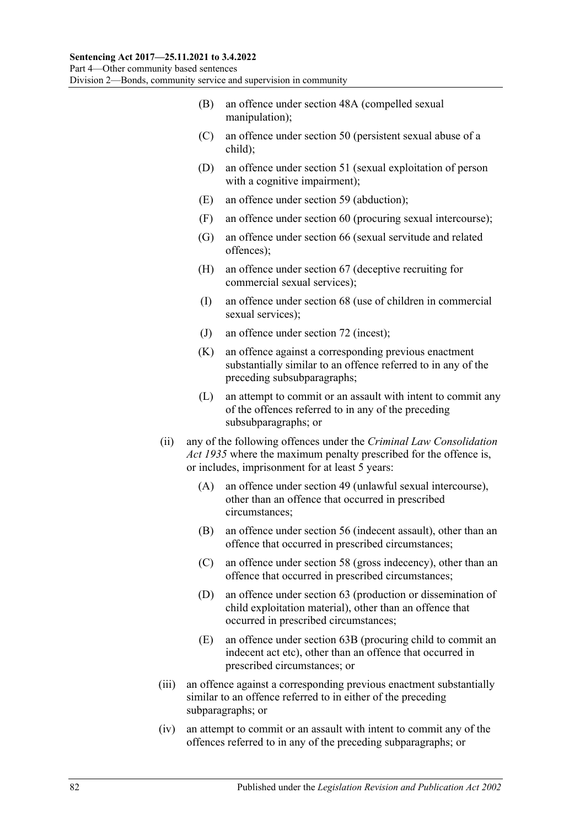- (B) an offence under section 48A (compelled sexual manipulation);
- (C) an offence under section 50 (persistent sexual abuse of a child);
- (D) an offence under section 51 (sexual exploitation of person with a cognitive impairment);
- (E) an offence under section 59 (abduction);
- (F) an offence under section 60 (procuring sexual intercourse);
- (G) an offence under section 66 (sexual servitude and related offences);
- (H) an offence under section 67 (deceptive recruiting for commercial sexual services);
- (I) an offence under section 68 (use of children in commercial sexual services);
- (J) an offence under section 72 (incest);
- (K) an offence against a corresponding previous enactment substantially similar to an offence referred to in any of the preceding subsubparagraphs;
- (L) an attempt to commit or an assault with intent to commit any of the offences referred to in any of the preceding subsubparagraphs; or
- (ii) any of the following offences under the *[Criminal Law Consolidation](http://www.legislation.sa.gov.au/index.aspx?action=legref&type=act&legtitle=Criminal%20Law%20Consolidation%20Act%201935)  Act [1935](http://www.legislation.sa.gov.au/index.aspx?action=legref&type=act&legtitle=Criminal%20Law%20Consolidation%20Act%201935)* where the maximum penalty prescribed for the offence is, or includes, imprisonment for at least 5 years:
	- (A) an offence under section 49 (unlawful sexual intercourse), other than an offence that occurred in prescribed circumstances;
	- (B) an offence under section 56 (indecent assault), other than an offence that occurred in prescribed circumstances;
	- (C) an offence under section 58 (gross indecency), other than an offence that occurred in prescribed circumstances;
	- (D) an offence under section 63 (production or dissemination of child exploitation material), other than an offence that occurred in prescribed circumstances;
	- (E) an offence under section 63B (procuring child to commit an indecent act etc), other than an offence that occurred in prescribed circumstances; or
- (iii) an offence against a corresponding previous enactment substantially similar to an offence referred to in either of the preceding subparagraphs; or
- (iv) an attempt to commit or an assault with intent to commit any of the offences referred to in any of the preceding subparagraphs; or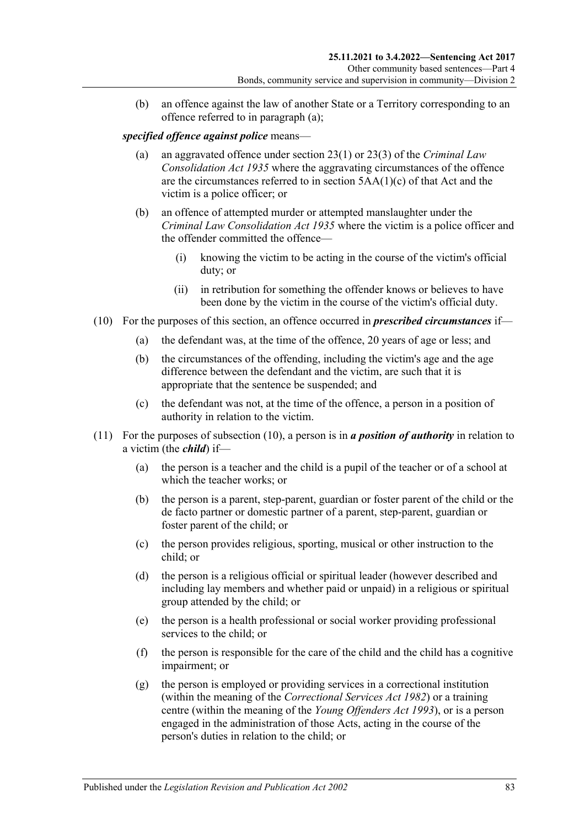(b) an offence against the law of another State or a Territory corresponding to an offence referred to in [paragraph](#page-80-0) (a);

#### *specified offence against police* means—

- (a) an aggravated offence under section 23(1) or 23(3) of the *[Criminal Law](http://www.legislation.sa.gov.au/index.aspx?action=legref&type=act&legtitle=Criminal%20Law%20Consolidation%20Act%201935)  [Consolidation Act](http://www.legislation.sa.gov.au/index.aspx?action=legref&type=act&legtitle=Criminal%20Law%20Consolidation%20Act%201935) 1935* where the aggravating circumstances of the offence are the circumstances referred to in section 5AA(1)(c) of that Act and the victim is a police officer; or
- (b) an offence of attempted murder or attempted manslaughter under the *[Criminal Law Consolidation Act](http://www.legislation.sa.gov.au/index.aspx?action=legref&type=act&legtitle=Criminal%20Law%20Consolidation%20Act%201935) 1935* where the victim is a police officer and the offender committed the offence—
	- (i) knowing the victim to be acting in the course of the victim's official duty; or
	- (ii) in retribution for something the offender knows or believes to have been done by the victim in the course of the victim's official duty.
- <span id="page-82-0"></span>(10) For the purposes of this section, an offence occurred in *prescribed circumstances* if—
	- (a) the defendant was, at the time of the offence, 20 years of age or less; and
	- (b) the circumstances of the offending, including the victim's age and the age difference between the defendant and the victim, are such that it is appropriate that the sentence be suspended; and
	- (c) the defendant was not, at the time of the offence, a person in a position of authority in relation to the victim.
- (11) For the purposes of [subsection](#page-82-0) (10), a person is in *a position of authority* in relation to a victim (the *child*) if—
	- (a) the person is a teacher and the child is a pupil of the teacher or of a school at which the teacher works; or
	- (b) the person is a parent, step-parent, guardian or foster parent of the child or the de facto partner or domestic partner of a parent, step-parent, guardian or foster parent of the child; or
	- (c) the person provides religious, sporting, musical or other instruction to the child; or
	- (d) the person is a religious official or spiritual leader (however described and including lay members and whether paid or unpaid) in a religious or spiritual group attended by the child; or
	- (e) the person is a health professional or social worker providing professional services to the child; or
	- (f) the person is responsible for the care of the child and the child has a cognitive impairment; or
	- (g) the person is employed or providing services in a correctional institution (within the meaning of the *[Correctional Services Act](http://www.legislation.sa.gov.au/index.aspx?action=legref&type=act&legtitle=Correctional%20Services%20Act%201982) 1982*) or a training centre (within the meaning of the *[Young Offenders Act](http://www.legislation.sa.gov.au/index.aspx?action=legref&type=act&legtitle=Young%20Offenders%20Act%201993) 1993*), or is a person engaged in the administration of those Acts, acting in the course of the person's duties in relation to the child; or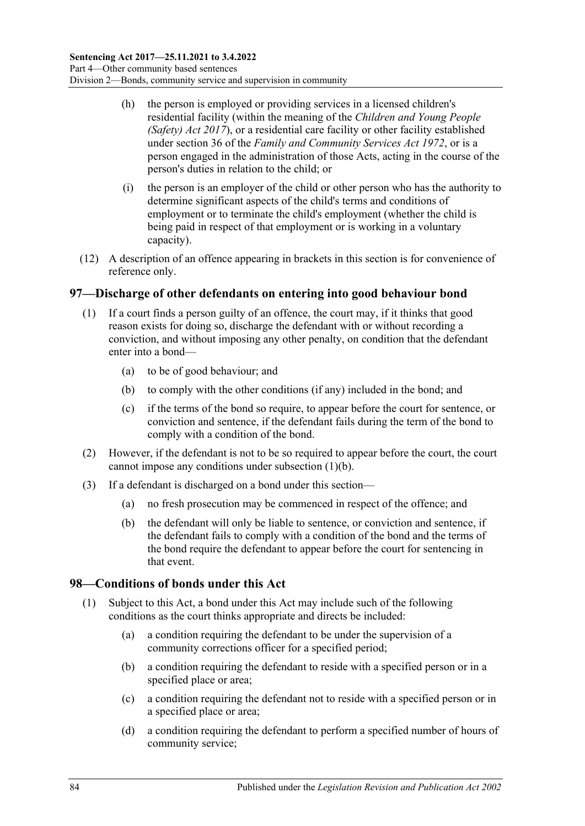- (h) the person is employed or providing services in a licensed children's residential facility (within the meaning of the *[Children and Young People](http://www.legislation.sa.gov.au/index.aspx?action=legref&type=act&legtitle=Children%20and%20Young%20People%20(Safety)%20Act%202017)  [\(Safety\) Act](http://www.legislation.sa.gov.au/index.aspx?action=legref&type=act&legtitle=Children%20and%20Young%20People%20(Safety)%20Act%202017) 2017*), or a residential care facility or other facility established under section 36 of the *[Family and Community Services Act](http://www.legislation.sa.gov.au/index.aspx?action=legref&type=act&legtitle=Family%20and%20Community%20Services%20Act%201972) 1972*, or is a person engaged in the administration of those Acts, acting in the course of the person's duties in relation to the child; or
- (i) the person is an employer of the child or other person who has the authority to determine significant aspects of the child's terms and conditions of employment or to terminate the child's employment (whether the child is being paid in respect of that employment or is working in a voluntary capacity).
- (12) A description of an offence appearing in brackets in this section is for convenience of reference only.

#### <span id="page-83-0"></span>**97—Discharge of other defendants on entering into good behaviour bond**

- <span id="page-83-1"></span>(1) If a court finds a person guilty of an offence, the court may, if it thinks that good reason exists for doing so, discharge the defendant with or without recording a conviction, and without imposing any other penalty, on condition that the defendant enter into a bond—
	- (a) to be of good behaviour; and
	- (b) to comply with the other conditions (if any) included in the bond; and
	- (c) if the terms of the bond so require, to appear before the court for sentence, or conviction and sentence, if the defendant fails during the term of the bond to comply with a condition of the bond.
- (2) However, if the defendant is not to be so required to appear before the court, the court cannot impose any conditions under [subsection](#page-83-1) (1)(b).
- (3) If a defendant is discharged on a bond under this section—
	- (a) no fresh prosecution may be commenced in respect of the offence; and
	- (b) the defendant will only be liable to sentence, or conviction and sentence, if the defendant fails to comply with a condition of the bond and the terms of the bond require the defendant to appear before the court for sentencing in that event.

#### **98—Conditions of bonds under this Act**

- (1) Subject to this Act, a bond under this Act may include such of the following conditions as the court thinks appropriate and directs be included:
	- (a) a condition requiring the defendant to be under the supervision of a community corrections officer for a specified period;
	- (b) a condition requiring the defendant to reside with a specified person or in a specified place or area;
	- (c) a condition requiring the defendant not to reside with a specified person or in a specified place or area;
	- (d) a condition requiring the defendant to perform a specified number of hours of community service;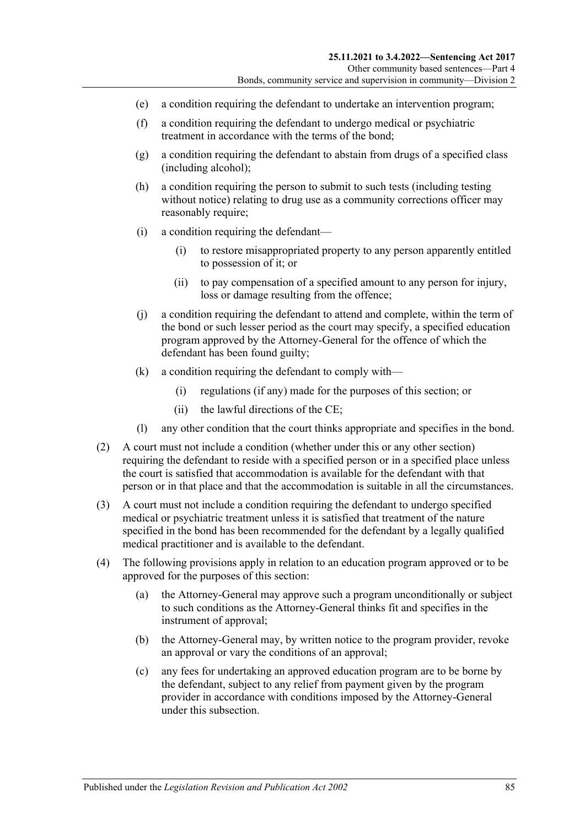- (e) a condition requiring the defendant to undertake an intervention program;
- (f) a condition requiring the defendant to undergo medical or psychiatric treatment in accordance with the terms of the bond;
- (g) a condition requiring the defendant to abstain from drugs of a specified class (including alcohol);
- (h) a condition requiring the person to submit to such tests (including testing without notice) relating to drug use as a community corrections officer may reasonably require;
- (i) a condition requiring the defendant—
	- (i) to restore misappropriated property to any person apparently entitled to possession of it; or
	- (ii) to pay compensation of a specified amount to any person for injury, loss or damage resulting from the offence;
- (j) a condition requiring the defendant to attend and complete, within the term of the bond or such lesser period as the court may specify, a specified education program approved by the Attorney-General for the offence of which the defendant has been found guilty;
- (k) a condition requiring the defendant to comply with—
	- (i) regulations (if any) made for the purposes of this section; or
	- (ii) the lawful directions of the CE;
- (l) any other condition that the court thinks appropriate and specifies in the bond.
- (2) A court must not include a condition (whether under this or any other section) requiring the defendant to reside with a specified person or in a specified place unless the court is satisfied that accommodation is available for the defendant with that person or in that place and that the accommodation is suitable in all the circumstances.
- (3) A court must not include a condition requiring the defendant to undergo specified medical or psychiatric treatment unless it is satisfied that treatment of the nature specified in the bond has been recommended for the defendant by a legally qualified medical practitioner and is available to the defendant.
- (4) The following provisions apply in relation to an education program approved or to be approved for the purposes of this section:
	- (a) the Attorney-General may approve such a program unconditionally or subject to such conditions as the Attorney-General thinks fit and specifies in the instrument of approval;
	- (b) the Attorney-General may, by written notice to the program provider, revoke an approval or vary the conditions of an approval;
	- (c) any fees for undertaking an approved education program are to be borne by the defendant, subject to any relief from payment given by the program provider in accordance with conditions imposed by the Attorney-General under this subsection.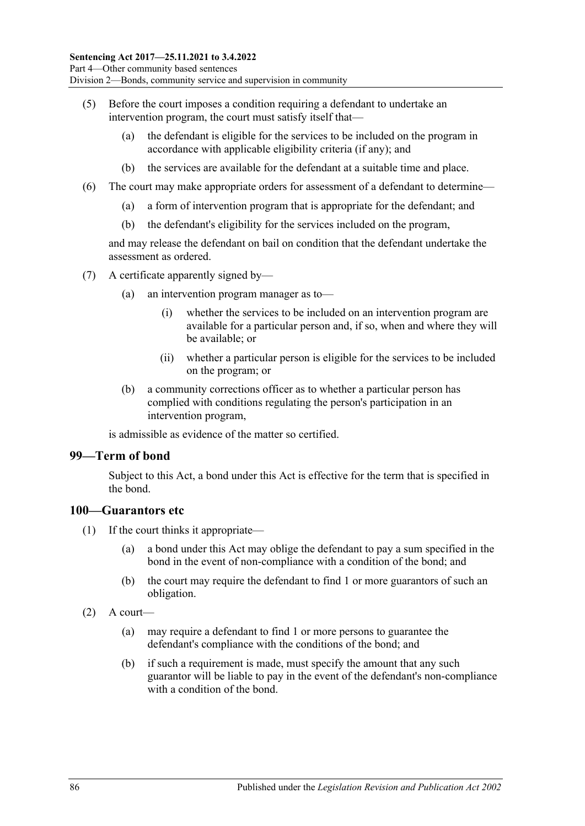- (5) Before the court imposes a condition requiring a defendant to undertake an intervention program, the court must satisfy itself that—
	- (a) the defendant is eligible for the services to be included on the program in accordance with applicable eligibility criteria (if any); and
	- (b) the services are available for the defendant at a suitable time and place.
- (6) The court may make appropriate orders for assessment of a defendant to determine—
	- (a) a form of intervention program that is appropriate for the defendant; and
	- (b) the defendant's eligibility for the services included on the program,

and may release the defendant on bail on condition that the defendant undertake the assessment as ordered.

- (7) A certificate apparently signed by—
	- (a) an intervention program manager as to—
		- (i) whether the services to be included on an intervention program are available for a particular person and, if so, when and where they will be available; or
		- (ii) whether a particular person is eligible for the services to be included on the program; or
	- (b) a community corrections officer as to whether a particular person has complied with conditions regulating the person's participation in an intervention program,

is admissible as evidence of the matter so certified.

#### **99—Term of bond**

Subject to this Act, a bond under this Act is effective for the term that is specified in the bond.

#### **100—Guarantors etc**

- (1) If the court thinks it appropriate—
	- (a) a bond under this Act may oblige the defendant to pay a sum specified in the bond in the event of non-compliance with a condition of the bond; and
	- (b) the court may require the defendant to find 1 or more guarantors of such an obligation.
- $(2)$  A court—
	- (a) may require a defendant to find 1 or more persons to guarantee the defendant's compliance with the conditions of the bond; and
	- (b) if such a requirement is made, must specify the amount that any such guarantor will be liable to pay in the event of the defendant's non-compliance with a condition of the bond.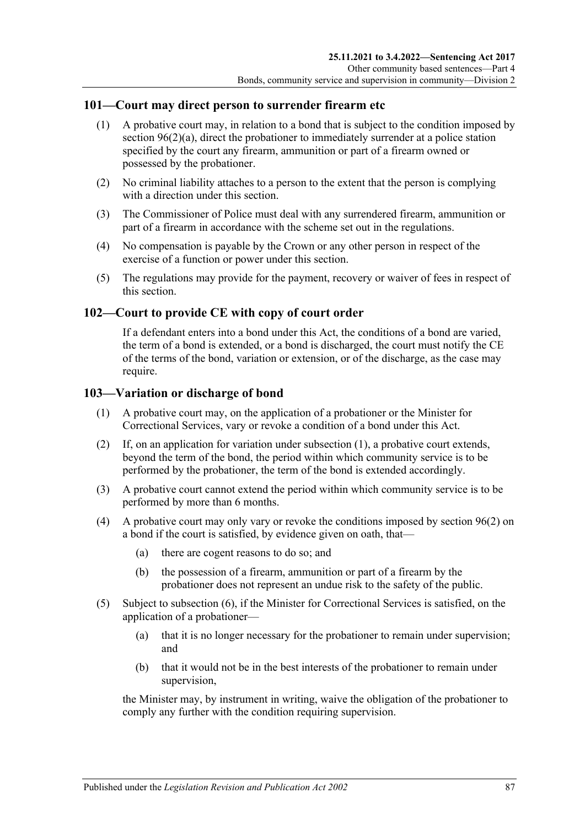#### **101—Court may direct person to surrender firearm etc**

- (1) A probative court may, in relation to a bond that is subject to the condition imposed by section [96\(2\)\(a\),](#page-78-6) direct the probationer to immediately surrender at a police station specified by the court any firearm, ammunition or part of a firearm owned or possessed by the probationer.
- (2) No criminal liability attaches to a person to the extent that the person is complying with a direction under this section.
- (3) The Commissioner of Police must deal with any surrendered firearm, ammunition or part of a firearm in accordance with the scheme set out in the regulations.
- (4) No compensation is payable by the Crown or any other person in respect of the exercise of a function or power under this section.
- (5) The regulations may provide for the payment, recovery or waiver of fees in respect of this section.

#### **102—Court to provide CE with copy of court order**

If a defendant enters into a bond under this Act, the conditions of a bond are varied, the term of a bond is extended, or a bond is discharged, the court must notify the CE of the terms of the bond, variation or extension, or of the discharge, as the case may require.

#### <span id="page-86-0"></span>**103—Variation or discharge of bond**

- (1) A probative court may, on the application of a probationer or the Minister for Correctional Services, vary or revoke a condition of a bond under this Act.
- (2) If, on an application for variation under [subsection](#page-86-0) (1), a probative court extends, beyond the term of the bond, the period within which community service is to be performed by the probationer, the term of the bond is extended accordingly.
- (3) A probative court cannot extend the period within which community service is to be performed by more than 6 months.
- (4) A probative court may only vary or revoke the conditions imposed by [section](#page-78-1) 96(2) on a bond if the court is satisfied, by evidence given on oath, that—
	- (a) there are cogent reasons to do so; and
	- (b) the possession of a firearm, ammunition or part of a firearm by the probationer does not represent an undue risk to the safety of the public.
- (5) Subject to [subsection](#page-87-0) (6), if the Minister for Correctional Services is satisfied, on the application of a probationer—
	- (a) that it is no longer necessary for the probationer to remain under supervision; and
	- (b) that it would not be in the best interests of the probationer to remain under supervision,

the Minister may, by instrument in writing, waive the obligation of the probationer to comply any further with the condition requiring supervision.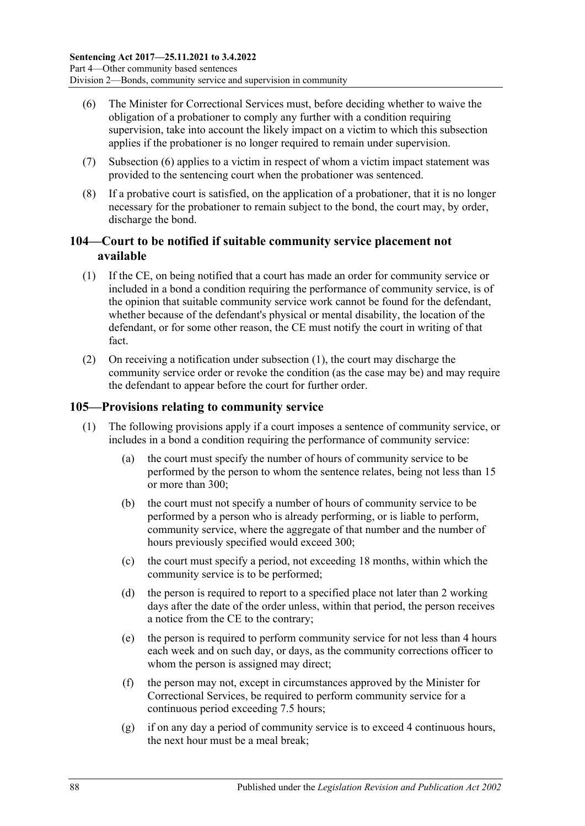- <span id="page-87-0"></span>(6) The Minister for Correctional Services must, before deciding whether to waive the obligation of a probationer to comply any further with a condition requiring supervision, take into account the likely impact on a victim to which this subsection applies if the probationer is no longer required to remain under supervision.
- (7) [Subsection](#page-87-0) (6) applies to a victim in respect of whom a victim impact statement was provided to the sentencing court when the probationer was sentenced.
- (8) If a probative court is satisfied, on the application of a probationer, that it is no longer necessary for the probationer to remain subject to the bond, the court may, by order, discharge the bond.

#### **104—Court to be notified if suitable community service placement not available**

- <span id="page-87-1"></span>(1) If the CE, on being notified that a court has made an order for community service or included in a bond a condition requiring the performance of community service, is of the opinion that suitable community service work cannot be found for the defendant, whether because of the defendant's physical or mental disability, the location of the defendant, or for some other reason, the CE must notify the court in writing of that fact.
- (2) On receiving a notification under [subsection](#page-87-1) (1), the court may discharge the community service order or revoke the condition (as the case may be) and may require the defendant to appear before the court for further order.

## <span id="page-87-2"></span>**105—Provisions relating to community service**

- (1) The following provisions apply if a court imposes a sentence of community service, or includes in a bond a condition requiring the performance of community service:
	- (a) the court must specify the number of hours of community service to be performed by the person to whom the sentence relates, being not less than 15 or more than 300;
	- (b) the court must not specify a number of hours of community service to be performed by a person who is already performing, or is liable to perform, community service, where the aggregate of that number and the number of hours previously specified would exceed 300;
	- (c) the court must specify a period, not exceeding 18 months, within which the community service is to be performed;
	- (d) the person is required to report to a specified place not later than 2 working days after the date of the order unless, within that period, the person receives a notice from the CE to the contrary;
	- (e) the person is required to perform community service for not less than 4 hours each week and on such day, or days, as the community corrections officer to whom the person is assigned may direct;
	- (f) the person may not, except in circumstances approved by the Minister for Correctional Services, be required to perform community service for a continuous period exceeding 7.5 hours;
	- (g) if on any day a period of community service is to exceed 4 continuous hours, the next hour must be a meal break;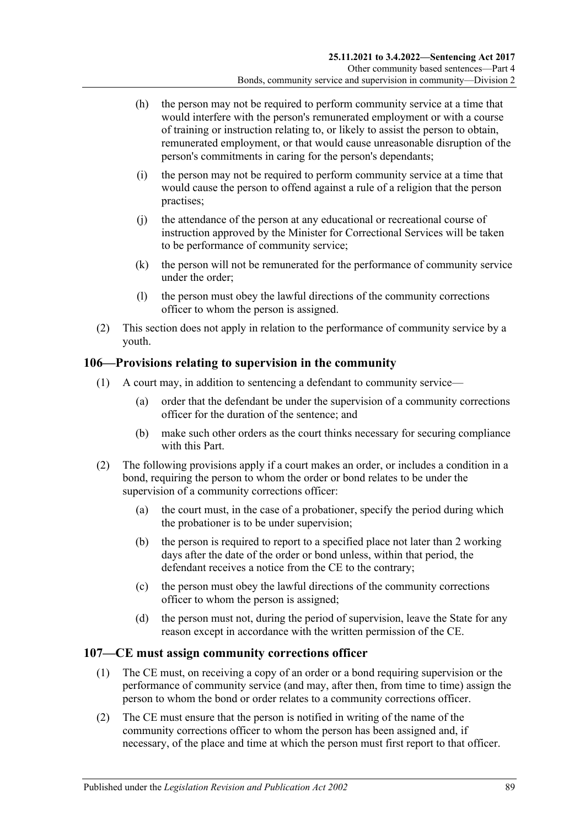- (h) the person may not be required to perform community service at a time that would interfere with the person's remunerated employment or with a course of training or instruction relating to, or likely to assist the person to obtain, remunerated employment, or that would cause unreasonable disruption of the person's commitments in caring for the person's dependants;
- (i) the person may not be required to perform community service at a time that would cause the person to offend against a rule of a religion that the person practises;
- (j) the attendance of the person at any educational or recreational course of instruction approved by the Minister for Correctional Services will be taken to be performance of community service;
- (k) the person will not be remunerated for the performance of community service under the order;
- (l) the person must obey the lawful directions of the community corrections officer to whom the person is assigned.
- (2) This section does not apply in relation to the performance of community service by a youth.

#### **106—Provisions relating to supervision in the community**

- (1) A court may, in addition to sentencing a defendant to community service—
	- (a) order that the defendant be under the supervision of a community corrections officer for the duration of the sentence; and
	- (b) make such other orders as the court thinks necessary for securing compliance with this Part.
- (2) The following provisions apply if a court makes an order, or includes a condition in a bond, requiring the person to whom the order or bond relates to be under the supervision of a community corrections officer:
	- (a) the court must, in the case of a probationer, specify the period during which the probationer is to be under supervision;
	- (b) the person is required to report to a specified place not later than 2 working days after the date of the order or bond unless, within that period, the defendant receives a notice from the CE to the contrary;
	- (c) the person must obey the lawful directions of the community corrections officer to whom the person is assigned;
	- (d) the person must not, during the period of supervision, leave the State for any reason except in accordance with the written permission of the CE.

#### **107—CE must assign community corrections officer**

- (1) The CE must, on receiving a copy of an order or a bond requiring supervision or the performance of community service (and may, after then, from time to time) assign the person to whom the bond or order relates to a community corrections officer.
- (2) The CE must ensure that the person is notified in writing of the name of the community corrections officer to whom the person has been assigned and, if necessary, of the place and time at which the person must first report to that officer.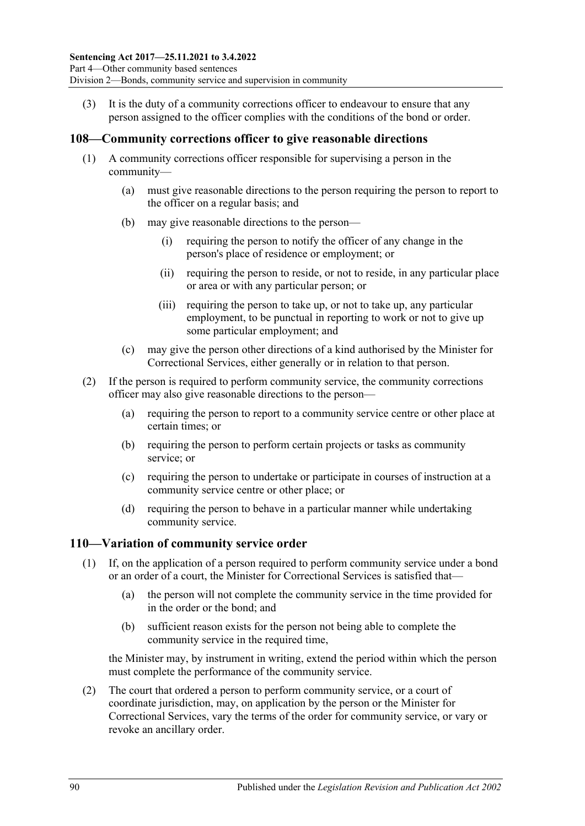(3) It is the duty of a community corrections officer to endeavour to ensure that any person assigned to the officer complies with the conditions of the bond or order.

#### **108—Community corrections officer to give reasonable directions**

- (1) A community corrections officer responsible for supervising a person in the community—
	- (a) must give reasonable directions to the person requiring the person to report to the officer on a regular basis; and
	- (b) may give reasonable directions to the person—
		- (i) requiring the person to notify the officer of any change in the person's place of residence or employment; or
		- (ii) requiring the person to reside, or not to reside, in any particular place or area or with any particular person; or
		- (iii) requiring the person to take up, or not to take up, any particular employment, to be punctual in reporting to work or not to give up some particular employment; and
	- (c) may give the person other directions of a kind authorised by the Minister for Correctional Services, either generally or in relation to that person.
- (2) If the person is required to perform community service, the community corrections officer may also give reasonable directions to the person—
	- (a) requiring the person to report to a community service centre or other place at certain times; or
	- (b) requiring the person to perform certain projects or tasks as community service; or
	- (c) requiring the person to undertake or participate in courses of instruction at a community service centre or other place; or
	- (d) requiring the person to behave in a particular manner while undertaking community service.

#### <span id="page-89-0"></span>**110—Variation of community service order**

- (1) If, on the application of a person required to perform community service under a bond or an order of a court, the Minister for Correctional Services is satisfied that—
	- (a) the person will not complete the community service in the time provided for in the order or the bond; and
	- (b) sufficient reason exists for the person not being able to complete the community service in the required time,

the Minister may, by instrument in writing, extend the period within which the person must complete the performance of the community service.

(2) The court that ordered a person to perform community service, or a court of coordinate jurisdiction, may, on application by the person or the Minister for Correctional Services, vary the terms of the order for community service, or vary or revoke an ancillary order.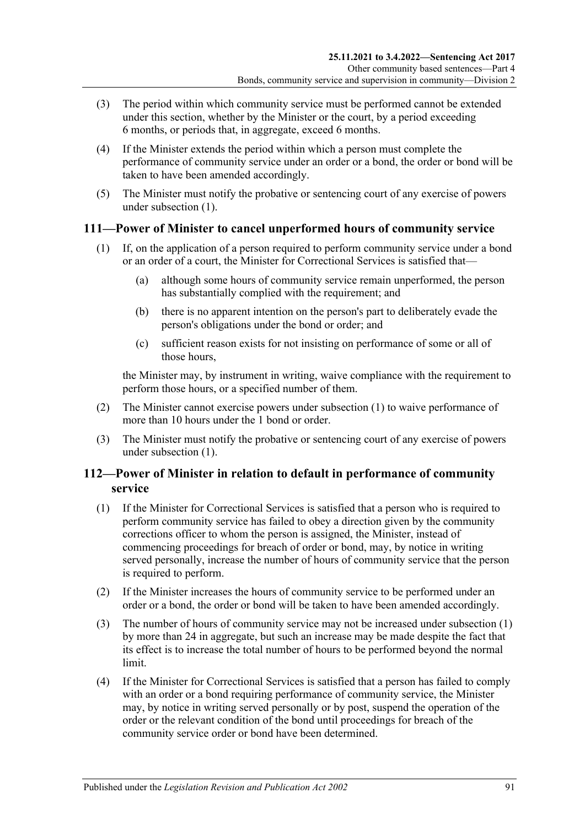- (3) The period within which community service must be performed cannot be extended under this section, whether by the Minister or the court, by a period exceeding 6 months, or periods that, in aggregate, exceed 6 months.
- (4) If the Minister extends the period within which a person must complete the performance of community service under an order or a bond, the order or bond will be taken to have been amended accordingly.
- (5) The Minister must notify the probative or sentencing court of any exercise of powers under [subsection](#page-89-0) (1).

#### <span id="page-90-0"></span>**111—Power of Minister to cancel unperformed hours of community service**

- (1) If, on the application of a person required to perform community service under a bond or an order of a court, the Minister for Correctional Services is satisfied that—
	- (a) although some hours of community service remain unperformed, the person has substantially complied with the requirement; and
	- (b) there is no apparent intention on the person's part to deliberately evade the person's obligations under the bond or order; and
	- (c) sufficient reason exists for not insisting on performance of some or all of those hours,

the Minister may, by instrument in writing, waive compliance with the requirement to perform those hours, or a specified number of them.

- (2) The Minister cannot exercise powers under [subsection](#page-90-0) (1) to waive performance of more than 10 hours under the 1 hond or order.
- (3) The Minister must notify the probative or sentencing court of any exercise of powers under [subsection](#page-90-0) (1).

#### **112—Power of Minister in relation to default in performance of community service**

- <span id="page-90-1"></span>(1) If the Minister for Correctional Services is satisfied that a person who is required to perform community service has failed to obey a direction given by the community corrections officer to whom the person is assigned, the Minister, instead of commencing proceedings for breach of order or bond, may, by notice in writing served personally, increase the number of hours of community service that the person is required to perform.
- (2) If the Minister increases the hours of community service to be performed under an order or a bond, the order or bond will be taken to have been amended accordingly.
- (3) The number of hours of community service may not be increased under [subsection](#page-90-1) (1) by more than 24 in aggregate, but such an increase may be made despite the fact that its effect is to increase the total number of hours to be performed beyond the normal limit.
- (4) If the Minister for Correctional Services is satisfied that a person has failed to comply with an order or a bond requiring performance of community service, the Minister may, by notice in writing served personally or by post, suspend the operation of the order or the relevant condition of the bond until proceedings for breach of the community service order or bond have been determined.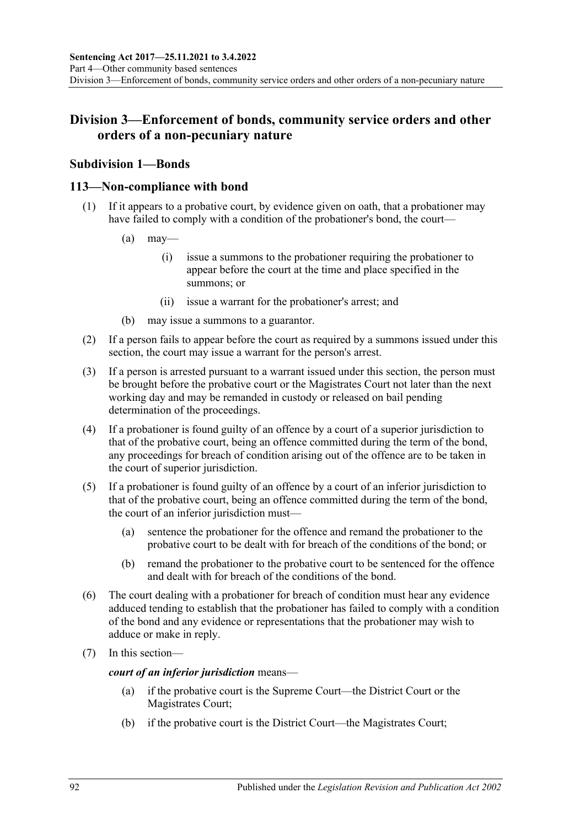## **Division 3—Enforcement of bonds, community service orders and other orders of a non-pecuniary nature**

## **Subdivision 1—Bonds**

#### **113—Non-compliance with bond**

- (1) If it appears to a probative court, by evidence given on oath, that a probationer may have failed to comply with a condition of the probationer's bond, the court—
	- $(a)$  may—
		- (i) issue a summons to the probationer requiring the probationer to appear before the court at the time and place specified in the summons; or
		- (ii) issue a warrant for the probationer's arrest; and
	- (b) may issue a summons to a guarantor.
- (2) If a person fails to appear before the court as required by a summons issued under this section, the court may issue a warrant for the person's arrest.
- (3) If a person is arrested pursuant to a warrant issued under this section, the person must be brought before the probative court or the Magistrates Court not later than the next working day and may be remanded in custody or released on bail pending determination of the proceedings.
- (4) If a probationer is found guilty of an offence by a court of a superior jurisdiction to that of the probative court, being an offence committed during the term of the bond, any proceedings for breach of condition arising out of the offence are to be taken in the court of superior jurisdiction.
- (5) If a probationer is found guilty of an offence by a court of an inferior jurisdiction to that of the probative court, being an offence committed during the term of the bond, the court of an inferior jurisdiction must—
	- (a) sentence the probationer for the offence and remand the probationer to the probative court to be dealt with for breach of the conditions of the bond; or
	- (b) remand the probationer to the probative court to be sentenced for the offence and dealt with for breach of the conditions of the bond.
- (6) The court dealing with a probationer for breach of condition must hear any evidence adduced tending to establish that the probationer has failed to comply with a condition of the bond and any evidence or representations that the probationer may wish to adduce or make in reply.
- (7) In this section—

*court of an inferior jurisdiction* means—

- (a) if the probative court is the Supreme Court—the District Court or the Magistrates Court;
- (b) if the probative court is the District Court—the Magistrates Court;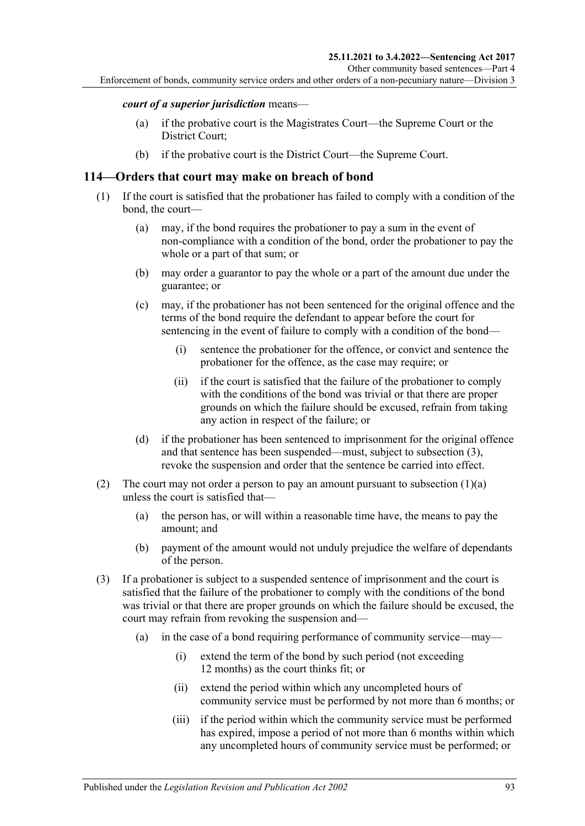#### *court of a superior jurisdiction* means—

- (a) if the probative court is the Magistrates Court—the Supreme Court or the District Court;
- (b) if the probative court is the District Court—the Supreme Court.

#### **114—Orders that court may make on breach of bond**

- <span id="page-92-1"></span>(1) If the court is satisfied that the probationer has failed to comply with a condition of the bond, the court—
	- (a) may, if the bond requires the probationer to pay a sum in the event of non-compliance with a condition of the bond, order the probationer to pay the whole or a part of that sum; or
	- (b) may order a guarantor to pay the whole or a part of the amount due under the guarantee; or
	- (c) may, if the probationer has not been sentenced for the original offence and the terms of the bond require the defendant to appear before the court for sentencing in the event of failure to comply with a condition of the bond—
		- (i) sentence the probationer for the offence, or convict and sentence the probationer for the offence, as the case may require; or
		- (ii) if the court is satisfied that the failure of the probationer to comply with the conditions of the bond was trivial or that there are proper grounds on which the failure should be excused, refrain from taking any action in respect of the failure; or
	- (d) if the probationer has been sentenced to imprisonment for the original offence and that sentence has been suspended—must, subject to [subsection](#page-92-0) (3), revoke the suspension and order that the sentence be carried into effect.
- (2) The court may not order a person to pay an amount pursuant to [subsection](#page-92-1)  $(1)(a)$ unless the court is satisfied that—
	- (a) the person has, or will within a reasonable time have, the means to pay the amount; and
	- (b) payment of the amount would not unduly prejudice the welfare of dependants of the person.
- <span id="page-92-0"></span>(3) If a probationer is subject to a suspended sentence of imprisonment and the court is satisfied that the failure of the probationer to comply with the conditions of the bond was trivial or that there are proper grounds on which the failure should be excused, the court may refrain from revoking the suspension and—
	- (a) in the case of a bond requiring performance of community service—may—
		- (i) extend the term of the bond by such period (not exceeding 12 months) as the court thinks fit; or
		- (ii) extend the period within which any uncompleted hours of community service must be performed by not more than 6 months; or
		- (iii) if the period within which the community service must be performed has expired, impose a period of not more than 6 months within which any uncompleted hours of community service must be performed; or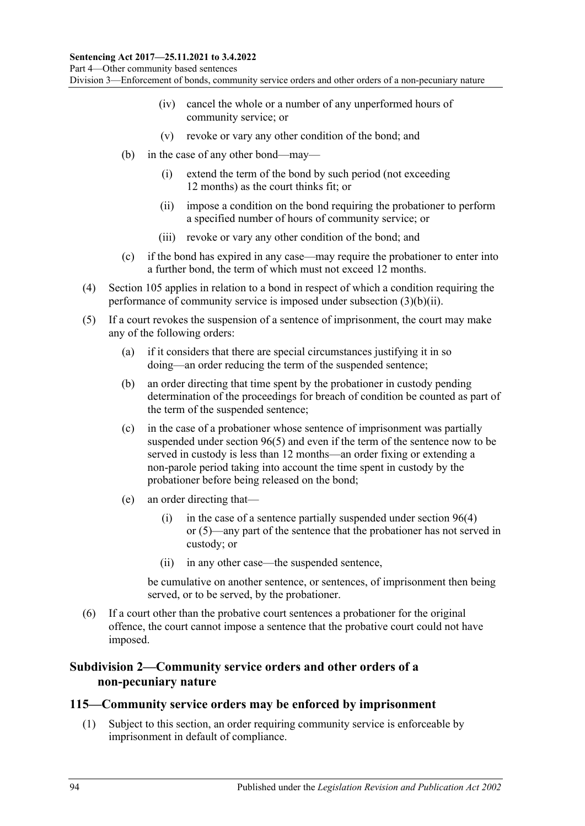Part 4—Other community based sentences

Division 3—Enforcement of bonds, community service orders and other orders of a non-pecuniary nature

- (iv) cancel the whole or a number of any unperformed hours of community service; or
- (v) revoke or vary any other condition of the bond; and
- <span id="page-93-0"></span>(b) in the case of any other bond—may—
	- (i) extend the term of the bond by such period (not exceeding 12 months) as the court thinks fit; or
	- (ii) impose a condition on the bond requiring the probationer to perform a specified number of hours of community service; or
	- (iii) revoke or vary any other condition of the bond; and
- (c) if the bond has expired in any case—may require the probationer to enter into a further bond, the term of which must not exceed 12 months.
- (4) [Section](#page-87-2) 105 applies in relation to a bond in respect of which a condition requiring the performance of community service is imposed under [subsection](#page-93-0) (3)(b)(ii).
- (5) If a court revokes the suspension of a sentence of imprisonment, the court may make any of the following orders:
	- (a) if it considers that there are special circumstances justifying it in so doing—an order reducing the term of the suspended sentence;
	- (b) an order directing that time spent by the probationer in custody pending determination of the proceedings for breach of condition be counted as part of the term of the suspended sentence;
	- (c) in the case of a probationer whose sentence of imprisonment was partially suspended under [section](#page-79-2) 96(5) and even if the term of the sentence now to be served in custody is less than 12 months—an order fixing or extending a non-parole period taking into account the time spent in custody by the probationer before being released on the bond;
	- (e) an order directing that
		- (i) in the case of a sentence partially suspended under [section](#page-79-1)  $96(4)$ or [\(5\)—](#page-79-2)any part of the sentence that the probationer has not served in custody; or
		- (ii) in any other case—the suspended sentence,

be cumulative on another sentence, or sentences, of imprisonment then being served, or to be served, by the probationer.

(6) If a court other than the probative court sentences a probationer for the original offence, the court cannot impose a sentence that the probative court could not have imposed.

#### **Subdivision 2—Community service orders and other orders of a non-pecuniary nature**

#### <span id="page-93-1"></span>**115—Community service orders may be enforced by imprisonment**

(1) Subject to this section, an order requiring community service is enforceable by imprisonment in default of compliance.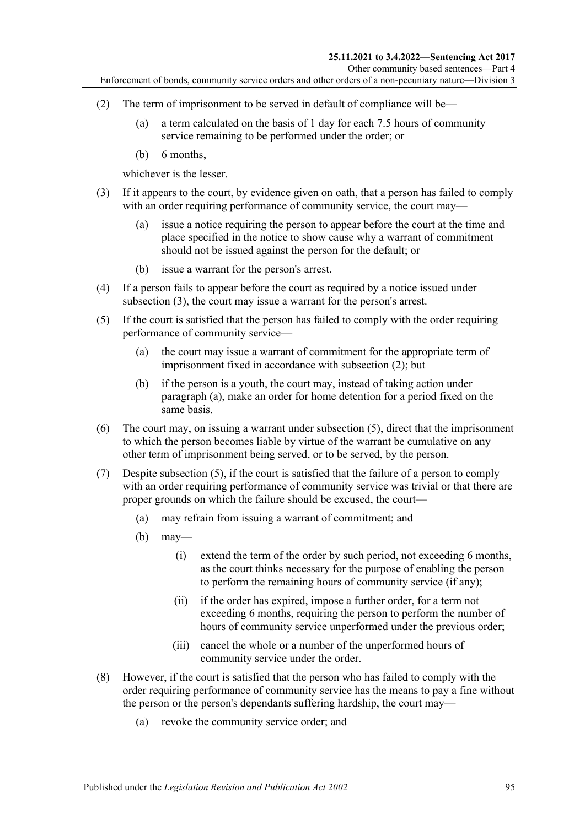- <span id="page-94-1"></span>(2) The term of imprisonment to be served in default of compliance will be—
	- (a) a term calculated on the basis of 1 day for each 7.5 hours of community service remaining to be performed under the order; or
	- (b) 6 months,

whichever is the lesser.

- <span id="page-94-0"></span>(3) If it appears to the court, by evidence given on oath, that a person has failed to comply with an order requiring performance of community service, the court may—
	- (a) issue a notice requiring the person to appear before the court at the time and place specified in the notice to show cause why a warrant of commitment should not be issued against the person for the default; or
	- (b) issue a warrant for the person's arrest.
- (4) If a person fails to appear before the court as required by a notice issued under [subsection](#page-94-0) (3), the court may issue a warrant for the person's arrest.
- <span id="page-94-3"></span><span id="page-94-2"></span>(5) If the court is satisfied that the person has failed to comply with the order requiring performance of community service—
	- (a) the court may issue a warrant of commitment for the appropriate term of imprisonment fixed in accordance with [subsection](#page-94-1) (2); but
	- (b) if the person is a youth, the court may, instead of taking action under [paragraph](#page-94-2) (a), make an order for home detention for a period fixed on the same basis.
- (6) The court may, on issuing a warrant under [subsection](#page-94-3) (5), direct that the imprisonment to which the person becomes liable by virtue of the warrant be cumulative on any other term of imprisonment being served, or to be served, by the person.
- (7) Despite [subsection](#page-94-3) (5), if the court is satisfied that the failure of a person to comply with an order requiring performance of community service was trivial or that there are proper grounds on which the failure should be excused, the court—
	- (a) may refrain from issuing a warrant of commitment; and
	- $(b)$  may—
		- (i) extend the term of the order by such period, not exceeding 6 months, as the court thinks necessary for the purpose of enabling the person to perform the remaining hours of community service (if any);
		- (ii) if the order has expired, impose a further order, for a term not exceeding 6 months, requiring the person to perform the number of hours of community service unperformed under the previous order;
		- (iii) cancel the whole or a number of the unperformed hours of community service under the order.
- <span id="page-94-4"></span>(8) However, if the court is satisfied that the person who has failed to comply with the order requiring performance of community service has the means to pay a fine without the person or the person's dependants suffering hardship, the court may—
	- (a) revoke the community service order; and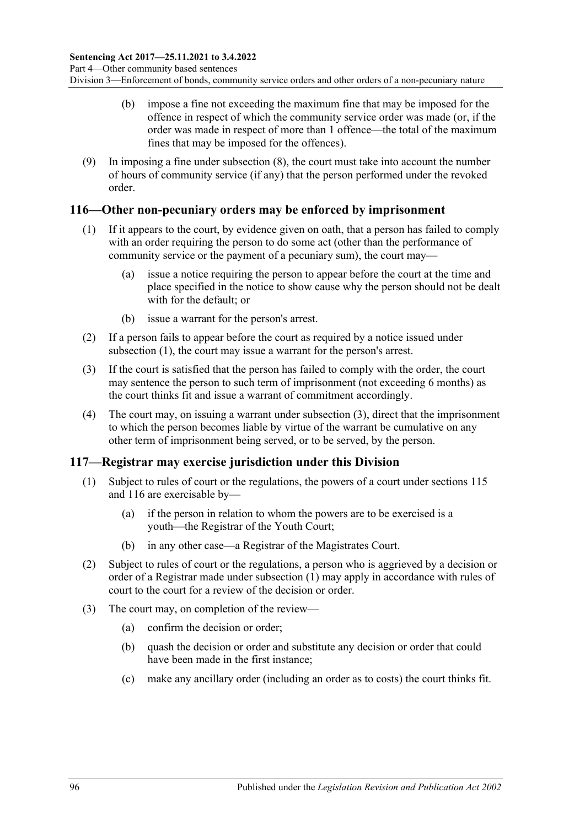- (b) impose a fine not exceeding the maximum fine that may be imposed for the offence in respect of which the community service order was made (or, if the order was made in respect of more than 1 offence—the total of the maximum fines that may be imposed for the offences).
- (9) In imposing a fine under [subsection](#page-94-4) (8), the court must take into account the number of hours of community service (if any) that the person performed under the revoked order.

#### <span id="page-95-2"></span><span id="page-95-0"></span>**116—Other non-pecuniary orders may be enforced by imprisonment**

- (1) If it appears to the court, by evidence given on oath, that a person has failed to comply with an order requiring the person to do some act (other than the performance of community service or the payment of a pecuniary sum), the court may—
	- (a) issue a notice requiring the person to appear before the court at the time and place specified in the notice to show cause why the person should not be dealt with for the default; or
	- (b) issue a warrant for the person's arrest.
- (2) If a person fails to appear before the court as required by a notice issued under [subsection](#page-95-0) (1), the court may issue a warrant for the person's arrest.
- <span id="page-95-1"></span>(3) If the court is satisfied that the person has failed to comply with the order, the court may sentence the person to such term of imprisonment (not exceeding 6 months) as the court thinks fit and issue a warrant of commitment accordingly.
- (4) The court may, on issuing a warrant under [subsection](#page-95-1) (3), direct that the imprisonment to which the person becomes liable by virtue of the warrant be cumulative on any other term of imprisonment being served, or to be served, by the person.

## <span id="page-95-3"></span>**117—Registrar may exercise jurisdiction under this Division**

- (1) Subject to rules of court or the regulations, the powers of a court under [sections](#page-93-1) 115 and [116](#page-95-2) are exercisable by—
	- (a) if the person in relation to whom the powers are to be exercised is a youth—the Registrar of the Youth Court;
	- (b) in any other case—a Registrar of the Magistrates Court.
- (2) Subject to rules of court or the regulations, a person who is aggrieved by a decision or order of a Registrar made under [subsection](#page-95-3) (1) may apply in accordance with rules of court to the court for a review of the decision or order.
- (3) The court may, on completion of the review—
	- (a) confirm the decision or order;
	- (b) quash the decision or order and substitute any decision or order that could have been made in the first instance;
	- (c) make any ancillary order (including an order as to costs) the court thinks fit.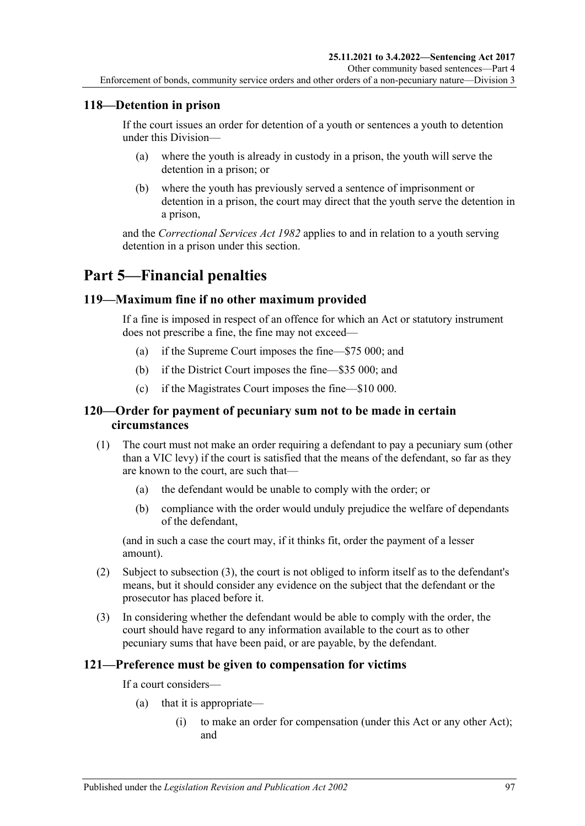## **118—Detention in prison**

If the court issues an order for detention of a youth or sentences a youth to detention under this Division—

- (a) where the youth is already in custody in a prison, the youth will serve the detention in a prison; or
- (b) where the youth has previously served a sentence of imprisonment or detention in a prison, the court may direct that the youth serve the detention in a prison,

and the *[Correctional Services Act](http://www.legislation.sa.gov.au/index.aspx?action=legref&type=act&legtitle=Correctional%20Services%20Act%201982) 1982* applies to and in relation to a youth serving detention in a prison under this section.

# **Part 5—Financial penalties**

#### **119—Maximum fine if no other maximum provided**

If a fine is imposed in respect of an offence for which an Act or statutory instrument does not prescribe a fine, the fine may not exceed—

- (a) if the Supreme Court imposes the fine—\$75 000; and
- (b) if the District Court imposes the fine—\$35 000; and
- (c) if the Magistrates Court imposes the fine—\$10 000.

#### **120—Order for payment of pecuniary sum not to be made in certain circumstances**

- (1) The court must not make an order requiring a defendant to pay a pecuniary sum (other than a VIC levy) if the court is satisfied that the means of the defendant, so far as they are known to the court, are such that—
	- (a) the defendant would be unable to comply with the order; or
	- (b) compliance with the order would unduly prejudice the welfare of dependants of the defendant,

(and in such a case the court may, if it thinks fit, order the payment of a lesser amount).

- (2) Subject to [subsection](#page-96-0) (3), the court is not obliged to inform itself as to the defendant's means, but it should consider any evidence on the subject that the defendant or the prosecutor has placed before it.
- <span id="page-96-0"></span>(3) In considering whether the defendant would be able to comply with the order, the court should have regard to any information available to the court as to other pecuniary sums that have been paid, or are payable, by the defendant.

#### **121—Preference must be given to compensation for victims**

If a court considers—

- (a) that it is appropriate—
	- (i) to make an order for compensation (under this Act or any other Act); and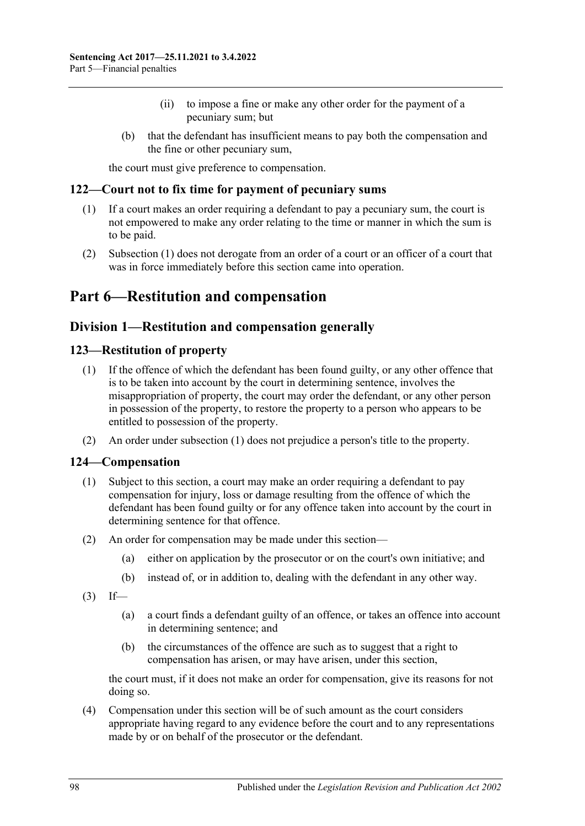- (ii) to impose a fine or make any other order for the payment of a pecuniary sum; but
- (b) that the defendant has insufficient means to pay both the compensation and the fine or other pecuniary sum,

the court must give preference to compensation.

#### <span id="page-97-0"></span>**122—Court not to fix time for payment of pecuniary sums**

- (1) If a court makes an order requiring a defendant to pay a pecuniary sum, the court is not empowered to make any order relating to the time or manner in which the sum is to be paid.
- (2) [Subsection](#page-97-0) (1) does not derogate from an order of a court or an officer of a court that was in force immediately before this section came into operation.

# **Part 6—Restitution and compensation**

## **Division 1—Restitution and compensation generally**

#### <span id="page-97-2"></span><span id="page-97-1"></span>**123—Restitution of property**

- (1) If the offence of which the defendant has been found guilty, or any other offence that is to be taken into account by the court in determining sentence, involves the misappropriation of property, the court may order the defendant, or any other person in possession of the property, to restore the property to a person who appears to be entitled to possession of the property.
- (2) An order under [subsection](#page-97-1) (1) does not prejudice a person's title to the property.

#### **124—Compensation**

- (1) Subject to this section, a court may make an order requiring a defendant to pay compensation for injury, loss or damage resulting from the offence of which the defendant has been found guilty or for any offence taken into account by the court in determining sentence for that offence.
- (2) An order for compensation may be made under this section—
	- (a) either on application by the prosecutor or on the court's own initiative; and
	- (b) instead of, or in addition to, dealing with the defendant in any other way.
- $(3)$  If—
	- (a) a court finds a defendant guilty of an offence, or takes an offence into account in determining sentence; and
	- (b) the circumstances of the offence are such as to suggest that a right to compensation has arisen, or may have arisen, under this section,

the court must, if it does not make an order for compensation, give its reasons for not doing so.

(4) Compensation under this section will be of such amount as the court considers appropriate having regard to any evidence before the court and to any representations made by or on behalf of the prosecutor or the defendant.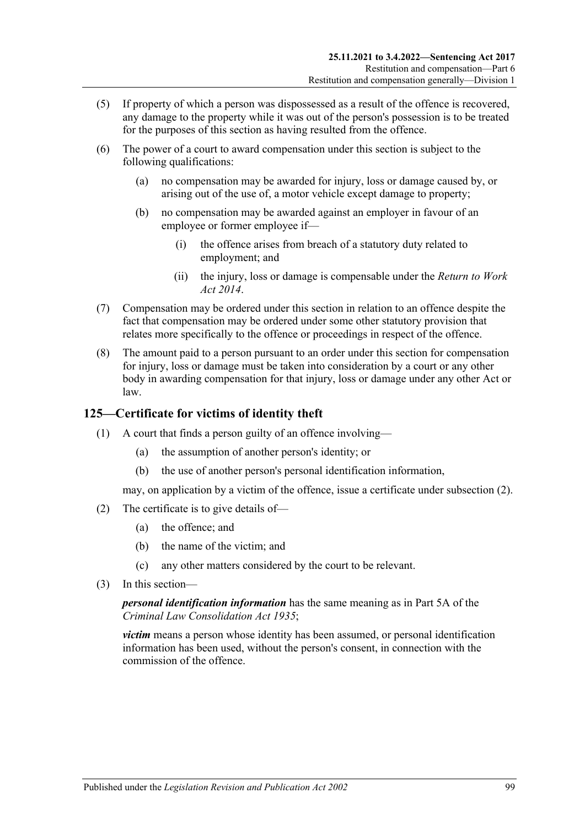- (5) If property of which a person was dispossessed as a result of the offence is recovered, any damage to the property while it was out of the person's possession is to be treated for the purposes of this section as having resulted from the offence.
- (6) The power of a court to award compensation under this section is subject to the following qualifications:
	- (a) no compensation may be awarded for injury, loss or damage caused by, or arising out of the use of, a motor vehicle except damage to property;
	- (b) no compensation may be awarded against an employer in favour of an employee or former employee if—
		- (i) the offence arises from breach of a statutory duty related to employment; and
		- (ii) the injury, loss or damage is compensable under the *[Return to Work](http://www.legislation.sa.gov.au/index.aspx?action=legref&type=act&legtitle=Return%20to%20Work%20Act%202014)  Act [2014](http://www.legislation.sa.gov.au/index.aspx?action=legref&type=act&legtitle=Return%20to%20Work%20Act%202014)*.
- (7) Compensation may be ordered under this section in relation to an offence despite the fact that compensation may be ordered under some other statutory provision that relates more specifically to the offence or proceedings in respect of the offence.
- (8) The amount paid to a person pursuant to an order under this section for compensation for injury, loss or damage must be taken into consideration by a court or any other body in awarding compensation for that injury, loss or damage under any other Act or law.

## **125—Certificate for victims of identity theft**

- (1) A court that finds a person guilty of an offence involving—
	- (a) the assumption of another person's identity; or
	- (b) the use of another person's personal identification information,

may, on application by a victim of the offence, issue a certificate under [subsection](#page-98-0) (2).

- <span id="page-98-0"></span>(2) The certificate is to give details of—
	- (a) the offence; and
	- (b) the name of the victim; and
	- (c) any other matters considered by the court to be relevant.
- (3) In this section—

*personal identification information* has the same meaning as in Part 5A of the *[Criminal Law Consolidation Act](http://www.legislation.sa.gov.au/index.aspx?action=legref&type=act&legtitle=Criminal%20Law%20Consolidation%20Act%201935) 1935*;

*victim* means a person whose identity has been assumed, or personal identification information has been used, without the person's consent, in connection with the commission of the offence.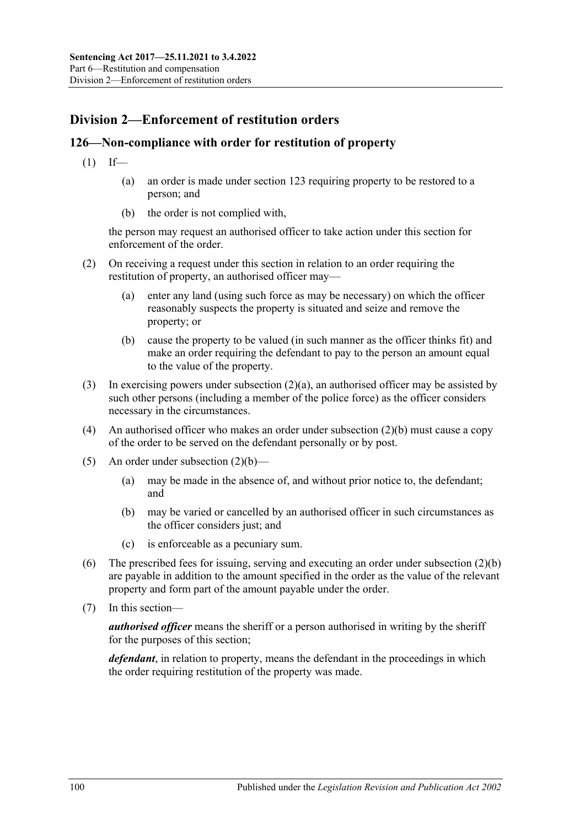# **Division 2—Enforcement of restitution orders**

#### **126—Non-compliance with order for restitution of property**

- $(1)$  If—
	- (a) an order is made under [section](#page-97-2) 123 requiring property to be restored to a person; and
	- (b) the order is not complied with,

the person may request an authorised officer to take action under this section for enforcement of the order.

- <span id="page-99-0"></span>(2) On receiving a request under this section in relation to an order requiring the restitution of property, an authorised officer may—
	- (a) enter any land (using such force as may be necessary) on which the officer reasonably suspects the property is situated and seize and remove the property; or
	- (b) cause the property to be valued (in such manner as the officer thinks fit) and make an order requiring the defendant to pay to the person an amount equal to the value of the property.
- <span id="page-99-1"></span>(3) In exercising powers under [subsection](#page-99-0) (2)(a), an authorised officer may be assisted by such other persons (including a member of the police force) as the officer considers necessary in the circumstances.
- (4) An authorised officer who makes an order under [subsection](#page-99-1) (2)(b) must cause a copy of the order to be served on the defendant personally or by post.
- (5) An order under [subsection](#page-99-1)  $(2)(b)$ 
	- (a) may be made in the absence of, and without prior notice to, the defendant; and
	- (b) may be varied or cancelled by an authorised officer in such circumstances as the officer considers just; and
	- (c) is enforceable as a pecuniary sum.
- (6) The prescribed fees for issuing, serving and executing an order under [subsection](#page-99-1) (2)(b) are payable in addition to the amount specified in the order as the value of the relevant property and form part of the amount payable under the order.
- (7) In this section—

*authorised officer* means the sheriff or a person authorised in writing by the sheriff for the purposes of this section;

*defendant*, in relation to property, means the defendant in the proceedings in which the order requiring restitution of the property was made.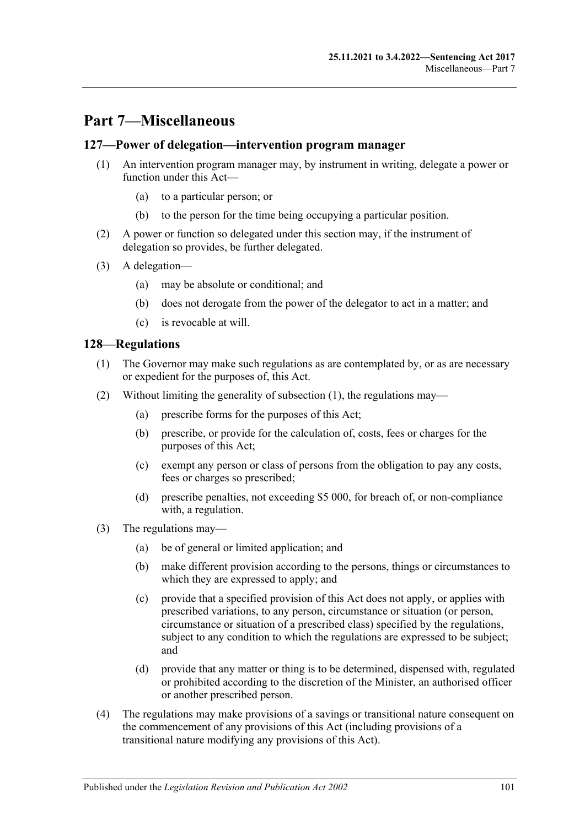# **Part 7—Miscellaneous**

#### **127—Power of delegation—intervention program manager**

- (1) An intervention program manager may, by instrument in writing, delegate a power or function under this Act—
	- (a) to a particular person; or
	- (b) to the person for the time being occupying a particular position.
- (2) A power or function so delegated under this section may, if the instrument of delegation so provides, be further delegated.
- (3) A delegation—
	- (a) may be absolute or conditional; and
	- (b) does not derogate from the power of the delegator to act in a matter; and
	- (c) is revocable at will.

#### <span id="page-100-0"></span>**128—Regulations**

- (1) The Governor may make such regulations as are contemplated by, or as are necessary or expedient for the purposes of, this Act.
- (2) Without limiting the generality of [subsection](#page-100-0) (1), the regulations may—
	- (a) prescribe forms for the purposes of this Act;
	- (b) prescribe, or provide for the calculation of, costs, fees or charges for the purposes of this Act;
	- (c) exempt any person or class of persons from the obligation to pay any costs, fees or charges so prescribed;
	- (d) prescribe penalties, not exceeding \$5 000, for breach of, or non-compliance with, a regulation.
- (3) The regulations may—
	- (a) be of general or limited application; and
	- (b) make different provision according to the persons, things or circumstances to which they are expressed to apply; and
	- (c) provide that a specified provision of this Act does not apply, or applies with prescribed variations, to any person, circumstance or situation (or person, circumstance or situation of a prescribed class) specified by the regulations, subject to any condition to which the regulations are expressed to be subject; and
	- (d) provide that any matter or thing is to be determined, dispensed with, regulated or prohibited according to the discretion of the Minister, an authorised officer or another prescribed person.
- (4) The regulations may make provisions of a savings or transitional nature consequent on the commencement of any provisions of this Act (including provisions of a transitional nature modifying any provisions of this Act).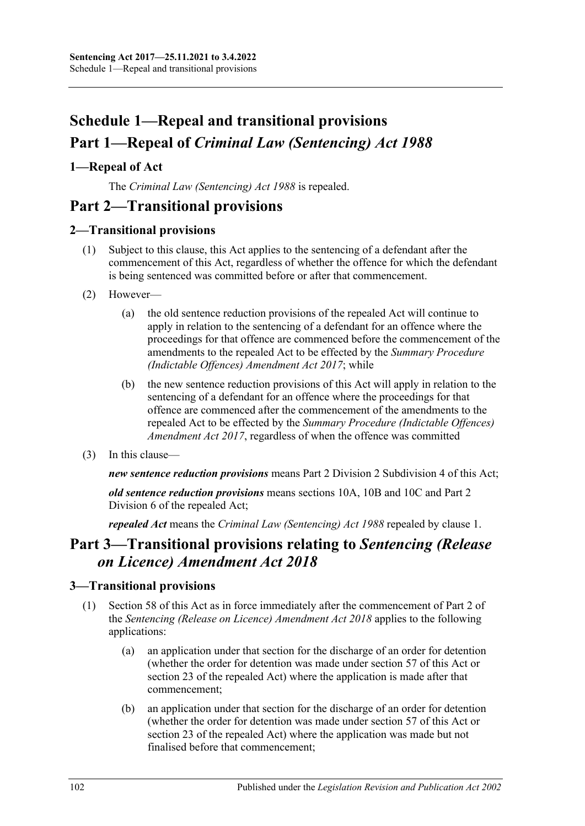# **Schedule 1—Repeal and transitional provisions Part 1—Repeal of** *Criminal Law (Sentencing) Act 1988*

## <span id="page-101-0"></span>**1—Repeal of Act**

The *[Criminal Law \(Sentencing\) Act](http://www.legislation.sa.gov.au/index.aspx?action=legref&type=act&legtitle=Criminal%20Law%20(Sentencing)%20Act%201988) 1988* is repealed.

# **Part 2—Transitional provisions**

## **2—Transitional provisions**

- (1) Subject to this clause, this Act applies to the sentencing of a defendant after the commencement of this Act, regardless of whether the offence for which the defendant is being sentenced was committed before or after that commencement.
- (2) However—
	- (a) the old sentence reduction provisions of the repealed Act will continue to apply in relation to the sentencing of a defendant for an offence where the proceedings for that offence are commenced before the commencement of the amendments to the repealed Act to be effected by the *[Summary Procedure](http://www.legislation.sa.gov.au/index.aspx?action=legref&type=act&legtitle=Summary%20Procedure%20(Indictable%20Offences)%20Amendment%20Act%202017)  [\(Indictable Offences\) Amendment Act](http://www.legislation.sa.gov.au/index.aspx?action=legref&type=act&legtitle=Summary%20Procedure%20(Indictable%20Offences)%20Amendment%20Act%202017) 2017*; while
	- (b) the new sentence reduction provisions of this Act will apply in relation to the sentencing of a defendant for an offence where the proceedings for that offence are commenced after the commencement of the amendments to the repealed Act to be effected by the *[Summary Procedure \(Indictable Offences\)](http://www.legislation.sa.gov.au/index.aspx?action=legref&type=act&legtitle=Summary%20Procedure%20(Indictable%20Offences)%20Amendment%20Act%202017)  [Amendment Act](http://www.legislation.sa.gov.au/index.aspx?action=legref&type=act&legtitle=Summary%20Procedure%20(Indictable%20Offences)%20Amendment%20Act%202017) 2017*, regardless of when the offence was committed
- (3) In this clause—

*new sentence reduction provisions* means Part 2 Division [2 Subdivision](#page-24-0) 4 of this Act;

*old sentence reduction provisions* means sections 10A, 10B and 10C and Part 2 Division 6 of the repealed Act;

*repealed Act* means the *[Criminal Law \(Sentencing\) Act](http://www.legislation.sa.gov.au/index.aspx?action=legref&type=act&legtitle=Criminal%20Law%20(Sentencing)%20Act%201988) 1988* repealed by [clause](#page-101-0) 1.

# **Part 3—Transitional provisions relating to** *Sentencing (Release on Licence) Amendment Act 2018*

## **3—Transitional provisions**

- (1) [Section 58](#page-48-0) of this Act as in force immediately after the commencement of Part 2 of the *[Sentencing \(Release on Licence\) Amendment Act](http://www.legislation.sa.gov.au/index.aspx?action=legref&type=act&legtitle=Sentencing%20(Release%20on%20Licence)%20Amendment%20Act%202018) 2018* applies to the following applications:
	- (a) an application under that section for the discharge of an order for detention (whether the order for detention was made under [section](#page-45-0) 57 of this Act or section 23 of the repealed Act) where the application is made after that commencement;
	- (b) an application under that section for the discharge of an order for detention (whether the order for detention was made under [section](#page-45-0) 57 of this Act or section 23 of the repealed Act) where the application was made but not finalised before that commencement;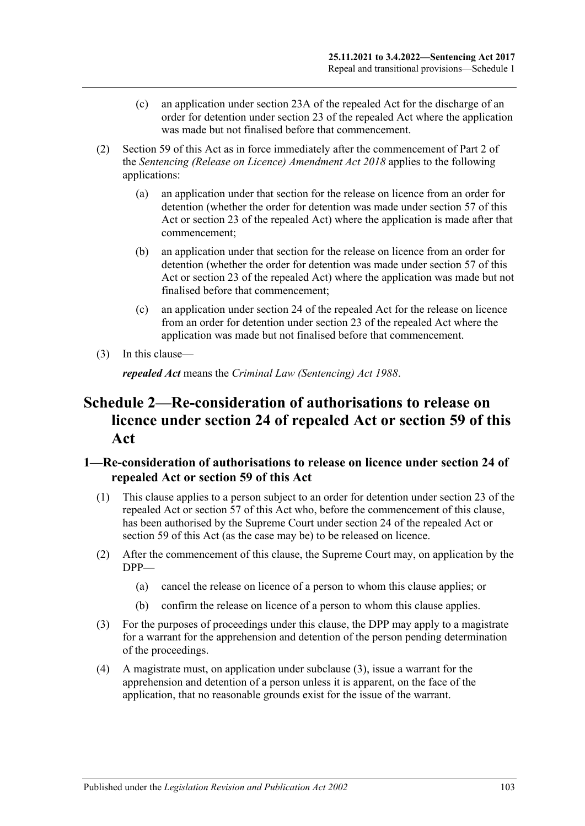- (c) an application under section 23A of the repealed Act for the discharge of an order for detention under section 23 of the repealed Act where the application was made but not finalised before that commencement.
- (2) [Section 59](#page-49-0) of this Act as in force immediately after the commencement of Part 2 of the *[Sentencing \(Release on Licence\) Amendment Act](http://www.legislation.sa.gov.au/index.aspx?action=legref&type=act&legtitle=Sentencing%20(Release%20on%20Licence)%20Amendment%20Act%202018) 2018* applies to the following applications:
	- (a) an application under that section for the release on licence from an order for detention (whether the order for detention was made under [section](#page-45-0) 57 of this Act or section 23 of the repealed Act) where the application is made after that commencement;
	- (b) an application under that section for the release on licence from an order for detention (whether the order for detention was made under [section](#page-45-0) 57 of this Act or section 23 of the repealed Act) where the application was made but not finalised before that commencement;
	- (c) an application under section 24 of the repealed Act for the release on licence from an order for detention under section 23 of the repealed Act where the application was made but not finalised before that commencement.
- (3) In this clause—

*repealed Act* means the *[Criminal Law \(Sentencing\) Act](http://www.legislation.sa.gov.au/index.aspx?action=legref&type=act&legtitle=Criminal%20Law%20(Sentencing)%20Act%201988) 1988*.

# **Schedule 2—Re-consideration of authorisations to release on licence under section 24 of repealed Act or [section](#page-49-0) 59 of this Act**

## **1—Re-consideration of authorisations to release on licence under section 24 of repealed Act or [section](#page-49-0) 59 of this Act**

- (1) This clause applies to a person subject to an order for detention under section 23 of the repealed Act or [section](#page-45-0) 57 of this Act who, before the commencement of this clause, has been authorised by the Supreme Court under section 24 of the repealed Act or [section](#page-49-0) 59 of this Act (as the case may be) to be released on licence.
- (2) After the commencement of this clause, the Supreme Court may, on application by the DPP—
	- (a) cancel the release on licence of a person to whom this clause applies; or
	- (b) confirm the release on licence of a person to whom this clause applies.
- <span id="page-102-0"></span>(3) For the purposes of proceedings under this clause, the DPP may apply to a magistrate for a warrant for the apprehension and detention of the person pending determination of the proceedings.
- (4) A magistrate must, on application under [subclause](#page-102-0) (3), issue a warrant for the apprehension and detention of a person unless it is apparent, on the face of the application, that no reasonable grounds exist for the issue of the warrant.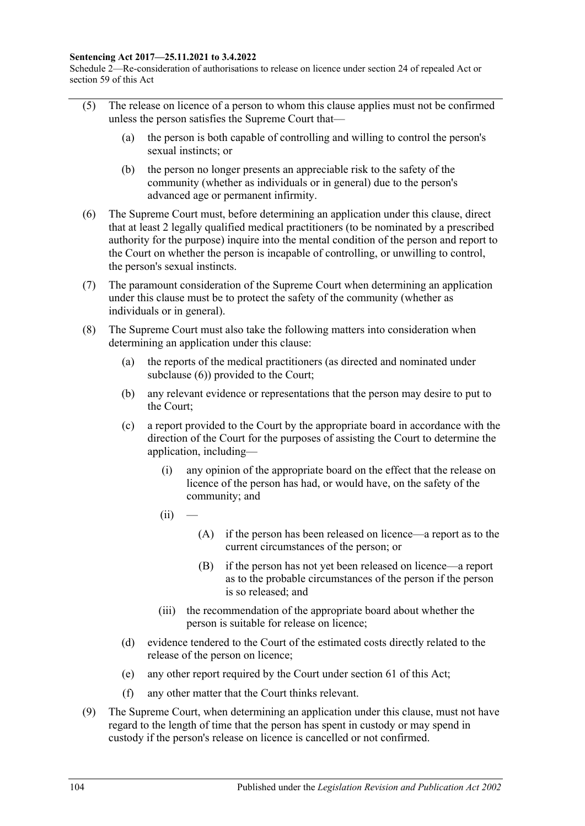#### **Sentencing Act 2017—25.11.2021 to 3.4.2022**

Schedule 2—Re-consideration of authorisations to release on licence under section 24 of repealed Act or section 59 of this Act

- (5) The release on licence of a person to whom this clause applies must not be confirmed unless the person satisfies the Supreme Court that—
	- (a) the person is both capable of controlling and willing to control the person's sexual instincts; or
	- (b) the person no longer presents an appreciable risk to the safety of the community (whether as individuals or in general) due to the person's advanced age or permanent infirmity.
- <span id="page-103-0"></span>(6) The Supreme Court must, before determining an application under this clause, direct that at least 2 legally qualified medical practitioners (to be nominated by a prescribed authority for the purpose) inquire into the mental condition of the person and report to the Court on whether the person is incapable of controlling, or unwilling to control, the person's sexual instincts.
- (7) The paramount consideration of the Supreme Court when determining an application under this clause must be to protect the safety of the community (whether as individuals or in general).
- <span id="page-103-1"></span>(8) The Supreme Court must also take the following matters into consideration when determining an application under this clause:
	- (a) the reports of the medical practitioners (as directed and nominated under [subclause](#page-103-0) (6)) provided to the Court;
	- (b) any relevant evidence or representations that the person may desire to put to the Court;
	- (c) a report provided to the Court by the appropriate board in accordance with the direction of the Court for the purposes of assisting the Court to determine the application, including—
		- (i) any opinion of the appropriate board on the effect that the release on licence of the person has had, or would have, on the safety of the community; and
		- $(ii)$
- (A) if the person has been released on licence—a report as to the current circumstances of the person; or
- (B) if the person has not yet been released on licence—a report as to the probable circumstances of the person if the person is so released; and
- (iii) the recommendation of the appropriate board about whether the person is suitable for release on licence;
- (d) evidence tendered to the Court of the estimated costs directly related to the release of the person on licence;
- (e) any other report required by the Court under [section](#page-52-0) 61 of this Act;
- (f) any other matter that the Court thinks relevant.
- (9) The Supreme Court, when determining an application under this clause, must not have regard to the length of time that the person has spent in custody or may spend in custody if the person's release on licence is cancelled or not confirmed.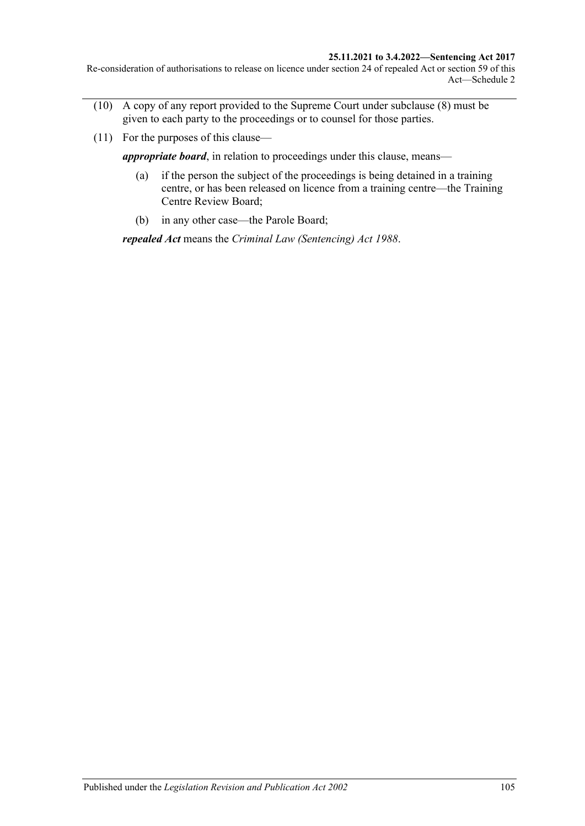#### **25.11.2021 to 3.4.2022—Sentencing Act 2017**

Re-consideration of authorisations to release on licence under section 24 of repealed Act or section 59 of this Act—Schedule 2

- (10) A copy of any report provided to the Supreme Court under [subclause](#page-103-1) (8) must be given to each party to the proceedings or to counsel for those parties.
- (11) For the purposes of this clause—

*appropriate board*, in relation to proceedings under this clause, means—

- (a) if the person the subject of the proceedings is being detained in a training centre, or has been released on licence from a training centre—the Training Centre Review Board;
- (b) in any other case—the Parole Board;

*repealed Act* means the *[Criminal Law \(Sentencing\) Act](http://www.legislation.sa.gov.au/index.aspx?action=legref&type=act&legtitle=Criminal%20Law%20(Sentencing)%20Act%201988) 1988*.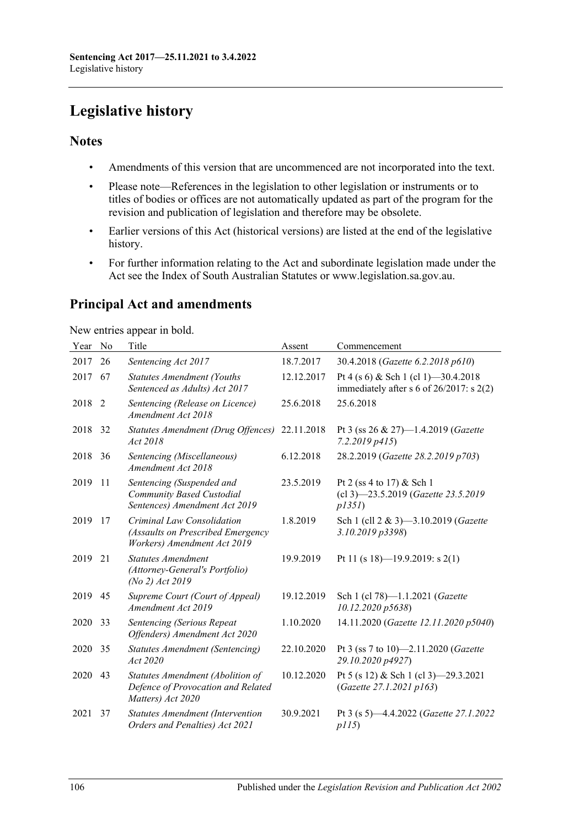# **Legislative history**

#### **Notes**

- Amendments of this version that are uncommenced are not incorporated into the text.
- Please note—References in the legislation to other legislation or instruments or to titles of bodies or offices are not automatically updated as part of the program for the revision and publication of legislation and therefore may be obsolete.
- Earlier versions of this Act (historical versions) are listed at the end of the legislative history.
- For further information relating to the Act and subordinate legislation made under the Act see the Index of South Australian Statutes or www.legislation.sa.gov.au.

# **Principal Act and amendments**

New entries appear in bold.

| Year | N <sub>0</sub> | Title                                                                                          | Assent     | Commencement                                                                          |
|------|----------------|------------------------------------------------------------------------------------------------|------------|---------------------------------------------------------------------------------------|
| 2017 | 26             | Sentencing Act 2017                                                                            | 18.7.2017  | 30.4.2018 (Gazette 6.2.2018 p610)                                                     |
| 2017 | 67             | <b>Statutes Amendment (Youths</b><br>Sentenced as Adults) Act 2017                             | 12.12.2017 | Pt 4 (s 6) & Sch 1 (cl 1) -30.4.2018<br>immediately after s 6 of $26/2017$ : s $2(2)$ |
| 2018 | 2              | Sentencing (Release on Licence)<br>Amendment Act 2018                                          | 25.6.2018  | 25.6.2018                                                                             |
| 2018 | 32             | Statutes Amendment (Drug Offences)<br>Act 2018                                                 | 22.11.2018 | Pt 3 (ss 26 & 27)-1.4.2019 (Gazette<br>$7.2.2019$ $p415$                              |
| 2018 | 36             | Sentencing (Miscellaneous)<br>Amendment Act 2018                                               | 6.12.2018  | 28.2.2019 (Gazette 28.2.2019 p703)                                                    |
| 2019 | 11             | Sentencing (Suspended and<br>Community Based Custodial<br>Sentences) Amendment Act 2019        | 23.5.2019  | Pt 2 (ss 4 to 17) & Sch 1<br>(cl 3)-23.5.2019 (Gazette 23.5.2019<br>p1351             |
| 2019 | 17             | Criminal Law Consolidation<br>(Assaults on Prescribed Emergency<br>Workers) Amendment Act 2019 | 1.8.2019   | Sch 1 (cll 2 & 3)-3.10.2019 (Gazette<br>3.10.2019 p3398)                              |
| 2019 | 21             | <b>Statutes Amendment</b><br>(Attorney-General's Portfolio)<br>(No 2) Act 2019                 | 19.9.2019  | Pt 11 (s 18)-19.9.2019: s 2(1)                                                        |
| 2019 | 45             | Supreme Court (Court of Appeal)<br>Amendment Act 2019                                          | 19.12.2019 | Sch 1 (cl 78)-1.1.2021 (Gazette<br>10.12.2020 p5638)                                  |
| 2020 | 33             | Sentencing (Serious Repeat<br>Offenders) Amendment Act 2020                                    | 1.10.2020  | 14.11.2020 (Gazette 12.11.2020 p5040)                                                 |
| 2020 | 35             | Statutes Amendment (Sentencing)<br>Act 2020                                                    | 22.10.2020 | Pt 3 (ss 7 to 10)-2.11.2020 (Gazette<br>29.10.2020 p4927)                             |
| 2020 | 43             | Statutes Amendment (Abolition of<br>Defence of Provocation and Related<br>Matters) Act 2020    | 10.12.2020 | Pt 5 (s 12) & Sch 1 (cl 3) -29.3.2021<br>(Gazette 27.1.2021 p163)                     |
| 2021 | 37             | <b>Statutes Amendment (Intervention</b><br>Orders and Penalties) Act 2021                      | 30.9.2021  | Pt 3 (s 5)-4.4.2022 (Gazette 27.1.2022<br>p115                                        |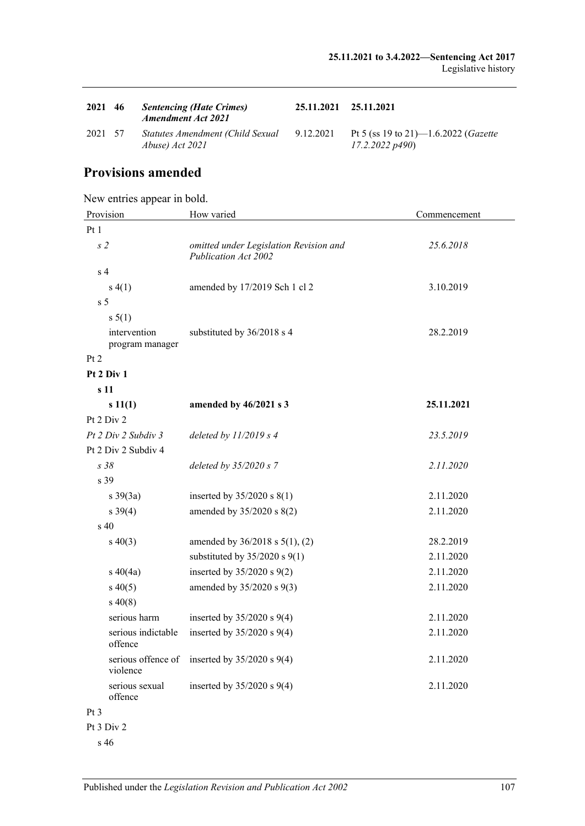| 2021 46 | <b>Sentencing (Hate Crimes)</b><br><b>Amendment Act 2021</b> | 25.11.2021 25.11.2021 |                                                                   |
|---------|--------------------------------------------------------------|-----------------------|-------------------------------------------------------------------|
| 2021 57 | Statutes Amendment (Child Sexual<br>Abuse) Act 2021          | 9.12.2021             | Pt 5 (ss 19 to 21)—1.6.2022 ( <i>Gazette</i><br>$17.2.2022\ p490$ |

## **Provisions amended**

New entries appear in bold.

| Provision                     | How varied                                                     | Commencement |  |  |  |
|-------------------------------|----------------------------------------------------------------|--------------|--|--|--|
| Pt1                           |                                                                |              |  |  |  |
| s <sub>2</sub>                | omitted under Legislation Revision and<br>Publication Act 2002 | 25.6.2018    |  |  |  |
| s <sub>4</sub>                |                                                                |              |  |  |  |
| s(4(1))                       | amended by 17/2019 Sch 1 cl 2                                  | 3.10.2019    |  |  |  |
| s <sub>5</sub>                |                                                                |              |  |  |  |
| s 5(1)                        |                                                                |              |  |  |  |
| intervention                  | substituted by 36/2018 s 4                                     | 28.2.2019    |  |  |  |
| program manager<br>Pt 2       |                                                                |              |  |  |  |
| Pt 2 Div 1                    |                                                                |              |  |  |  |
| s 11                          |                                                                |              |  |  |  |
| s 11(1)                       | amended by 46/2021 s 3                                         | 25.11.2021   |  |  |  |
| Pt 2 Div 2                    |                                                                |              |  |  |  |
| Pt 2 Div 2 Subdiv 3           | deleted by $11/2019 s 4$                                       | 23.5.2019    |  |  |  |
| Pt 2 Div 2 Subdiv 4           |                                                                |              |  |  |  |
| s 38                          | deleted by 35/2020 s 7                                         | 2.11.2020    |  |  |  |
| s 39                          |                                                                |              |  |  |  |
| $s \frac{39(3a)}{2}$          | inserted by $35/2020$ s $8(1)$                                 | 2.11.2020    |  |  |  |
| $s \, 39(4)$                  | amended by 35/2020 s 8(2)                                      | 2.11.2020    |  |  |  |
| s 40                          |                                                                |              |  |  |  |
| $s\ 40(3)$                    | amended by 36/2018 s 5(1), (2)                                 | 28.2.2019    |  |  |  |
|                               | substituted by $35/2020$ s $9(1)$                              | 2.11.2020    |  |  |  |
| $s\ 40(4a)$                   | inserted by $35/2020$ s $9(2)$                                 | 2.11.2020    |  |  |  |
| $s\ 40(5)$                    | amended by 35/2020 s 9(3)                                      | 2.11.2020    |  |  |  |
| $s\,40(8)$                    |                                                                |              |  |  |  |
| serious harm                  | inserted by $35/2020$ s $9(4)$                                 | 2.11.2020    |  |  |  |
| serious indictable<br>offence | inserted by $35/2020$ s $9(4)$                                 | 2.11.2020    |  |  |  |
| violence                      | serious offence of inserted by $35/2020$ s $9(4)$              | 2.11.2020    |  |  |  |
| serious sexual<br>offence     | inserted by $35/2020$ s $9(4)$                                 | 2.11.2020    |  |  |  |
| Pt 3                          |                                                                |              |  |  |  |
| Pt 3 Div 2                    |                                                                |              |  |  |  |

s 46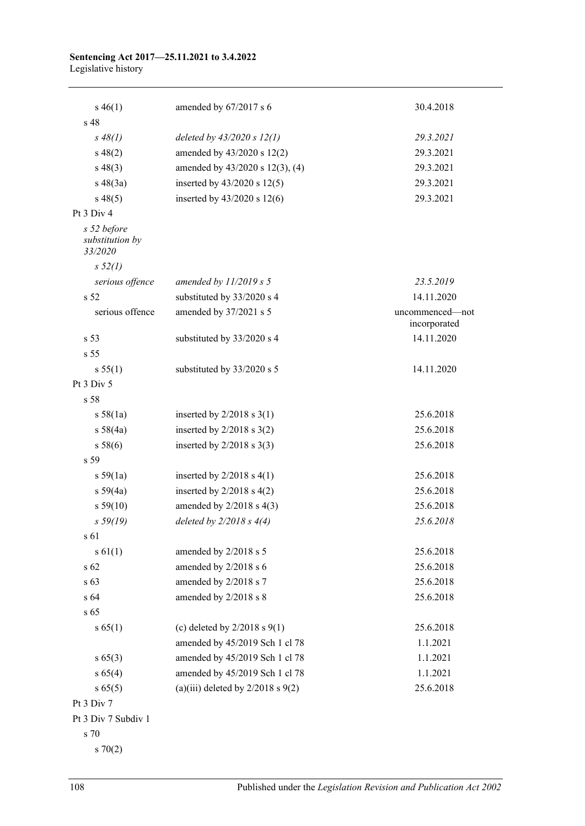#### **Sentencing Act 2017—25.11.2021 to 3.4.2022** Legislative history

| $s\,46(1)$                                | amended by $67/2017$ s 6              | 30.4.2018                       |
|-------------------------------------------|---------------------------------------|---------------------------------|
| s 48                                      |                                       |                                 |
| $s \, 48(1)$                              | deleted by $43/2020 s 12(1)$          | 29.3.2021                       |
| $s\ 48(2)$                                | amended by 43/2020 s 12(2)            | 29.3.2021                       |
| $s\ 48(3)$                                | amended by 43/2020 s 12(3), (4)       | 29.3.2021                       |
| $s\ 48(3a)$                               | inserted by $43/2020$ s $12(5)$       | 29.3.2021                       |
| $s\,48(5)$                                | inserted by $43/2020$ s $12(6)$       | 29.3.2021                       |
| Pt 3 Div 4                                |                                       |                                 |
| s 52 before<br>substitution by<br>33/2020 |                                       |                                 |
| s 52(1)                                   |                                       |                                 |
| serious offence                           | amended by $11/2019 s 5$              | 23.5.2019                       |
| s <sub>52</sub>                           | substituted by 33/2020 s 4            | 14.11.2020                      |
| serious offence                           | amended by 37/2021 s 5                | uncommenced-not<br>incorporated |
| s 53                                      | substituted by 33/2020 s 4            | 14.11.2020                      |
| s <sub>55</sub>                           |                                       |                                 |
| s 55(1)                                   | substituted by 33/2020 s 5            | 14.11.2020                      |
| Pt 3 Div 5                                |                                       |                                 |
| s 58                                      |                                       |                                 |
| s 58(1a)                                  | inserted by $2/2018$ s $3(1)$         | 25.6.2018                       |
| s 58(4a)                                  | inserted by $2/2018$ s $3(2)$         | 25.6.2018                       |
| s 58(6)                                   | inserted by $2/2018$ s 3(3)           | 25.6.2018                       |
| s 59                                      |                                       |                                 |
| s 59(1a)                                  | inserted by $2/2018$ s $4(1)$         | 25.6.2018                       |
| s 59(4a)                                  | inserted by $2/2018$ s $4(2)$         | 25.6.2018                       |
| s 59(10)                                  | amended by $2/2018$ s $4(3)$          | 25.6.2018                       |
| s 59(19)                                  | deleted by $2/2018 s 4(4)$            | 25.6.2018                       |
| s 61                                      |                                       |                                 |
| s 61(1)                                   | amended by 2/2018 s 5                 | 25.6.2018                       |
| s 62                                      | amended by 2/2018 s 6                 | 25.6.2018                       |
| s 63                                      | amended by 2/2018 s 7                 | 25.6.2018                       |
| s 64                                      | amended by 2/2018 s 8                 | 25.6.2018                       |
| s 65                                      |                                       |                                 |
| s 65(1)                                   | (c) deleted by $2/2018$ s $9(1)$      | 25.6.2018                       |
|                                           | amended by 45/2019 Sch 1 cl 78        | 1.1.2021                        |
| $s\,65(3)$                                | amended by 45/2019 Sch 1 cl 78        | 1.1.2021                        |
| s 65(4)                                   | amended by 45/2019 Sch 1 cl 78        | 1.1.2021                        |
| s 65(5)                                   | (a)(iii) deleted by $2/2018$ s $9(2)$ | 25.6.2018                       |
| Pt 3 Div 7                                |                                       |                                 |
| Pt 3 Div 7 Subdiv 1                       |                                       |                                 |
| s 70                                      |                                       |                                 |
| $s \, 70(2)$                              |                                       |                                 |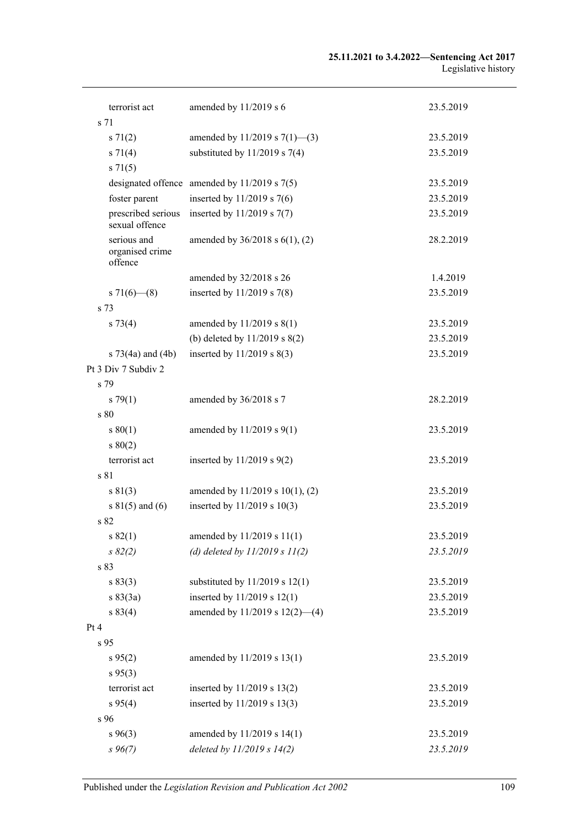| terrorist act                             | amended by 11/2019 s 6                           | 23.5.2019 |
|-------------------------------------------|--------------------------------------------------|-----------|
| s 71                                      |                                                  |           |
| $s \, 71(2)$                              | amended by 11/2019 s $7(1)$ —(3)                 | 23.5.2019 |
| $s \, 71(4)$                              | substituted by $11/2019$ s 7(4)                  | 23.5.2019 |
| $s \, 71(5)$                              |                                                  |           |
|                                           | designated offence amended by $11/2019$ s $7(5)$ | 23.5.2019 |
| foster parent                             | inserted by $11/2019$ s 7(6)                     | 23.5.2019 |
| prescribed serious<br>sexual offence      | inserted by $11/2019$ s $7(7)$                   | 23.5.2019 |
| serious and<br>organised crime<br>offence | amended by $36/2018$ s $6(1)$ , (2)              | 28.2.2019 |
|                                           | amended by 32/2018 s 26                          | 1.4.2019  |
| s $71(6)$ (8)                             | inserted by $11/2019$ s 7(8)                     | 23.5.2019 |
| s 73                                      |                                                  |           |
| $s \, 73(4)$                              | amended by 11/2019 s 8(1)                        | 23.5.2019 |
|                                           | (b) deleted by $11/2019$ s $8(2)$                | 23.5.2019 |
| s $73(4a)$ and $(4b)$                     | inserted by $11/2019$ s $8(3)$                   | 23.5.2019 |
| Pt 3 Div 7 Subdiv 2                       |                                                  |           |
| s 79                                      |                                                  |           |
| $s \, 79(1)$                              | amended by 36/2018 s 7                           | 28.2.2019 |
| s80                                       |                                                  |           |
| s 80(1)                                   | amended by $11/2019$ s $9(1)$                    | 23.5.2019 |
| s 80(2)                                   |                                                  |           |
| terrorist act                             | inserted by $11/2019$ s $9(2)$                   | 23.5.2019 |
| s 81                                      |                                                  |           |
| s 81(3)                                   | amended by 11/2019 s 10(1), (2)                  | 23.5.2019 |
| s $81(5)$ and $(6)$                       | inserted by $11/2019$ s $10(3)$                  | 23.5.2019 |
| s 82                                      |                                                  |           |
| s 82(1)                                   | amended by 11/2019 s 11(1)                       | 23.5.2019 |
| $s \, 82(2)$                              | (d) deleted by $11/2019 s 11(2)$                 | 23.5.2019 |
| s 83                                      |                                                  |           |
| s 83(3)                                   | substituted by $11/2019$ s $12(1)$               | 23.5.2019 |
| s 83(3a)                                  | inserted by 11/2019 s 12(1)                      | 23.5.2019 |
| s 83(4)                                   | amended by 11/2019 s 12(2)-(4)                   | 23.5.2019 |
| Pt 4                                      |                                                  |           |
| s 95                                      |                                                  |           |
| $s\,95(2)$                                | amended by 11/2019 s 13(1)                       | 23.5.2019 |
| $s\,95(3)$                                |                                                  |           |
| terrorist act                             | inserted by 11/2019 s 13(2)                      | 23.5.2019 |
| s 95(4)                                   | inserted by 11/2019 s 13(3)                      | 23.5.2019 |
| s 96                                      |                                                  |           |
| $s\,96(3)$                                | amended by 11/2019 s 14(1)                       | 23.5.2019 |
| $s\,96(7)$                                | deleted by 11/2019 s 14(2)                       | 23.5.2019 |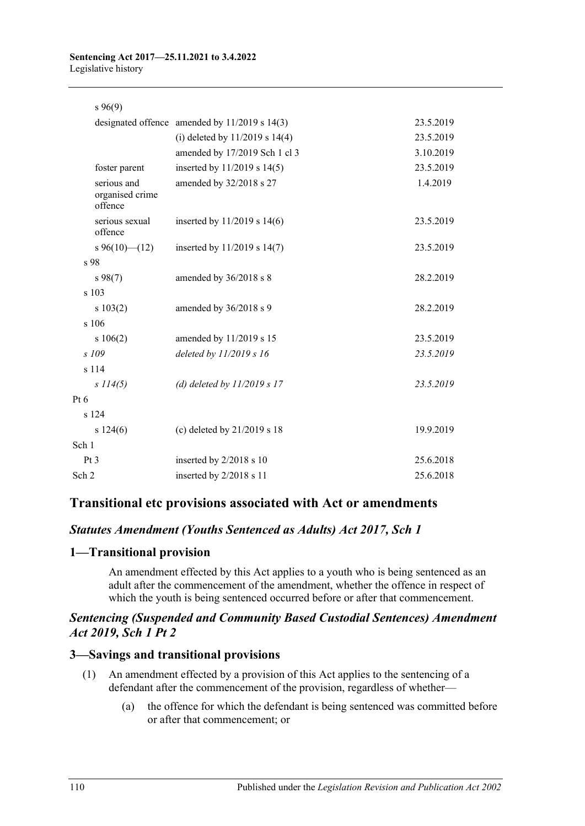#### **Sentencing Act 2017—25.11.2021 to 3.4.2022** Legislative history

#### s 96(9)

|                                           | designated offence amended by $11/2019$ s $14(3)$ | 23.5.2019 |
|-------------------------------------------|---------------------------------------------------|-----------|
|                                           | (i) deleted by $11/2019$ s $14(4)$                | 23.5.2019 |
|                                           | amended by 17/2019 Sch 1 cl 3                     | 3.10.2019 |
| foster parent                             | inserted by $11/2019$ s $14(5)$                   | 23.5.2019 |
| serious and<br>organised crime<br>offence | amended by 32/2018 s 27                           | 1.4.2019  |
| serious sexual<br>offence                 | inserted by $11/2019$ s $14(6)$                   | 23.5.2019 |
| s 96(10)–(12)                             | inserted by $11/2019$ s $14(7)$                   | 23.5.2019 |
| s 98                                      |                                                   |           |
| $s\,98(7)$                                | amended by 36/2018 s 8                            | 28.2.2019 |
| s 103                                     |                                                   |           |
| s 103(2)                                  | amended by 36/2018 s 9                            | 28.2.2019 |
| $s$ 106                                   |                                                   |           |
| s 106(2)                                  | amended by 11/2019 s 15                           | 23.5.2019 |
| s 109                                     | deleted by $11/2019 s 16$                         | 23.5.2019 |
| s 114                                     |                                                   |           |
| s 114(5)                                  | (d) deleted by $11/2019 s 17$                     | 23.5.2019 |
| Pt 6                                      |                                                   |           |
| s 124                                     |                                                   |           |
| s 124(6)                                  | (c) deleted by $21/2019$ s 18                     | 19.9.2019 |
| Sch 1                                     |                                                   |           |
| Pt 3                                      | inserted by 2/2018 s 10                           | 25.6.2018 |
| Sch 2                                     | inserted by 2/2018 s 11                           | 25.6.2018 |

# **Transitional etc provisions associated with Act or amendments**

# *Statutes Amendment (Youths Sentenced as Adults) Act 2017, Sch 1*

### **1—Transitional provision**

An amendment effected by this Act applies to a youth who is being sentenced as an adult after the commencement of the amendment, whether the offence in respect of which the youth is being sentenced occurred before or after that commencement.

## *Sentencing (Suspended and Community Based Custodial Sentences) Amendment Act 2019, Sch 1 Pt 2*

### **3—Savings and transitional provisions**

- (1) An amendment effected by a provision of this Act applies to the sentencing of a defendant after the commencement of the provision, regardless of whether—
	- (a) the offence for which the defendant is being sentenced was committed before or after that commencement; or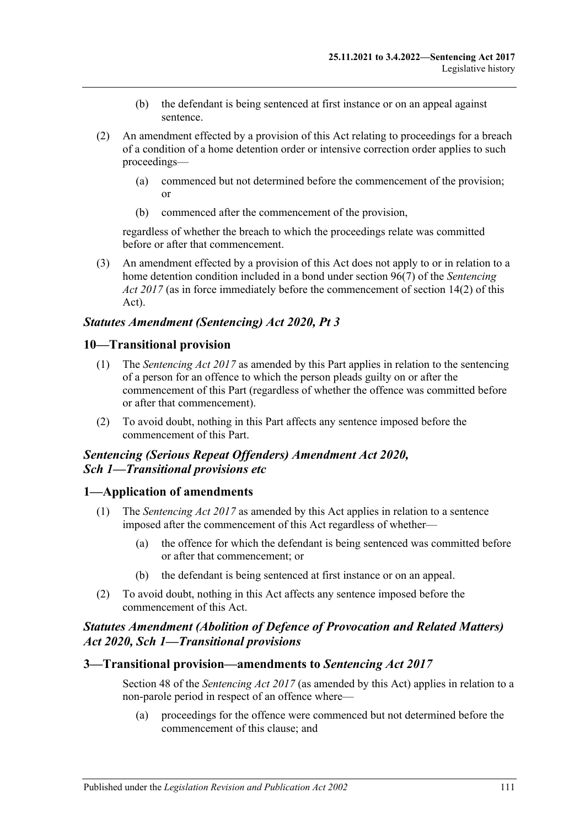- (b) the defendant is being sentenced at first instance or on an appeal against sentence.
- (2) An amendment effected by a provision of this Act relating to proceedings for a breach of a condition of a home detention order or intensive correction order applies to such proceedings—
	- (a) commenced but not determined before the commencement of the provision; or
	- (b) commenced after the commencement of the provision,

regardless of whether the breach to which the proceedings relate was committed before or after that commencement.

(3) An amendment effected by a provision of this Act does not apply to or in relation to a home detention condition included in a bond under section 96(7) of the *[Sentencing](http://www.legislation.sa.gov.au/index.aspx?action=legref&type=act&legtitle=Sentencing%20Act%202017)  Act [2017](http://www.legislation.sa.gov.au/index.aspx?action=legref&type=act&legtitle=Sentencing%20Act%202017)* (as in force immediately before the commencement of section 14(2) of this Act).

# *Statutes Amendment (Sentencing) Act 2020, Pt 3*

### **10—Transitional provision**

- (1) The *[Sentencing Act](http://www.legislation.sa.gov.au/index.aspx?action=legref&type=act&legtitle=Sentencing%20Act%202017) 2017* as amended by this Part applies in relation to the sentencing of a person for an offence to which the person pleads guilty on or after the commencement of this Part (regardless of whether the offence was committed before or after that commencement).
- (2) To avoid doubt, nothing in this Part affects any sentence imposed before the commencement of this Part.

## *Sentencing (Serious Repeat Offenders) Amendment Act 2020, Sch 1—Transitional provisions etc*

### **1—Application of amendments**

- (1) The *[Sentencing Act](http://www.legislation.sa.gov.au/index.aspx?action=legref&type=act&legtitle=Sentencing%20Act%202017) 2017* as amended by this Act applies in relation to a sentence imposed after the commencement of this Act regardless of whether—
	- (a) the offence for which the defendant is being sentenced was committed before or after that commencement; or
	- (b) the defendant is being sentenced at first instance or on an appeal.
- (2) To avoid doubt, nothing in this Act affects any sentence imposed before the commencement of this Act.

# *Statutes Amendment (Abolition of Defence of Provocation and Related Matters) Act 2020, Sch 1—Transitional provisions*

## **3—Transitional provision—amendments to** *Sentencing Act 2017*

Section 48 of the *[Sentencing Act](http://www.legislation.sa.gov.au/index.aspx?action=legref&type=act&legtitle=Sentencing%20Act%202017) 2017* (as amended by this Act) applies in relation to a non-parole period in respect of an offence where—

(a) proceedings for the offence were commenced but not determined before the commencement of this clause; and